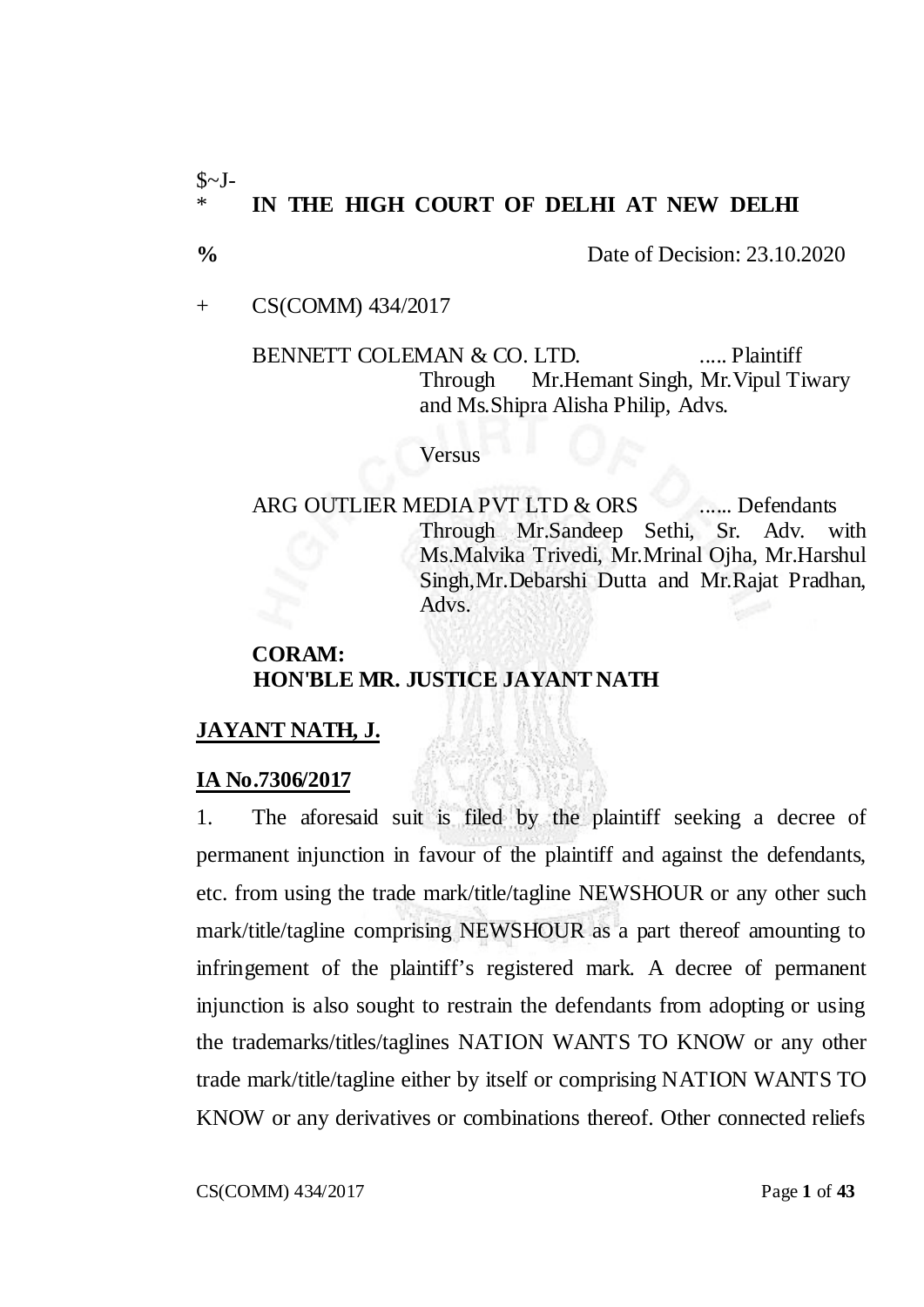# $\sim J$ -\* **IN THE HIGH COURT OF DELHI AT NEW DELHI**

**%** Date of Decision: 23.10.2020

+ CS(COMM) 434/2017

BENNETT COLEMAN & CO. LTD. ..... Plaintiff Through Mr.Hemant Singh, Mr.Vipul Tiwary and Ms.Shipra Alisha Philip, Advs.

#### **Versus**

ARG OUTLIER MEDIA PVT LTD & ORS ...... Defendants Through Mr.Sandeep Sethi, Sr. Adv. with Ms.Malvika Trivedi, Mr.Mrinal Ojha, Mr.Harshul Singh,Mr.Debarshi Dutta and Mr.Rajat Pradhan, Advs.

# **CORAM: HON'BLE MR. JUSTICE JAYANT NATH**

## **JAYANT NATH, J.**

#### **IA No.7306/2017**

1. The aforesaid suit is filed by the plaintiff seeking a decree of permanent injunction in favour of the plaintiff and against the defendants, etc. from using the trade mark/title/tagline NEWSHOUR or any other such mark/title/tagline comprising NEWSHOUR as a part thereof amounting to infringement of the plaintiff's registered mark. A decree of permanent injunction is also sought to restrain the defendants from adopting or using the trademarks/titles/taglines NATION WANTS TO KNOW or any other trade mark/title/tagline either by itself or comprising NATION WANTS TO KNOW or any derivatives or combinations thereof. Other connected reliefs

CS(COMM) 434/2017 Page **1** of **43**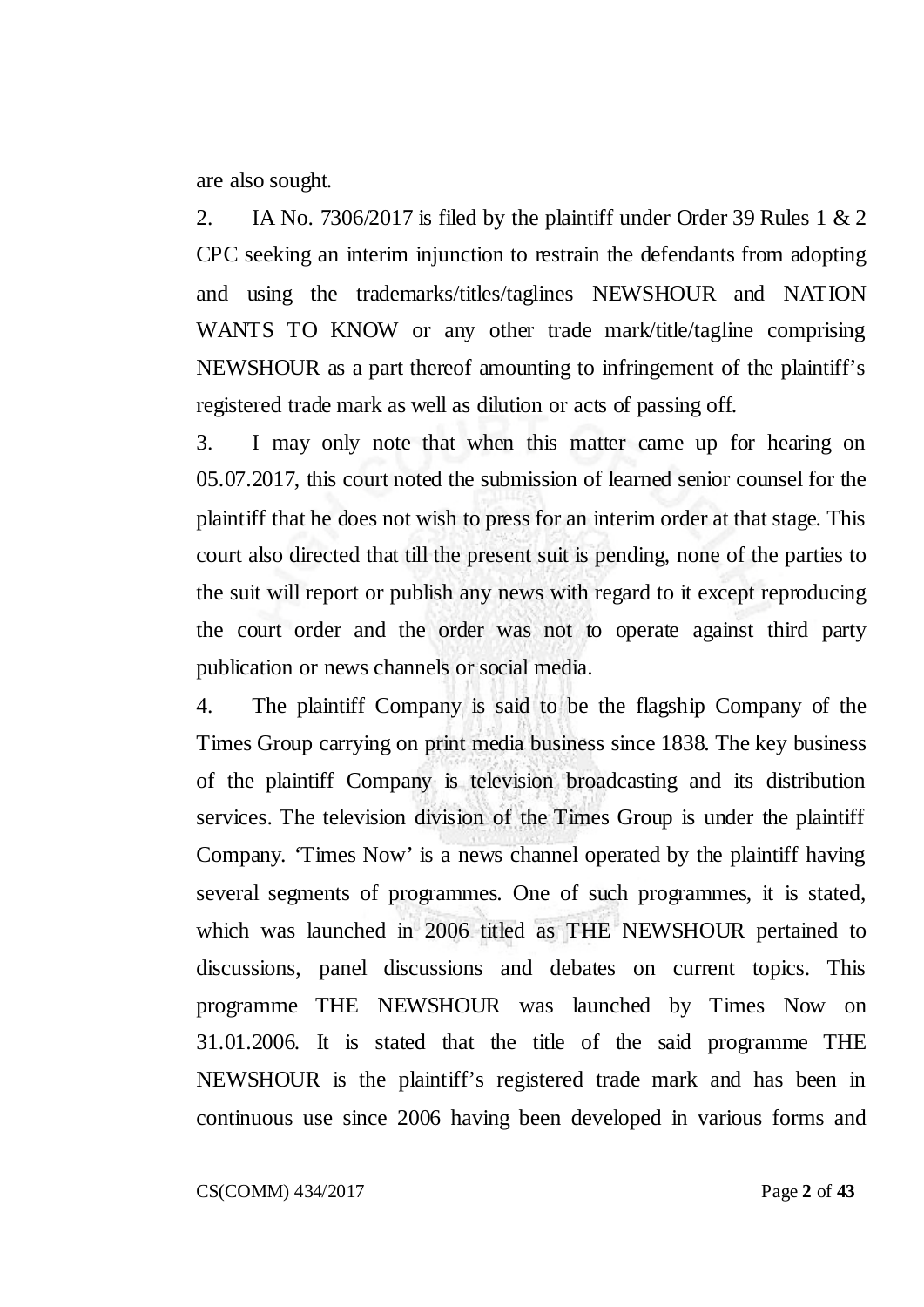are also sought.

2. IA No. 7306/2017 is filed by the plaintiff under Order 39 Rules 1 & 2 CPC seeking an interim injunction to restrain the defendants from adopting and using the trademarks/titles/taglines NEWSHOUR and NATION WANTS TO KNOW or any other trade mark/title/tagline comprising NEWSHOUR as a part thereof amounting to infringement of the plaintiff's registered trade mark as well as dilution or acts of passing off.

3. I may only note that when this matter came up for hearing on 05.07.2017, this court noted the submission of learned senior counsel for the plaintiff that he does not wish to press for an interim order at that stage. This court also directed that till the present suit is pending, none of the parties to the suit will report or publish any news with regard to it except reproducing the court order and the order was not to operate against third party publication or news channels or social media.

4. The plaintiff Company is said to be the flagship Company of the Times Group carrying on print media business since 1838. The key business of the plaintiff Company is television broadcasting and its distribution services. The television division of the Times Group is under the plaintiff Company. 'Times Now' is a news channel operated by the plaintiff having several segments of programmes. One of such programmes, it is stated, which was launched in 2006 titled as THE NEWSHOUR pertained to discussions, panel discussions and debates on current topics. This programme THE NEWSHOUR was launched by Times Now on 31.01.2006. It is stated that the title of the said programme THE NEWSHOUR is the plaintiff's registered trade mark and has been in continuous use since 2006 having been developed in various forms and

CS(COMM) 434/2017 Page **2** of **43**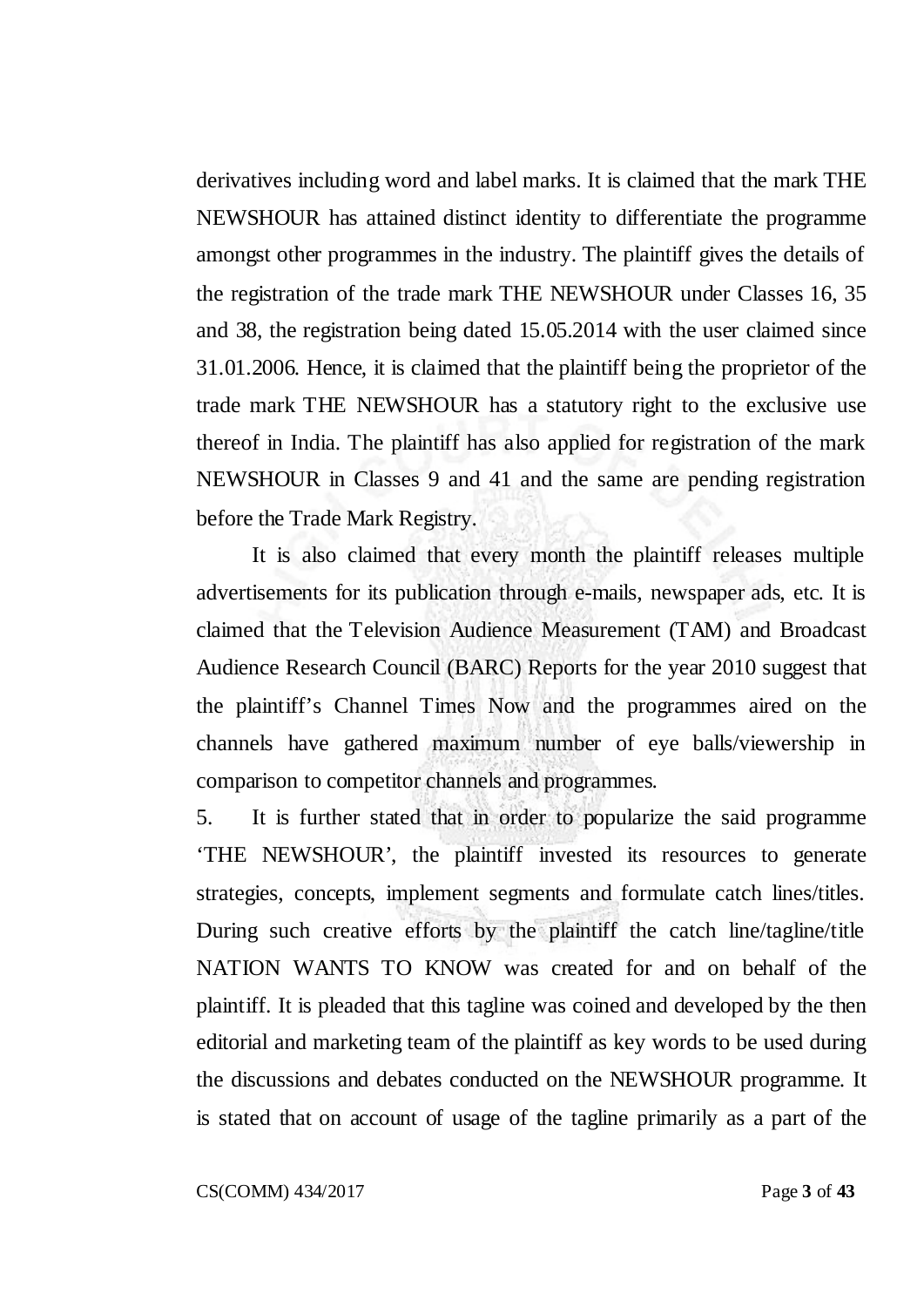derivatives including word and label marks. It is claimed that the mark THE NEWSHOUR has attained distinct identity to differentiate the programme amongst other programmes in the industry. The plaintiff gives the details of the registration of the trade mark THE NEWSHOUR under Classes 16, 35 and 38, the registration being dated 15.05.2014 with the user claimed since 31.01.2006. Hence, it is claimed that the plaintiff being the proprietor of the trade mark THE NEWSHOUR has a statutory right to the exclusive use thereof in India. The plaintiff has also applied for registration of the mark NEWSHOUR in Classes 9 and 41 and the same are pending registration before the Trade Mark Registry.

It is also claimed that every month the plaintiff releases multiple advertisements for its publication through e-mails, newspaper ads, etc. It is claimed that the Television Audience Measurement (TAM) and Broadcast Audience Research Council (BARC) Reports for the year 2010 suggest that the plaintiff's Channel Times Now and the programmes aired on the channels have gathered maximum number of eye balls/viewership in comparison to competitor channels and programmes.

5. It is further stated that in order to popularize the said programme 'THE NEWSHOUR', the plaintiff invested its resources to generate strategies, concepts, implement segments and formulate catch lines/titles. During such creative efforts by the plaintiff the catch line/tagline/title NATION WANTS TO KNOW was created for and on behalf of the plaintiff. It is pleaded that this tagline was coined and developed by the then editorial and marketing team of the plaintiff as key words to be used during the discussions and debates conducted on the NEWSHOUR programme. It is stated that on account of usage of the tagline primarily as a part of the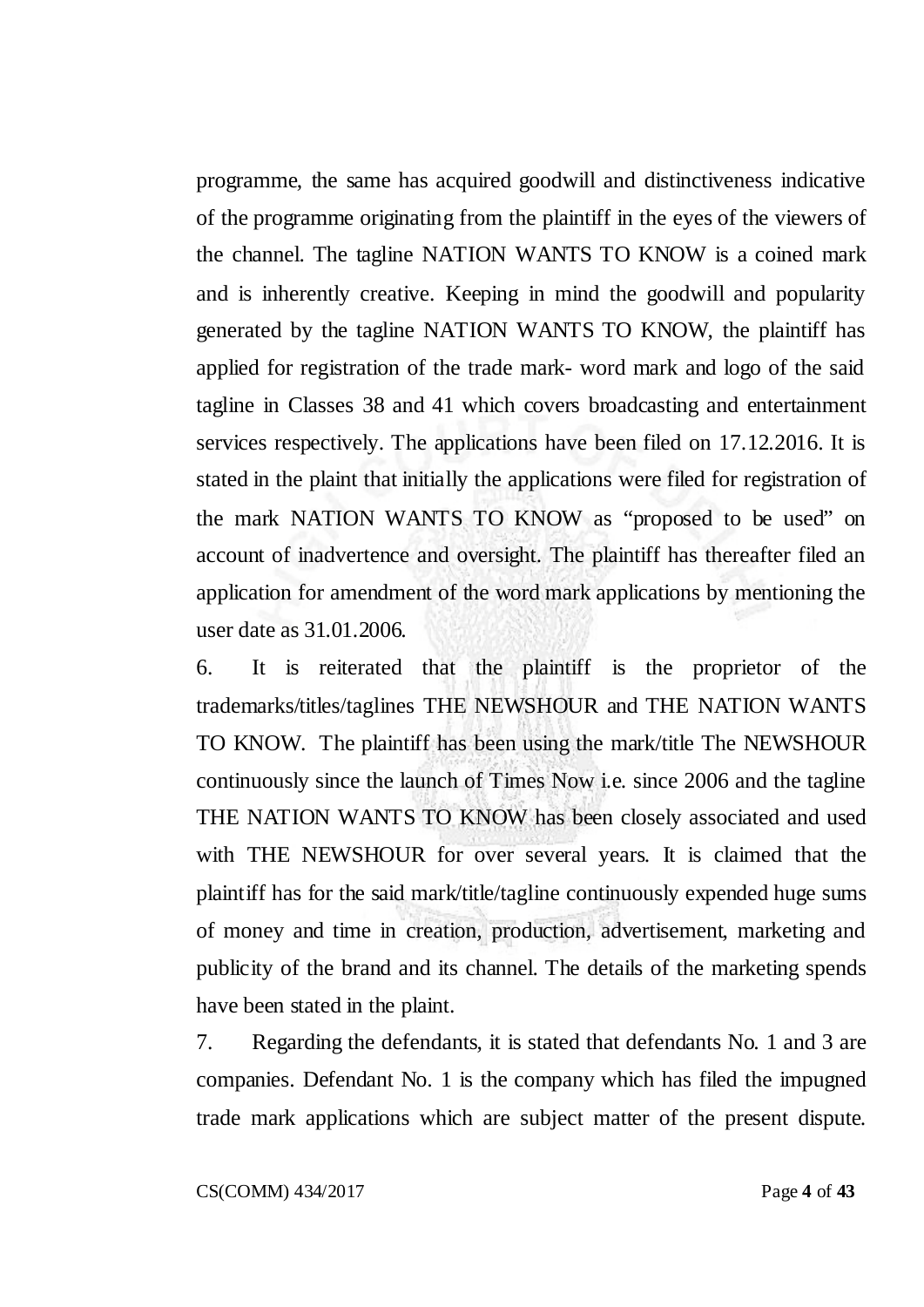programme, the same has acquired goodwill and distinctiveness indicative of the programme originating from the plaintiff in the eyes of the viewers of the channel. The tagline NATION WANTS TO KNOW is a coined mark and is inherently creative. Keeping in mind the goodwill and popularity generated by the tagline NATION WANTS TO KNOW, the plaintiff has applied for registration of the trade mark- word mark and logo of the said tagline in Classes 38 and 41 which covers broadcasting and entertainment services respectively. The applications have been filed on 17.12.2016. It is stated in the plaint that initially the applications were filed for registration of the mark NATION WANTS TO KNOW as "proposed to be used" on account of inadvertence and oversight. The plaintiff has thereafter filed an application for amendment of the word mark applications by mentioning the user date as 31.01.2006.

6. It is reiterated that the plaintiff is the proprietor of the trademarks/titles/taglines THE NEWSHOUR and THE NATION WANTS TO KNOW. The plaintiff has been using the mark/title The NEWSHOUR continuously since the launch of Times Now i.e. since 2006 and the tagline THE NATION WANTS TO KNOW has been closely associated and used with THE NEWSHOUR for over several years. It is claimed that the plaintiff has for the said mark/title/tagline continuously expended huge sums of money and time in creation, production, advertisement, marketing and publicity of the brand and its channel. The details of the marketing spends have been stated in the plaint.

7. Regarding the defendants, it is stated that defendants No. 1 and 3 are companies. Defendant No. 1 is the company which has filed the impugned trade mark applications which are subject matter of the present dispute.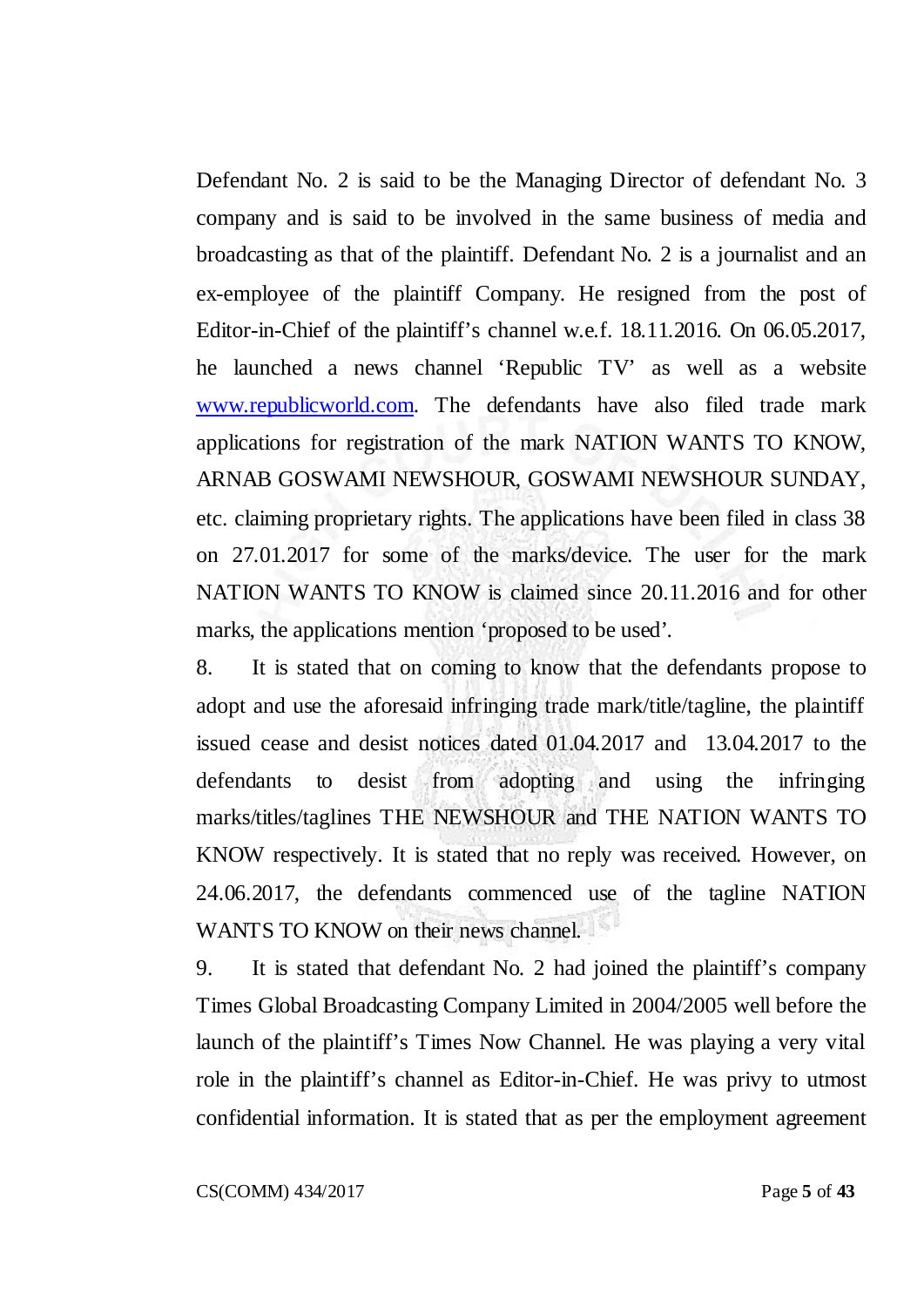Defendant No. 2 is said to be the Managing Director of defendant No. 3 company and is said to be involved in the same business of media and broadcasting as that of the plaintiff. Defendant No. 2 is a journalist and an ex-employee of the plaintiff Company. He resigned from the post of Editor-in-Chief of the plaintiff's channel w.e.f. 18.11.2016. On 06.05.2017, he launched a news channel 'Republic TV' as well as a website [www.republicworld.com.](http://www.republicworld.com/) The defendants have also filed trade mark applications for registration of the mark NATION WANTS TO KNOW, ARNAB GOSWAMI NEWSHOUR, GOSWAMI NEWSHOUR SUNDAY, etc. claiming proprietary rights. The applications have been filed in class 38 on 27.01.2017 for some of the marks/device. The user for the mark NATION WANTS TO KNOW is claimed since 20.11.2016 and for other marks, the applications mention 'proposed to be used'.

8. It is stated that on coming to know that the defendants propose to adopt and use the aforesaid infringing trade mark/title/tagline, the plaintiff issued cease and desist notices dated 01.04.2017 and 13.04.2017 to the defendants to desist from adopting and using the infringing marks/titles/taglines THE NEWSHOUR and THE NATION WANTS TO KNOW respectively. It is stated that no reply was received. However, on 24.06.2017, the defendants commenced use of the tagline NATION WANTS TO KNOW on their news channel.

9. It is stated that defendant No. 2 had joined the plaintiff's company Times Global Broadcasting Company Limited in 2004/2005 well before the launch of the plaintiff's Times Now Channel. He was playing a very vital role in the plaintiff's channel as Editor-in-Chief. He was privy to utmost confidential information. It is stated that as per the employment agreement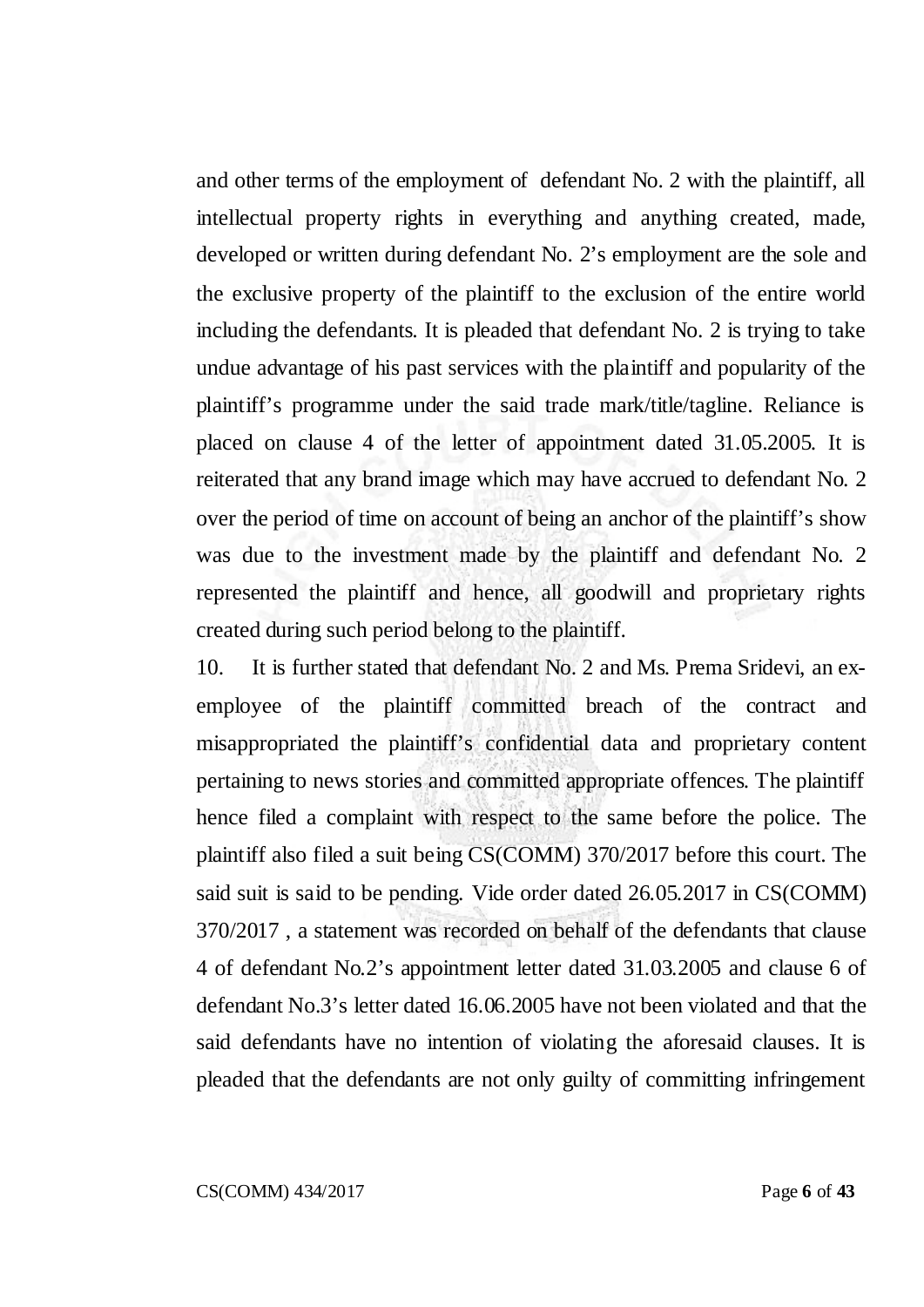and other terms of the employment of defendant No. 2 with the plaintiff, all intellectual property rights in everything and anything created, made, developed or written during defendant No. 2's employment are the sole and the exclusive property of the plaintiff to the exclusion of the entire world including the defendants. It is pleaded that defendant No. 2 is trying to take undue advantage of his past services with the plaintiff and popularity of the plaintiff's programme under the said trade mark/title/tagline. Reliance is placed on clause 4 of the letter of appointment dated 31.05.2005. It is reiterated that any brand image which may have accrued to defendant No. 2 over the period of time on account of being an anchor of the plaintiff's show was due to the investment made by the plaintiff and defendant No. 2 represented the plaintiff and hence, all goodwill and proprietary rights created during such period belong to the plaintiff.

10. It is further stated that defendant No. 2 and Ms. Prema Sridevi, an exemployee of the plaintiff committed breach of the contract and misappropriated the plaintiff's confidential data and proprietary content pertaining to news stories and committed appropriate offences. The plaintiff hence filed a complaint with respect to the same before the police. The plaintiff also filed a suit being CS(COMM) 370/2017 before this court. The said suit is said to be pending. Vide order dated 26.05.2017 in CS(COMM) 370/2017 , a statement was recorded on behalf of the defendants that clause 4 of defendant No.2's appointment letter dated 31.03.2005 and clause 6 of defendant No.3's letter dated 16.06.2005 have not been violated and that the said defendants have no intention of violating the aforesaid clauses. It is pleaded that the defendants are not only guilty of committing infringement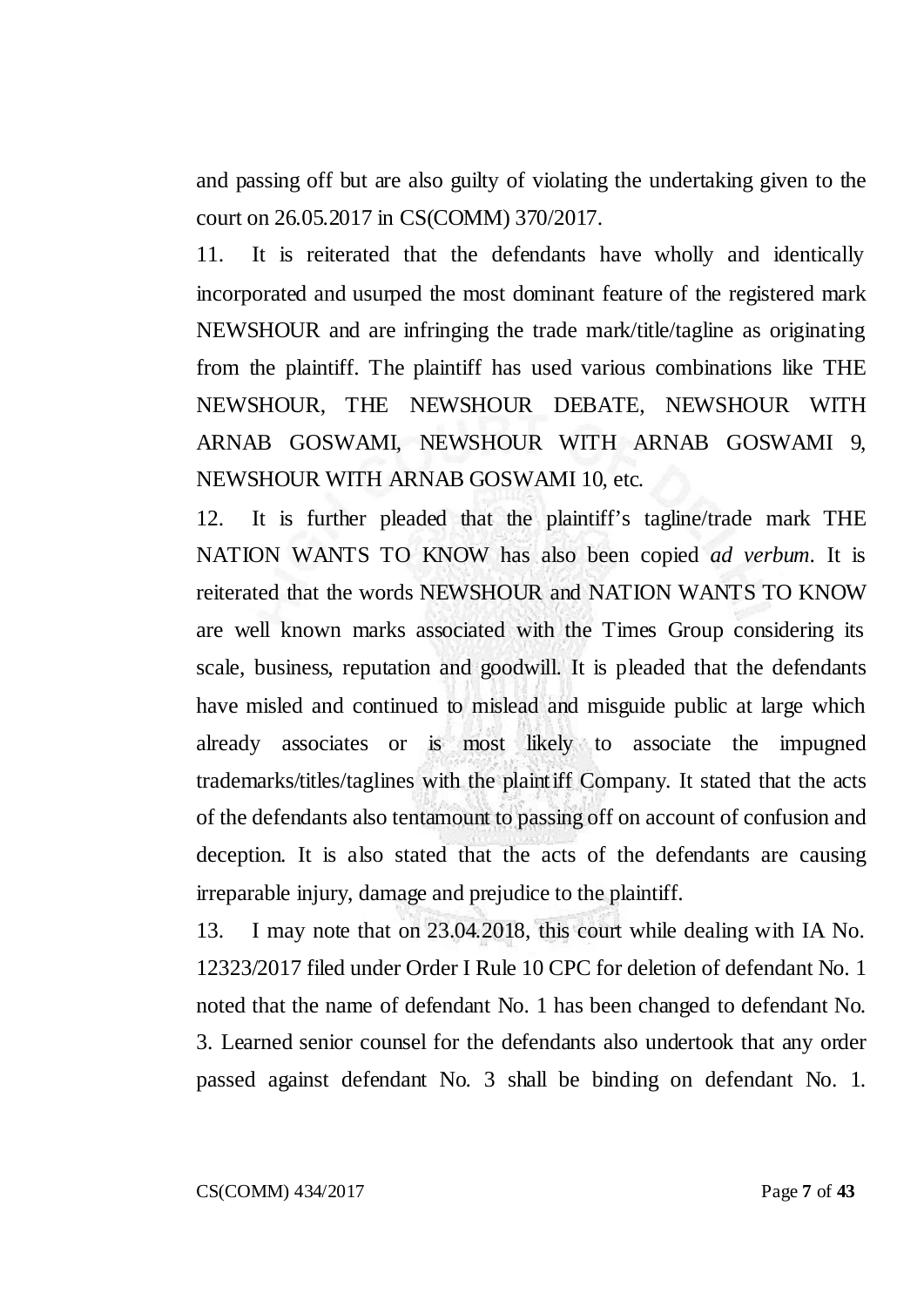and passing off but are also guilty of violating the undertaking given to the court on 26.05.2017 in CS(COMM) 370/2017.

11. It is reiterated that the defendants have wholly and identically incorporated and usurped the most dominant feature of the registered mark NEWSHOUR and are infringing the trade mark/title/tagline as originating from the plaintiff. The plaintiff has used various combinations like THE NEWSHOUR, THE NEWSHOUR DEBATE, NEWSHOUR WITH ARNAB GOSWAMI, NEWSHOUR WITH ARNAB GOSWAMI 9, NEWSHOUR WITH ARNAB GOSWAMI 10, etc.

12. It is further pleaded that the plaintiff's tagline/trade mark THE NATION WANTS TO KNOW has also been copied *ad verbum*. It is reiterated that the words NEWSHOUR and NATION WANTS TO KNOW are well known marks associated with the Times Group considering its scale, business, reputation and goodwill. It is pleaded that the defendants have misled and continued to mislead and misguide public at large which already associates or is most likely to associate the impugned trademarks/titles/taglines with the plaintiff Company. It stated that the acts of the defendants also tentamount to passing off on account of confusion and deception. It is also stated that the acts of the defendants are causing irreparable injury, damage and prejudice to the plaintiff.

13. I may note that on 23.04.2018, this court while dealing with IA No. 12323/2017 filed under Order I Rule 10 CPC for deletion of defendant No. 1 noted that the name of defendant No. 1 has been changed to defendant No. 3. Learned senior counsel for the defendants also undertook that any order passed against defendant No. 3 shall be binding on defendant No. 1.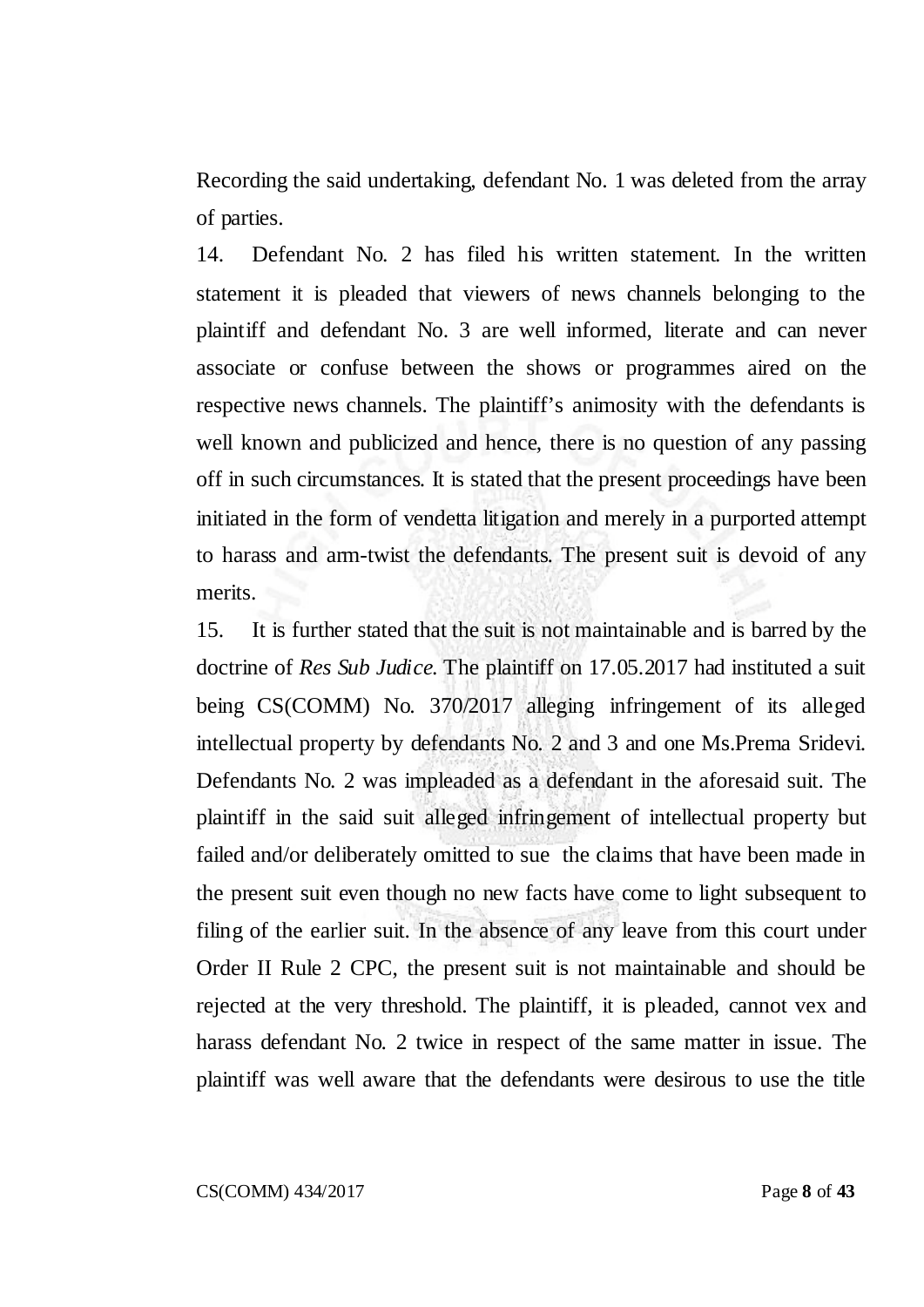Recording the said undertaking, defendant No. 1 was deleted from the array of parties.

14. Defendant No. 2 has filed his written statement. In the written statement it is pleaded that viewers of news channels belonging to the plaintiff and defendant No. 3 are well informed, literate and can never associate or confuse between the shows or programmes aired on the respective news channels. The plaintiff's animosity with the defendants is well known and publicized and hence, there is no question of any passing off in such circumstances. It is stated that the present proceedings have been initiated in the form of vendetta litigation and merely in a purported attempt to harass and arm-twist the defendants. The present suit is devoid of any merits.

15. It is further stated that the suit is not maintainable and is barred by the doctrine of *Res Sub Judice*. The plaintiff on 17.05.2017 had instituted a suit being CS(COMM) No. 370/2017 alleging infringement of its alleged intellectual property by defendants No. 2 and 3 and one Ms.Prema Sridevi. Defendants No. 2 was impleaded as a defendant in the aforesaid suit. The plaintiff in the said suit alleged infringement of intellectual property but failed and/or deliberately omitted to sue the claims that have been made in the present suit even though no new facts have come to light subsequent to filing of the earlier suit. In the absence of any leave from this court under Order II Rule 2 CPC, the present suit is not maintainable and should be rejected at the very threshold. The plaintiff, it is pleaded, cannot vex and harass defendant No. 2 twice in respect of the same matter in issue. The plaintiff was well aware that the defendants were desirous to use the title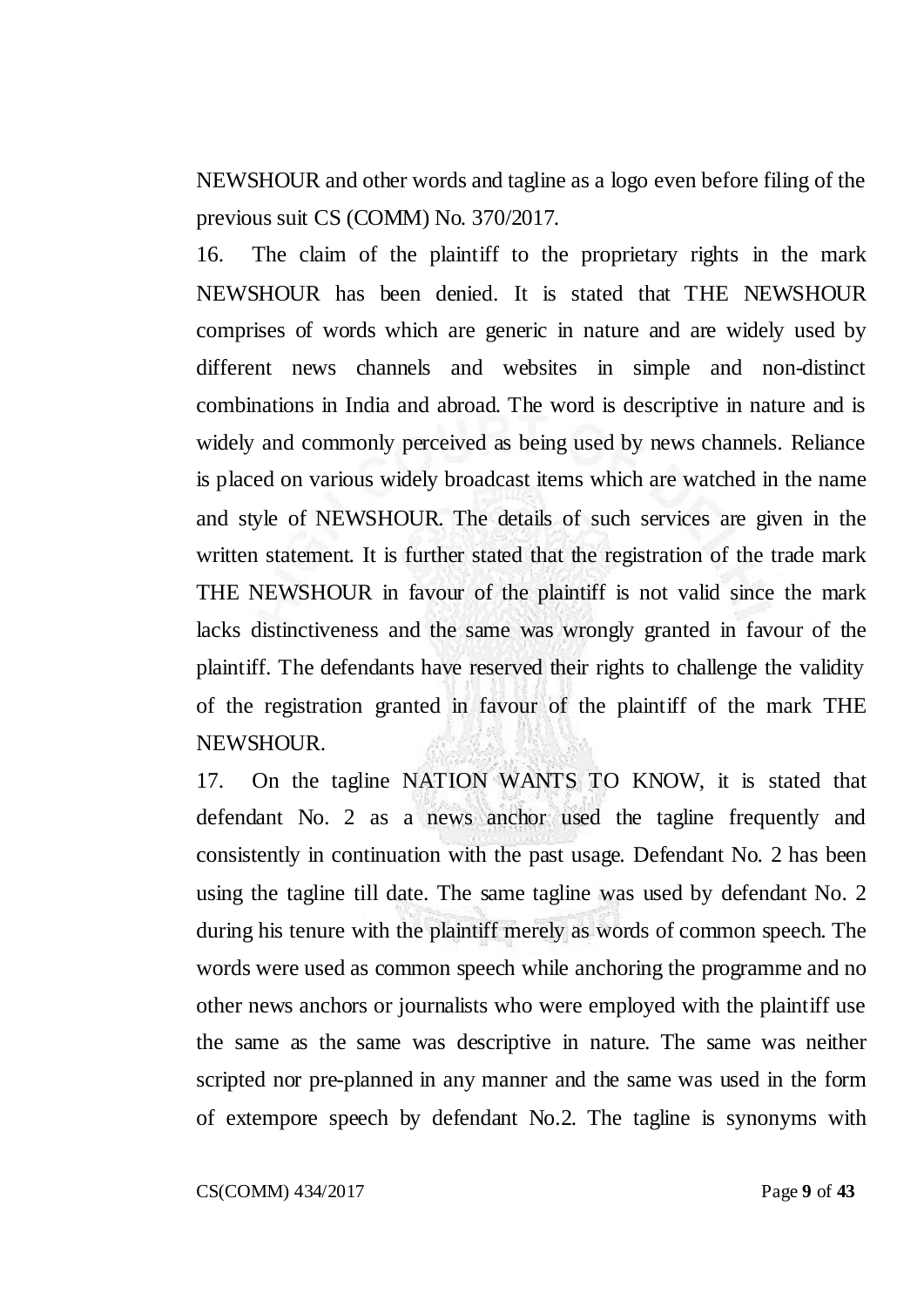NEWSHOUR and other words and tagline as a logo even before filing of the previous suit CS (COMM) No. 370/2017.

16. The claim of the plaintiff to the proprietary rights in the mark NEWSHOUR has been denied. It is stated that THE NEWSHOUR comprises of words which are generic in nature and are widely used by different news channels and websites in simple and non-distinct combinations in India and abroad. The word is descriptive in nature and is widely and commonly perceived as being used by news channels. Reliance is placed on various widely broadcast items which are watched in the name and style of NEWSHOUR. The details of such services are given in the written statement. It is further stated that the registration of the trade mark THE NEWSHOUR in favour of the plaintiff is not valid since the mark lacks distinctiveness and the same was wrongly granted in favour of the plaintiff. The defendants have reserved their rights to challenge the validity of the registration granted in favour of the plaintiff of the mark THE NEWSHOUR.

17. On the tagline NATION WANTS TO KNOW, it is stated that defendant No. 2 as a news anchor used the tagline frequently and consistently in continuation with the past usage. Defendant No. 2 has been using the tagline till date. The same tagline was used by defendant No. 2 during his tenure with the plaintiff merely as words of common speech. The words were used as common speech while anchoring the programme and no other news anchors or journalists who were employed with the plaintiff use the same as the same was descriptive in nature. The same was neither scripted nor pre-planned in any manner and the same was used in the form of extempore speech by defendant No.2. The tagline is synonyms with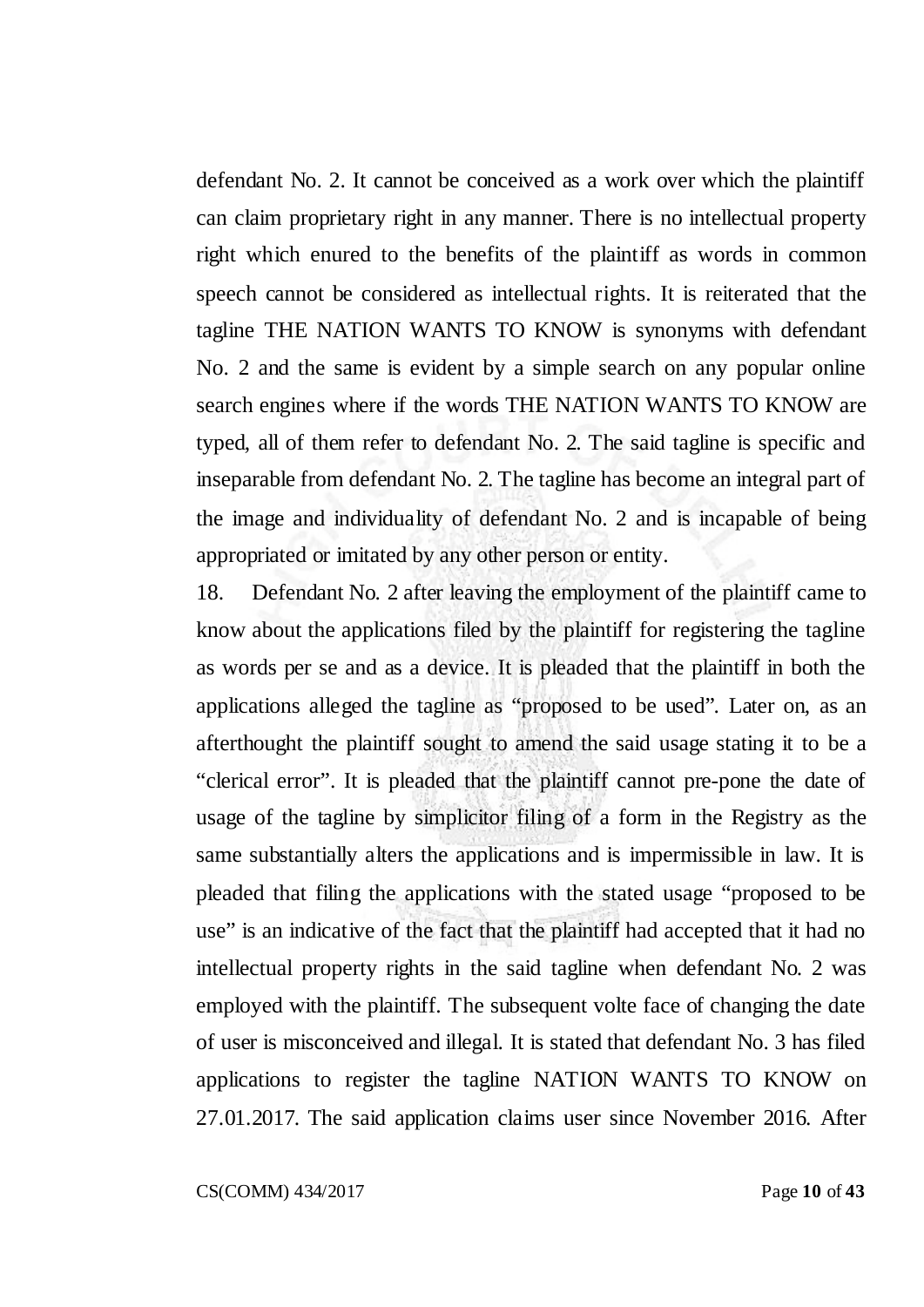defendant No. 2. It cannot be conceived as a work over which the plaintiff can claim proprietary right in any manner. There is no intellectual property right which enured to the benefits of the plaintiff as words in common speech cannot be considered as intellectual rights. It is reiterated that the tagline THE NATION WANTS TO KNOW is synonyms with defendant No. 2 and the same is evident by a simple search on any popular online search engines where if the words THE NATION WANTS TO KNOW are typed, all of them refer to defendant No. 2. The said tagline is specific and inseparable from defendant No. 2. The tagline has become an integral part of the image and individuality of defendant No. 2 and is incapable of being appropriated or imitated by any other person or entity.

18. Defendant No. 2 after leaving the employment of the plaintiff came to know about the applications filed by the plaintiff for registering the tagline as words per se and as a device. It is pleaded that the plaintiff in both the applications alleged the tagline as "proposed to be used". Later on, as an afterthought the plaintiff sought to amend the said usage stating it to be a "clerical error". It is pleaded that the plaintiff cannot pre-pone the date of usage of the tagline by simplicitor filing of a form in the Registry as the same substantially alters the applications and is impermissible in law. It is pleaded that filing the applications with the stated usage "proposed to be use" is an indicative of the fact that the plaintiff had accepted that it had no intellectual property rights in the said tagline when defendant No. 2 was employed with the plaintiff. The subsequent volte face of changing the date of user is misconceived and illegal. It is stated that defendant No. 3 has filed applications to register the tagline NATION WANTS TO KNOW on 27.01.2017. The said application claims user since November 2016. After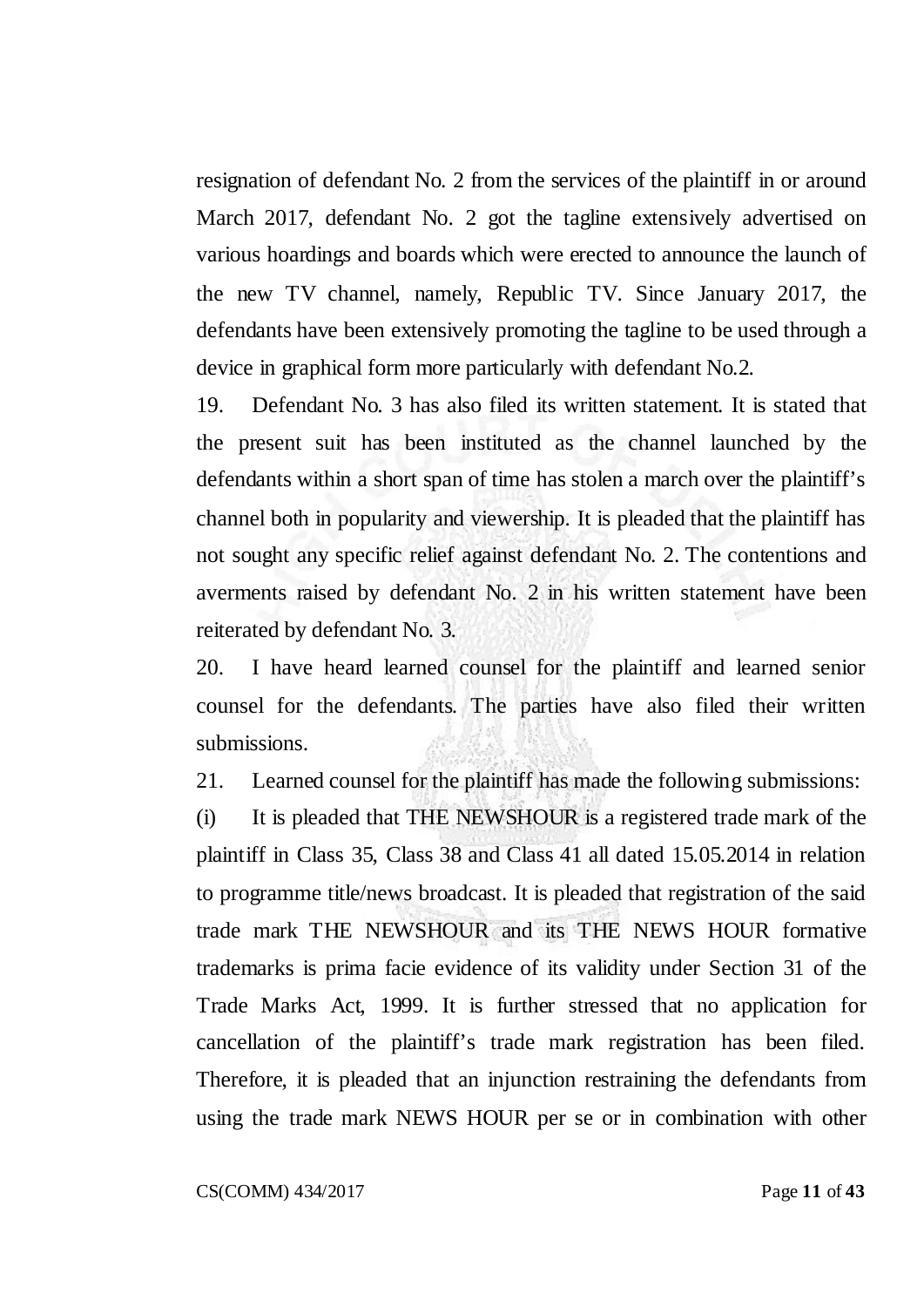resignation of defendant No. 2 from the services of the plaintiff in or around March 2017, defendant No. 2 got the tagline extensively advertised on various hoardings and boards which were erected to announce the launch of the new TV channel, namely, Republic TV. Since January 2017, the defendants have been extensively promoting the tagline to be used through a device in graphical form more particularly with defendant No.2.

19. Defendant No. 3 has also filed its written statement. It is stated that the present suit has been instituted as the channel launched by the defendants within a short span of time has stolen a march over the plaintiff's channel both in popularity and viewership. It is pleaded that the plaintiff has not sought any specific relief against defendant No. 2. The contentions and averments raised by defendant No. 2 in his written statement have been reiterated by defendant No. 3.

20. I have heard learned counsel for the plaintiff and learned senior counsel for the defendants. The parties have also filed their written submissions.

21. Learned counsel for the plaintiff has made the following submissions:

(i) It is pleaded that THE NEWSHOUR is a registered trade mark of the plaintiff in Class 35, Class 38 and Class 41 all dated 15.05.2014 in relation to programme title/news broadcast. It is pleaded that registration of the said trade mark THE NEWSHOUR and its THE NEWS HOUR formative trademarks is prima facie evidence of its validity under Section 31 of the Trade Marks Act, 1999. It is further stressed that no application for cancellation of the plaintiff's trade mark registration has been filed. Therefore, it is pleaded that an injunction restraining the defendants from using the trade mark NEWS HOUR per se or in combination with other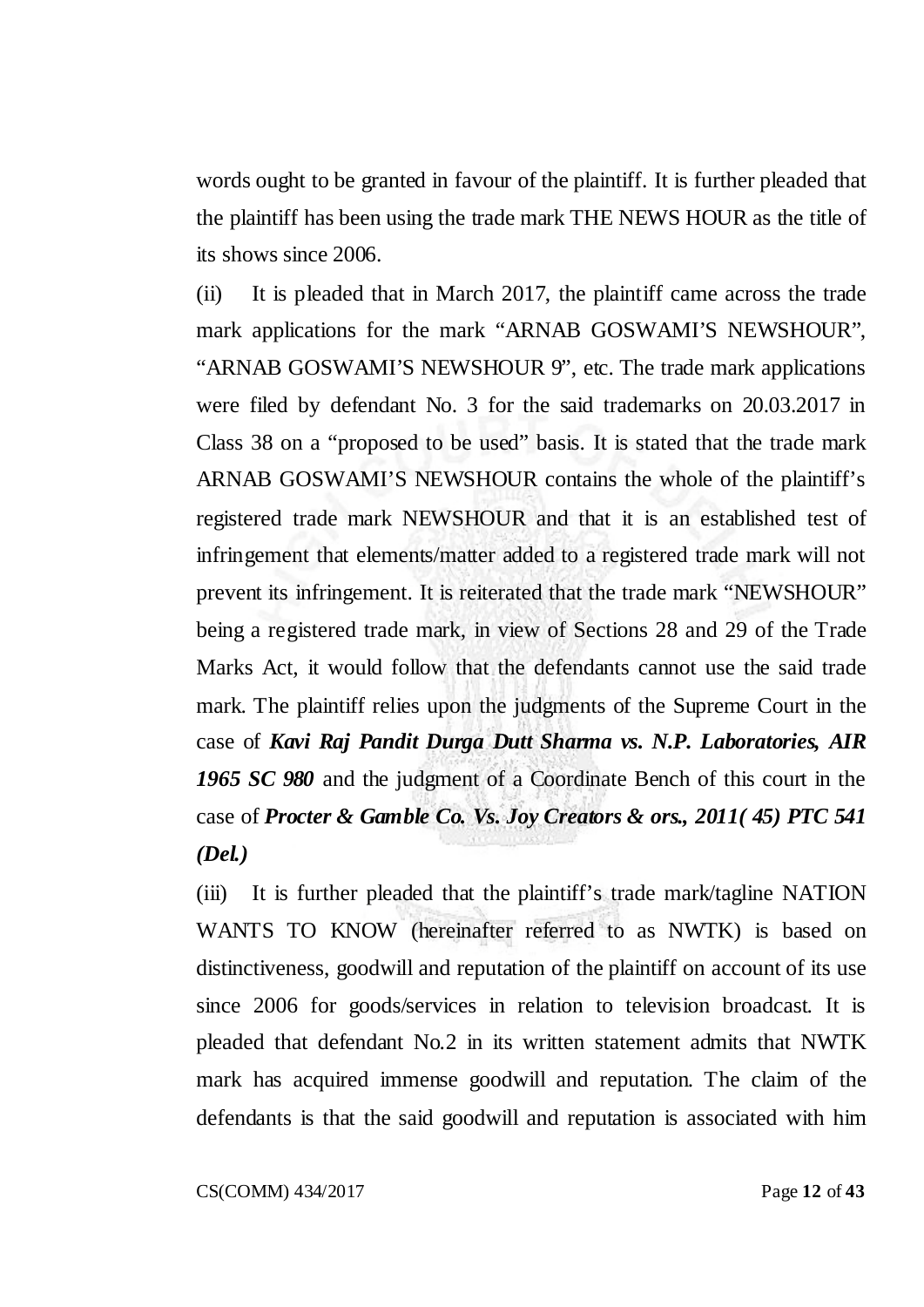words ought to be granted in favour of the plaintiff. It is further pleaded that the plaintiff has been using the trade mark THE NEWS HOUR as the title of its shows since 2006.

(ii) It is pleaded that in March 2017, the plaintiff came across the trade mark applications for the mark "ARNAB GOSWAMI'S NEWSHOUR", "ARNAB GOSWAMI'S NEWSHOUR 9", etc. The trade mark applications were filed by defendant No. 3 for the said trademarks on 20.03.2017 in Class 38 on a "proposed to be used" basis. It is stated that the trade mark ARNAB GOSWAMI'S NEWSHOUR contains the whole of the plaintiff's registered trade mark NEWSHOUR and that it is an established test of infringement that elements/matter added to a registered trade mark will not prevent its infringement. It is reiterated that the trade mark "NEWSHOUR" being a registered trade mark, in view of Sections 28 and 29 of the Trade Marks Act, it would follow that the defendants cannot use the said trade mark. The plaintiff relies upon the judgments of the Supreme Court in the case of *Kavi Raj Pandit Durga Dutt Sharma vs. N.P. Laboratories, AIR 1965 SC 980* and the judgment of a Coordinate Bench of this court in the case of *Procter & Gamble Co. Vs. Joy Creators & ors., 2011( 45) PTC 541 (Del.)*

(iii) It is further pleaded that the plaintiff's trade mark/tagline NATION WANTS TO KNOW (hereinafter referred to as NWTK) is based on distinctiveness, goodwill and reputation of the plaintiff on account of its use since 2006 for goods/services in relation to television broadcast. It is pleaded that defendant No.2 in its written statement admits that NWTK mark has acquired immense goodwill and reputation. The claim of the defendants is that the said goodwill and reputation is associated with him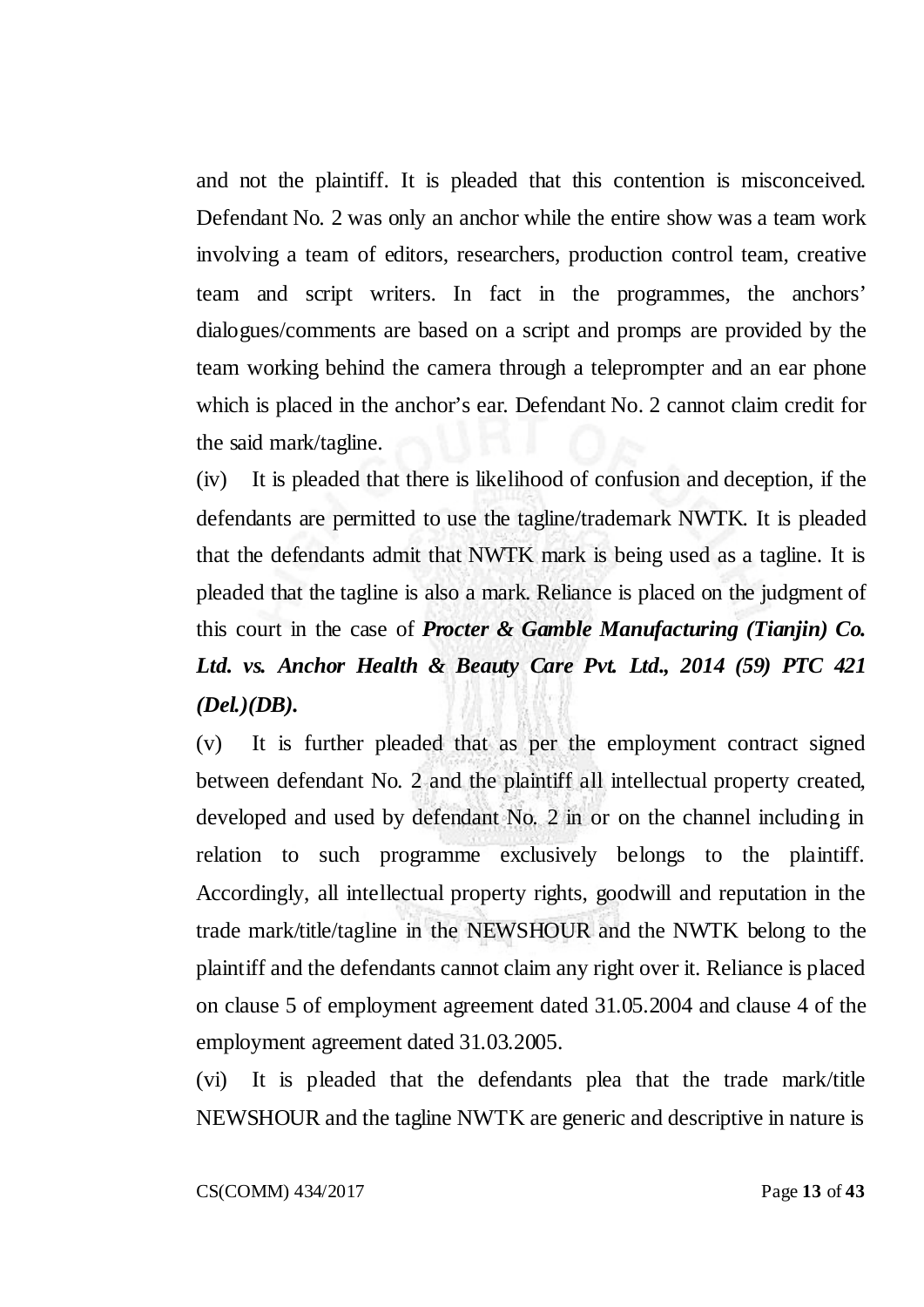and not the plaintiff. It is pleaded that this contention is misconceived. Defendant No. 2 was only an anchor while the entire show was a team work involving a team of editors, researchers, production control team, creative team and script writers. In fact in the programmes, the anchors' dialogues/comments are based on a script and promps are provided by the team working behind the camera through a teleprompter and an ear phone which is placed in the anchor's ear. Defendant No. 2 cannot claim credit for the said mark/tagline.

(iv) It is pleaded that there is likelihood of confusion and deception, if the defendants are permitted to use the tagline/trademark NWTK. It is pleaded that the defendants admit that NWTK mark is being used as a tagline. It is pleaded that the tagline is also a mark. Reliance is placed on the judgment of this court in the case of *Procter & Gamble Manufacturing (Tianjin) Co. Ltd. vs. Anchor Health & Beauty Care Pvt. Ltd., 2014 (59) PTC 421 (Del.)(DB).*

(v) It is further pleaded that as per the employment contract signed between defendant No. 2 and the plaintiff all intellectual property created, developed and used by defendant No. 2 in or on the channel including in relation to such programme exclusively belongs to the plaintiff. Accordingly, all intellectual property rights, goodwill and reputation in the trade mark/title/tagline in the NEWSHOUR and the NWTK belong to the plaintiff and the defendants cannot claim any right over it. Reliance is placed on clause 5 of employment agreement dated 31.05.2004 and clause 4 of the employment agreement dated 31.03.2005.

(vi) It is pleaded that the defendants plea that the trade mark/title NEWSHOUR and the tagline NWTK are generic and descriptive in nature is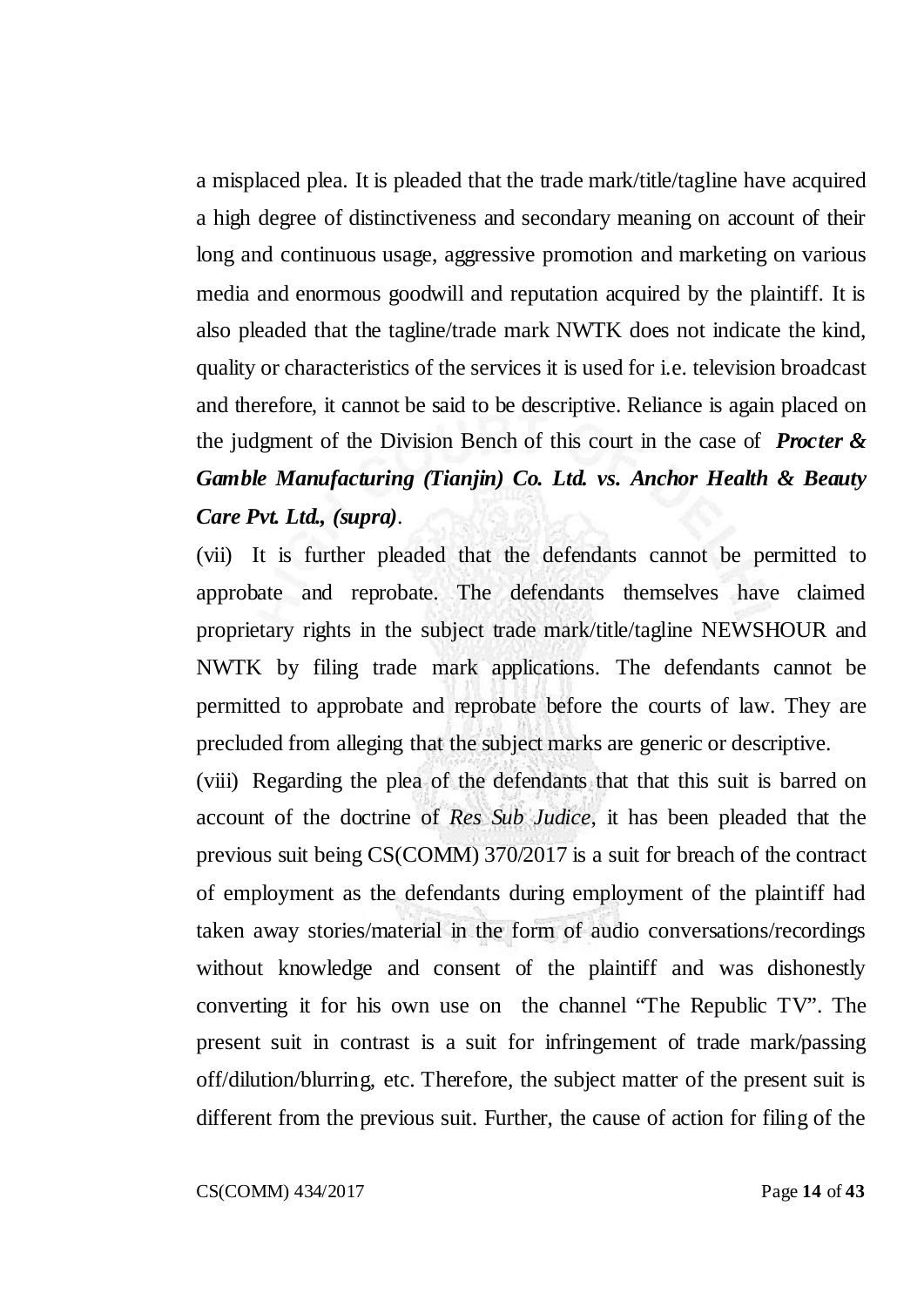a misplaced plea. It is pleaded that the trade mark/title/tagline have acquired a high degree of distinctiveness and secondary meaning on account of their long and continuous usage, aggressive promotion and marketing on various media and enormous goodwill and reputation acquired by the plaintiff. It is also pleaded that the tagline/trade mark NWTK does not indicate the kind, quality or characteristics of the services it is used for i.e. television broadcast and therefore, it cannot be said to be descriptive. Reliance is again placed on the judgment of the Division Bench of this court in the case of *Procter & Gamble Manufacturing (Tianjin) Co. Ltd. vs. Anchor Health & Beauty Care Pvt. Ltd., (supra)*.

(vii) It is further pleaded that the defendants cannot be permitted to approbate and reprobate. The defendants themselves have claimed proprietary rights in the subject trade mark/title/tagline NEWSHOUR and NWTK by filing trade mark applications. The defendants cannot be permitted to approbate and reprobate before the courts of law. They are precluded from alleging that the subject marks are generic or descriptive.

(viii) Regarding the plea of the defendants that that this suit is barred on account of the doctrine of *Res Sub Judice*, it has been pleaded that the previous suit being CS(COMM) 370/2017 is a suit for breach of the contract of employment as the defendants during employment of the plaintiff had taken away stories/material in the form of audio conversations/recordings without knowledge and consent of the plaintiff and was dishonestly converting it for his own use on the channel "The Republic TV". The present suit in contrast is a suit for infringement of trade mark/passing off/dilution/blurring, etc. Therefore, the subject matter of the present suit is different from the previous suit. Further, the cause of action for filing of the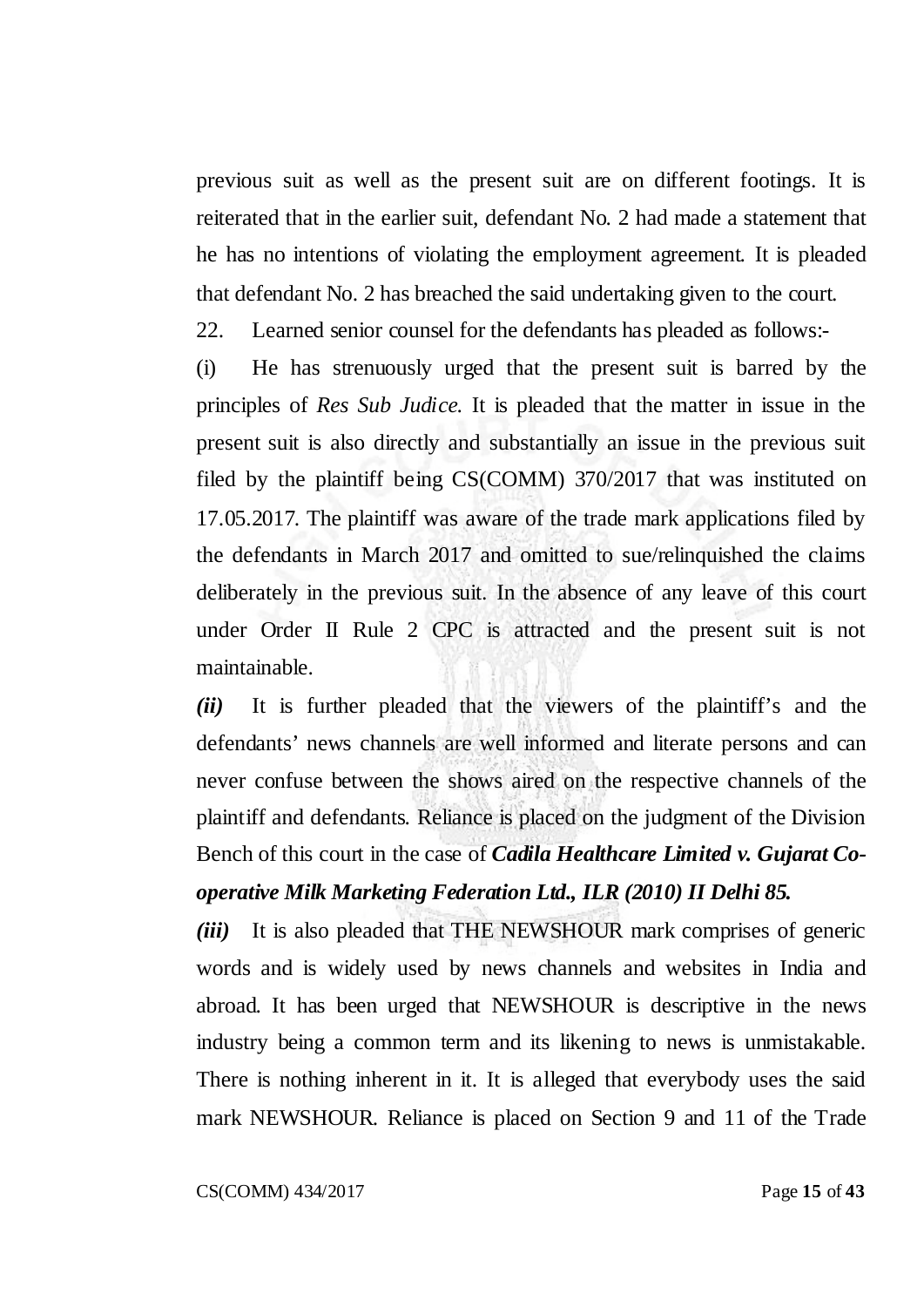previous suit as well as the present suit are on different footings. It is reiterated that in the earlier suit, defendant No. 2 had made a statement that he has no intentions of violating the employment agreement. It is pleaded that defendant No. 2 has breached the said undertaking given to the court.

22. Learned senior counsel for the defendants has pleaded as follows:-

(i) He has strenuously urged that the present suit is barred by the principles of *Res Sub Judice*. It is pleaded that the matter in issue in the present suit is also directly and substantially an issue in the previous suit filed by the plaintiff being CS(COMM) 370/2017 that was instituted on 17.05.2017. The plaintiff was aware of the trade mark applications filed by the defendants in March 2017 and omitted to sue/relinquished the claims deliberately in the previous suit. In the absence of any leave of this court under Order II Rule 2 CPC is attracted and the present suit is not maintainable.

*(ii)* It is further pleaded that the viewers of the plaintiff's and the defendants' news channels are well informed and literate persons and can never confuse between the shows aired on the respective channels of the plaintiff and defendants. Reliance is placed on the judgment of the Division Bench of this court in the case of *Cadila Healthcare Limited v. Gujarat Cooperative Milk Marketing Federation Ltd., ILR (2010) II Delhi 85.*

*(iii)* It is also pleaded that THE NEWSHOUR mark comprises of generic words and is widely used by news channels and websites in India and abroad. It has been urged that NEWSHOUR is descriptive in the news industry being a common term and its likening to news is unmistakable. There is nothing inherent in it. It is alleged that everybody uses the said mark NEWSHOUR. Reliance is placed on Section 9 and 11 of the Trade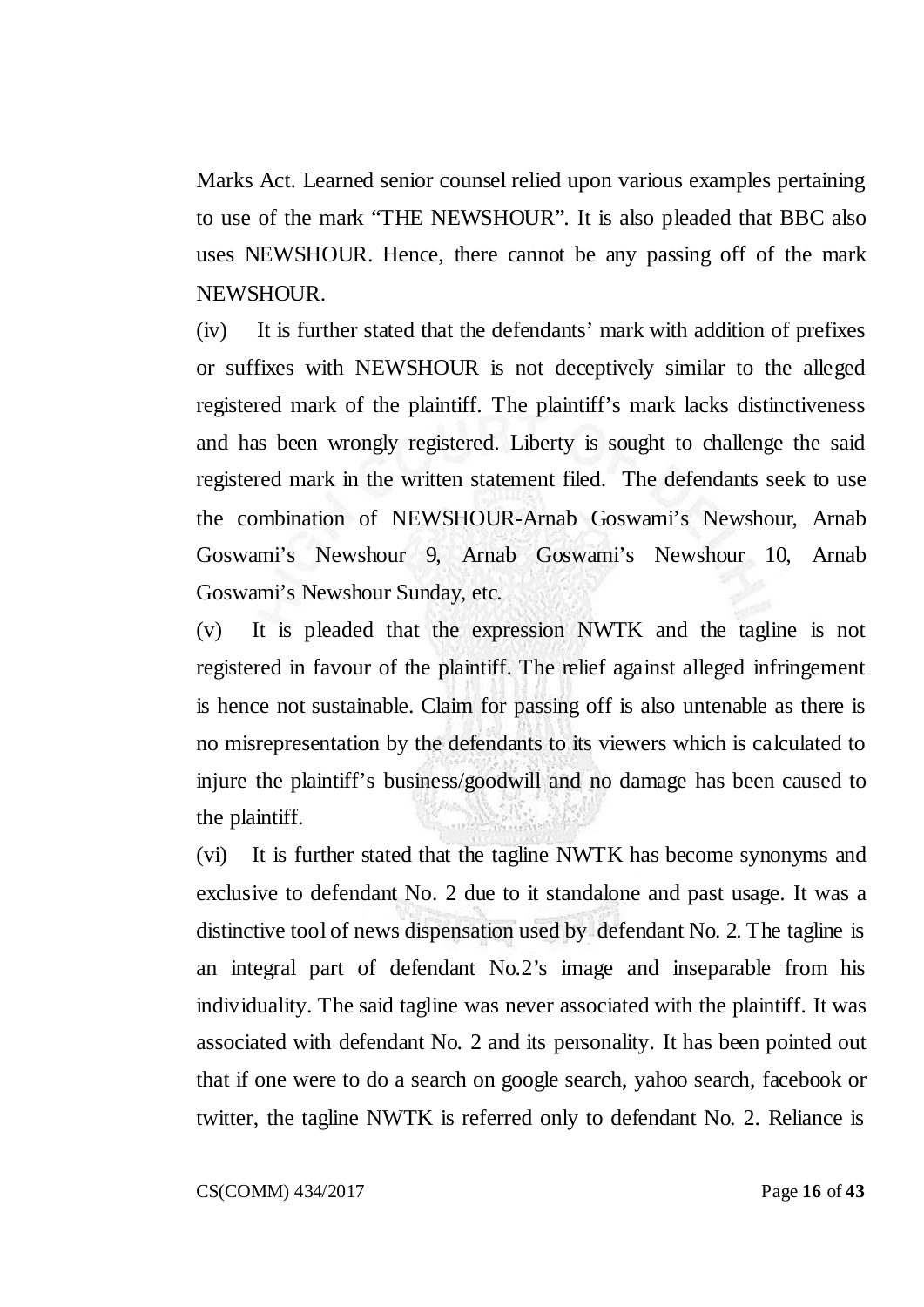Marks Act. Learned senior counsel relied upon various examples pertaining to use of the mark "THE NEWSHOUR". It is also pleaded that BBC also uses NEWSHOUR. Hence, there cannot be any passing off of the mark NEWSHOUR.

(iv) It is further stated that the defendants' mark with addition of prefixes or suffixes with NEWSHOUR is not deceptively similar to the alleged registered mark of the plaintiff. The plaintiff's mark lacks distinctiveness and has been wrongly registered. Liberty is sought to challenge the said registered mark in the written statement filed. The defendants seek to use the combination of NEWSHOUR-Arnab Goswami's Newshour, Arnab Goswami's Newshour 9, Arnab Goswami's Newshour 10, Arnab Goswami's Newshour Sunday, etc.

(v) It is pleaded that the expression NWTK and the tagline is not registered in favour of the plaintiff. The relief against alleged infringement is hence not sustainable. Claim for passing off is also untenable as there is no misrepresentation by the defendants to its viewers which is calculated to injure the plaintiff's business/goodwill and no damage has been caused to the plaintiff.

(vi) It is further stated that the tagline NWTK has become synonyms and exclusive to defendant No. 2 due to it standalone and past usage. It was a distinctive tool of news dispensation used by defendant No. 2. The tagline is an integral part of defendant No.2's image and inseparable from his individuality. The said tagline was never associated with the plaintiff. It was associated with defendant No. 2 and its personality. It has been pointed out that if one were to do a search on google search, yahoo search, facebook or twitter, the tagline NWTK is referred only to defendant No. 2. Reliance is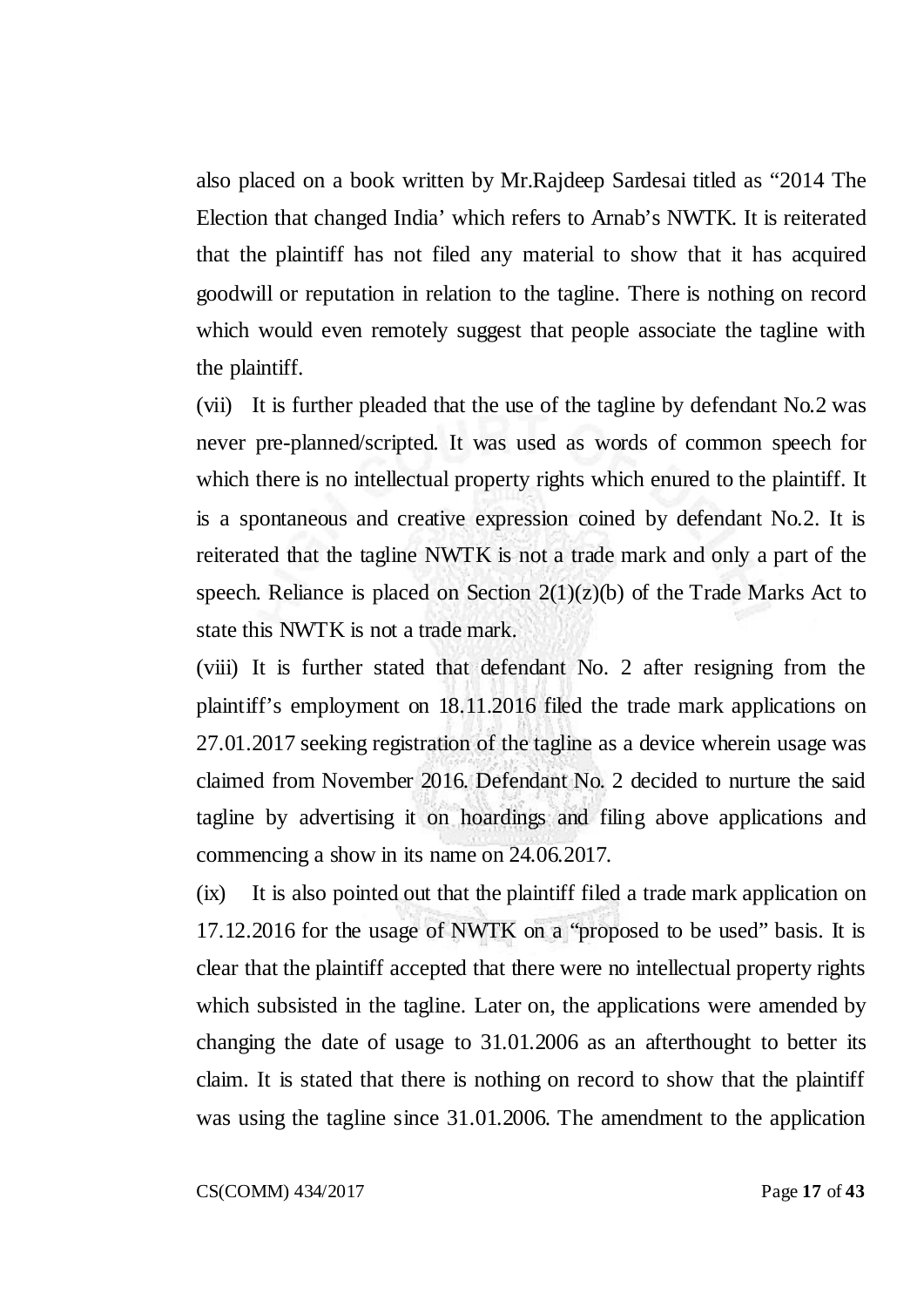also placed on a book written by Mr.Rajdeep Sardesai titled as "2014 The Election that changed India' which refers to Arnab's NWTK. It is reiterated that the plaintiff has not filed any material to show that it has acquired goodwill or reputation in relation to the tagline. There is nothing on record which would even remotely suggest that people associate the tagline with the plaintiff.

(vii) It is further pleaded that the use of the tagline by defendant No.2 was never pre-planned/scripted. It was used as words of common speech for which there is no intellectual property rights which enured to the plaintiff. It is a spontaneous and creative expression coined by defendant No.2. It is reiterated that the tagline NWTK is not a trade mark and only a part of the speech. Reliance is placed on Section  $2(1)(z)(b)$  of the Trade Marks Act to state this NWTK is not a trade mark.

(viii) It is further stated that defendant No. 2 after resigning from the plaintiff's employment on 18.11.2016 filed the trade mark applications on 27.01.2017 seeking registration of the tagline as a device wherein usage was claimed from November 2016. Defendant No. 2 decided to nurture the said tagline by advertising it on hoardings and filing above applications and commencing a show in its name on 24.06.2017.

(ix) It is also pointed out that the plaintiff filed a trade mark application on 17.12.2016 for the usage of NWTK on a "proposed to be used" basis. It is clear that the plaintiff accepted that there were no intellectual property rights which subsisted in the tagline. Later on, the applications were amended by changing the date of usage to 31.01.2006 as an afterthought to better its claim. It is stated that there is nothing on record to show that the plaintiff was using the tagline since 31.01.2006. The amendment to the application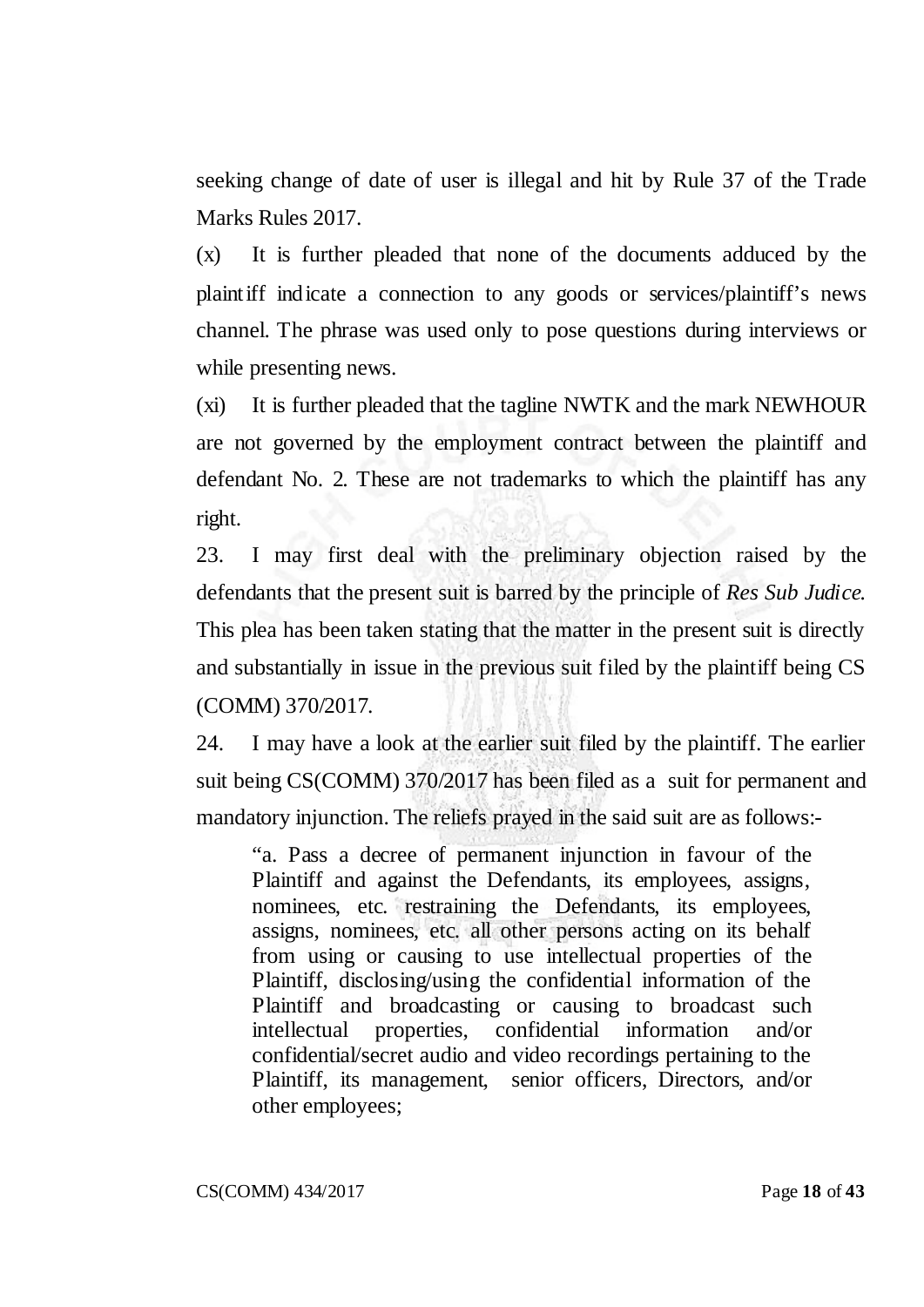seeking change of date of user is illegal and hit by Rule 37 of the Trade Marks Rules 2017.

(x) It is further pleaded that none of the documents adduced by the plaintiff indicate a connection to any goods or services/plaintiff's news channel. The phrase was used only to pose questions during interviews or while presenting news.

(xi) It is further pleaded that the tagline NWTK and the mark NEWHOUR are not governed by the employment contract between the plaintiff and defendant No. 2. These are not trademarks to which the plaintiff has any right.

23. I may first deal with the preliminary objection raised by the defendants that the present suit is barred by the principle of *Res Sub Judice.* This plea has been taken stating that the matter in the present suit is directly and substantially in issue in the previous suit filed by the plaintiff being CS (COMM) 370/2017.

24. I may have a look at the earlier suit filed by the plaintiff. The earlier suit being CS(COMM) 370/2017 has been filed as a suit for permanent and mandatory injunction. The reliefs prayed in the said suit are as follows:-

"a. Pass a decree of permanent injunction in favour of the Plaintiff and against the Defendants, its employees, assigns, nominees, etc. restraining the Defendants, its employees, assigns, nominees, etc. all other persons acting on its behalf from using or causing to use intellectual properties of the Plaintiff, disclosing/using the confidential information of the Plaintiff and broadcasting or causing to broadcast such intellectual properties, confidential information and/or confidential/secret audio and video recordings pertaining to the Plaintiff, its management, senior officers, Directors, and/or other employees;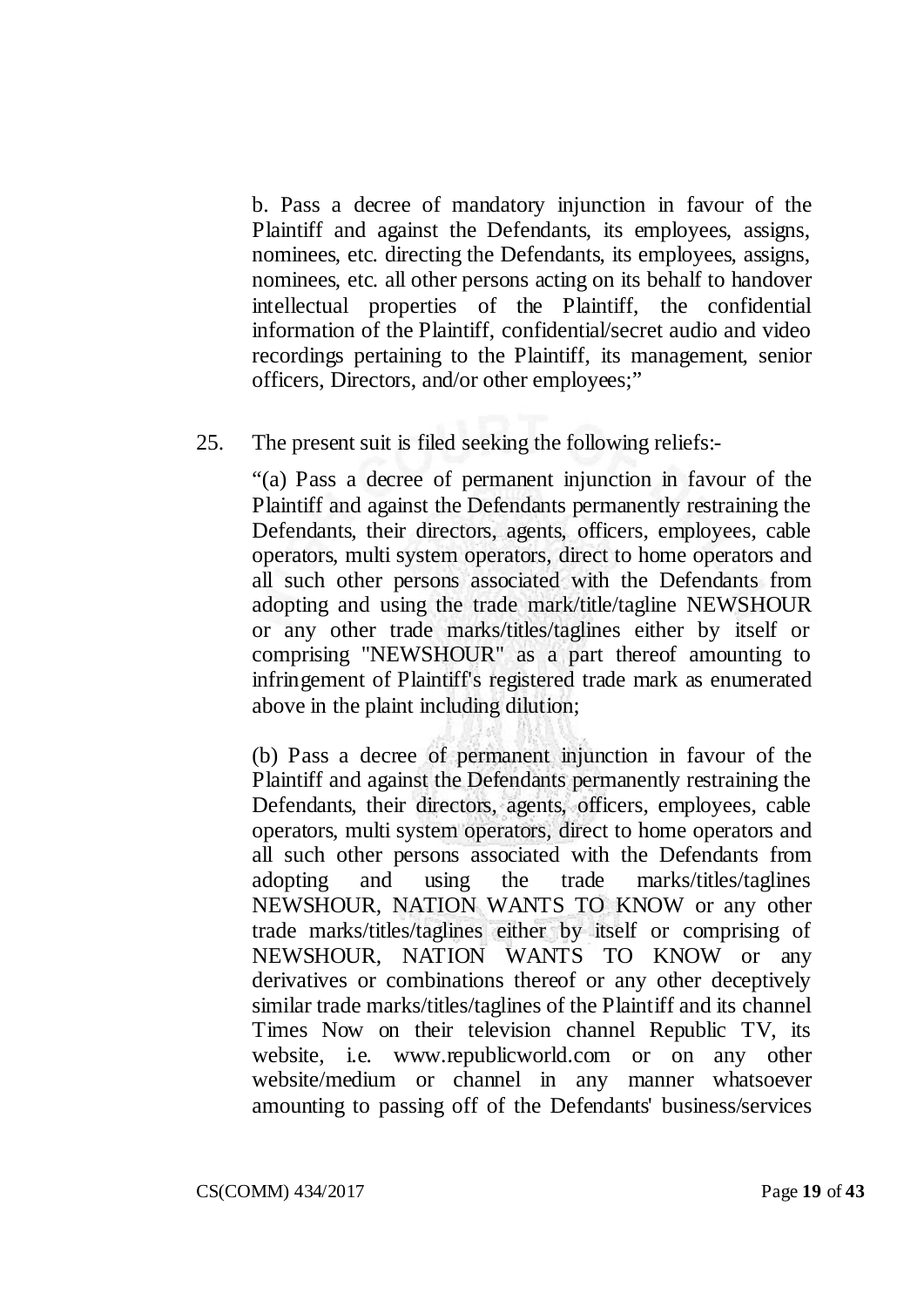b. Pass a decree of mandatory injunction in favour of the Plaintiff and against the Defendants, its employees, assigns, nominees, etc. directing the Defendants, its employees, assigns, nominees, etc. all other persons acting on its behalf to handover intellectual properties of the Plaintiff, the confidential information of the Plaintiff, confidential/secret audio and video recordings pertaining to the Plaintiff, its management, senior officers, Directors, and/or other employees;"

25. The present suit is filed seeking the following reliefs:-

"(a) Pass a decree of permanent injunction in favour of the Plaintiff and against the Defendants permanently restraining the Defendants, their directors, agents, officers, employees, cable operators, multi system operators, direct to home operators and all such other persons associated with the Defendants from adopting and using the trade mark/title/tagline NEWSHOUR or any other trade marks/titles/taglines either by itself or comprising "NEWSHOUR" as a part thereof amounting to infringement of Plaintiff's registered trade mark as enumerated above in the plaint including dilution;

(b) Pass a decree of permanent injunction in favour of the Plaintiff and against the Defendants permanently restraining the Defendants, their directors, agents, officers, employees, cable operators, multi system operators, direct to home operators and all such other persons associated with the Defendants from adopting and using the trade marks/titles/taglines NEWSHOUR, NATION WANTS TO KNOW or any other trade marks/titles/taglines either by itself or comprising of NEWSHOUR, NATION WANTS TO KNOW or any derivatives or combinations thereof or any other deceptively similar trade marks/titles/taglines of the Plaintiff and its channel Times Now on their television channel Republic TV, its website, i.e. www.republicworld.com or on any other website/medium or channel in any manner whatsoever amounting to passing off of the Defendants' business/services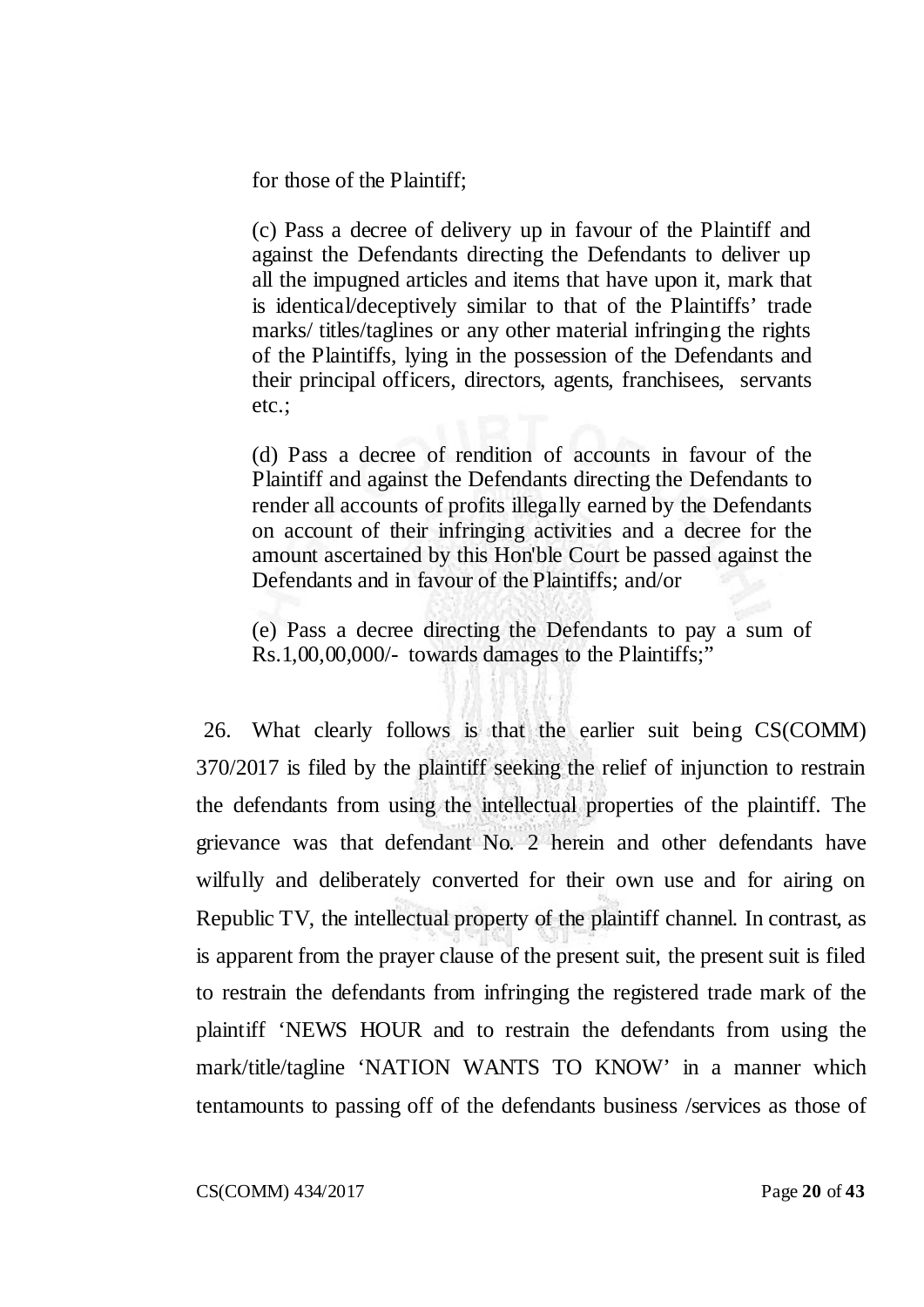for those of the Plaintiff;

(c) Pass a decree of delivery up in favour of the Plaintiff and against the Defendants directing the Defendants to deliver up all the impugned articles and items that have upon it, mark that is identical/deceptively similar to that of the Plaintiffs' trade marks/ titles/taglines or any other material infringing the rights of the Plaintiffs, lying in the possession of the Defendants and their principal officers, directors, agents, franchisees, servants etc.;

(d) Pass a decree of rendition of accounts in favour of the Plaintiff and against the Defendants directing the Defendants to render all accounts of profits illegally earned by the Defendants on account of their infringing activities and a decree for the amount ascertained by this Hon'ble Court be passed against the Defendants and in favour of the Plaintiffs; and/or

(e) Pass a decree directing the Defendants to pay a sum of Rs.1,00,00,000/- towards damages to the Plaintiffs;"

26. What clearly follows is that the earlier suit being CS(COMM) 370/2017 is filed by the plaintiff seeking the relief of injunction to restrain the defendants from using the intellectual properties of the plaintiff. The grievance was that defendant No. 2 herein and other defendants have wilfully and deliberately converted for their own use and for airing on Republic TV, the intellectual property of the plaintiff channel. In contrast, as is apparent from the prayer clause of the present suit, the present suit is filed to restrain the defendants from infringing the registered trade mark of the plaintiff 'NEWS HOUR and to restrain the defendants from using the mark/title/tagline 'NATION WANTS TO KNOW' in a manner which tentamounts to passing off of the defendants business /services as those of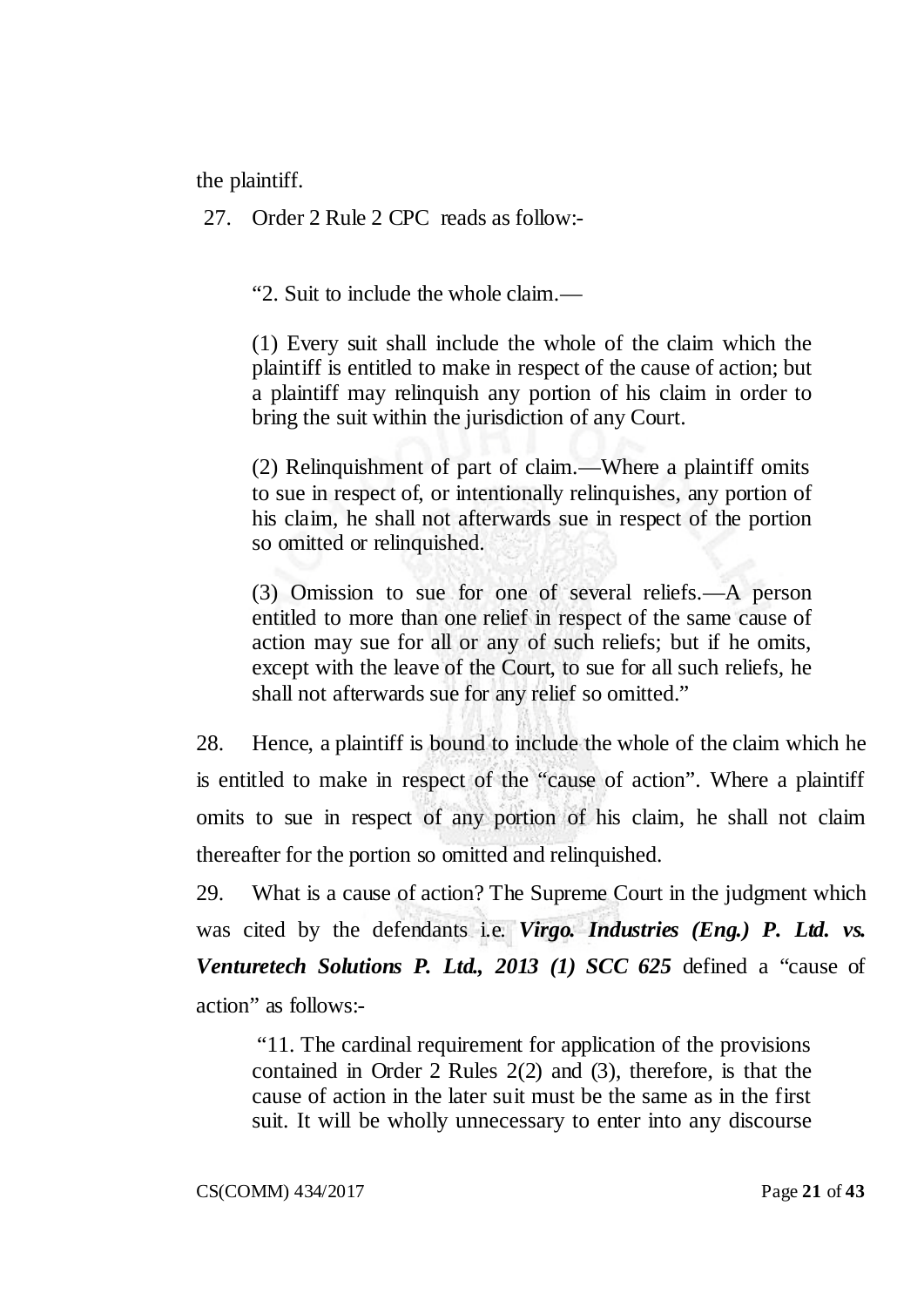the plaintiff.

27. Order 2 Rule 2 CPC reads as follow:-

"2. Suit to include the whole claim.—

(1) Every suit shall include the whole of the claim which the plaintiff is entitled to make in respect of the cause of action; but a plaintiff may relinquish any portion of his claim in order to bring the suit within the jurisdiction of any Court.

(2) Relinquishment of part of claim.—Where a plaintiff omits to sue in respect of, or intentionally relinquishes, any portion of his claim, he shall not afterwards sue in respect of the portion so omitted or relinquished.

(3) Omission to sue for one of several reliefs.—A person entitled to more than one relief in respect of the same cause of action may sue for all or any of such reliefs; but if he omits, except with the leave of the Court, to sue for all such reliefs, he shall not afterwards sue for any relief so omitted."

28. Hence, a plaintiff is bound to include the whole of the claim which he is entitled to make in respect of the "cause of action". Where a plaintiff omits to sue in respect of any portion of his claim, he shall not claim thereafter for the portion so omitted and relinquished.

29. What is a cause of action? The Supreme Court in the judgment which was cited by the defendants i.e. *Virgo. Industries (Eng.) P. Ltd. vs. Venturetech Solutions P. Ltd., 2013 (1) SCC 625* defined a "cause of action" as follows:-

"11. The cardinal requirement for application of the provisions contained in Order 2 Rules 2(2) and (3), therefore, is that the cause of action in the later suit must be the same as in the first suit. It will be wholly unnecessary to enter into any discourse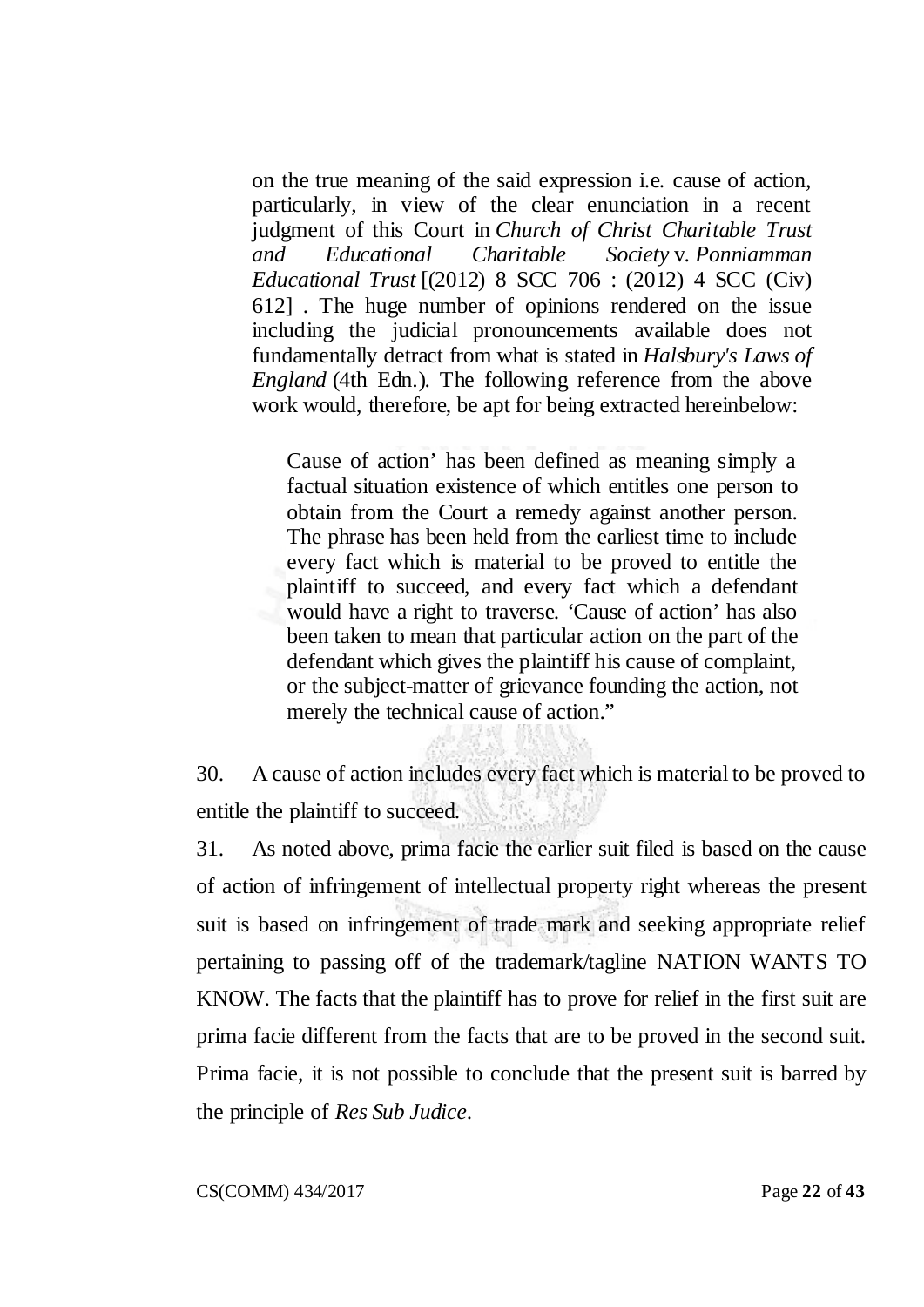on the true meaning of the said expression i.e. cause of action, particularly, in view of the clear enunciation in a recent judgment of this Court in *Church of Christ Charitable Trust and Educational Charitable Society* v. *Ponniamman Educational Trust* [(2012) 8 SCC 706 : (2012) 4 SCC (Civ) 612] . The huge number of opinions rendered on the issue including the judicial pronouncements available does not fundamentally detract from what is stated in *Halsbury's Laws of England* (4th Edn.). The following reference from the above work would, therefore, be apt for being extracted hereinbelow:

Cause of action' has been defined as meaning simply a factual situation existence of which entitles one person to obtain from the Court a remedy against another person. The phrase has been held from the earliest time to include every fact which is material to be proved to entitle the plaintiff to succeed, and every fact which a defendant would have a right to traverse. 'Cause of action' has also been taken to mean that particular action on the part of the defendant which gives the plaintiff his cause of complaint, or the subject-matter of grievance founding the action, not merely the technical cause of action."

30. A cause of action includes every fact which is material to be proved to entitle the plaintiff to succeed.

31. As noted above, prima facie the earlier suit filed is based on the cause of action of infringement of intellectual property right whereas the present suit is based on infringement of trade mark and seeking appropriate relief pertaining to passing off of the trademark/tagline NATION WANTS TO KNOW. The facts that the plaintiff has to prove for relief in the first suit are prima facie different from the facts that are to be proved in the second suit. Prima facie, it is not possible to conclude that the present suit is barred by the principle of *Res Sub Judice*.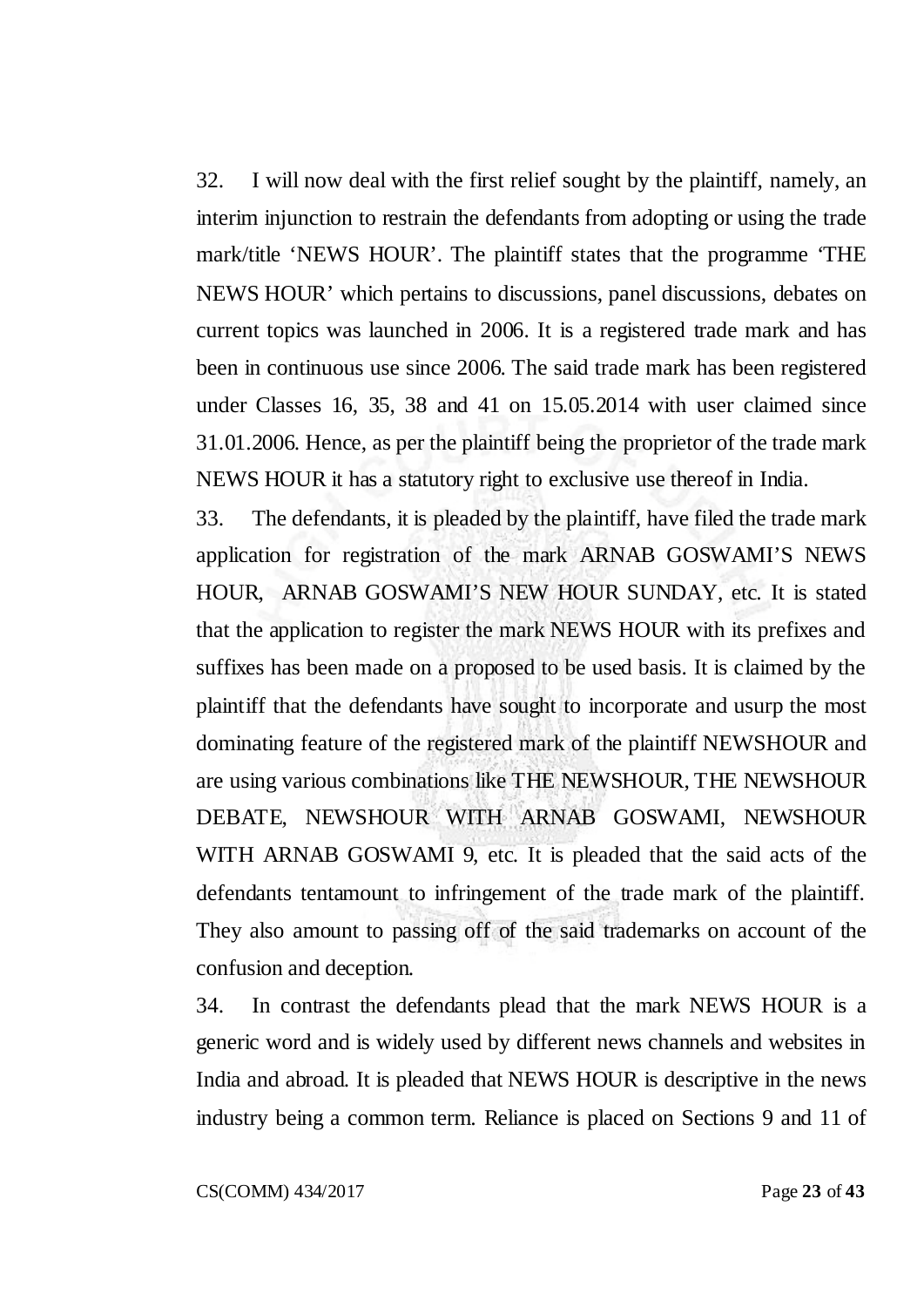32. I will now deal with the first relief sought by the plaintiff, namely, an interim injunction to restrain the defendants from adopting or using the trade mark/title 'NEWS HOUR'. The plaintiff states that the programme 'THE NEWS HOUR' which pertains to discussions, panel discussions, debates on current topics was launched in 2006. It is a registered trade mark and has been in continuous use since 2006. The said trade mark has been registered under Classes 16, 35, 38 and 41 on 15.05.2014 with user claimed since 31.01.2006. Hence, as per the plaintiff being the proprietor of the trade mark NEWS HOUR it has a statutory right to exclusive use thereof in India.

33. The defendants, it is pleaded by the plaintiff, have filed the trade mark application for registration of the mark ARNAB GOSWAMI'S NEWS HOUR, ARNAB GOSWAMI'S NEW HOUR SUNDAY, etc. It is stated that the application to register the mark NEWS HOUR with its prefixes and suffixes has been made on a proposed to be used basis. It is claimed by the plaintiff that the defendants have sought to incorporate and usurp the most dominating feature of the registered mark of the plaintiff NEWSHOUR and are using various combinations like THE NEWSHOUR, THE NEWSHOUR DEBATE, NEWSHOUR WITH ARNAB GOSWAMI, NEWSHOUR WITH ARNAB GOSWAMI 9, etc. It is pleaded that the said acts of the defendants tentamount to infringement of the trade mark of the plaintiff. They also amount to passing off of the said trademarks on account of the confusion and deception.

34. In contrast the defendants plead that the mark NEWS HOUR is a generic word and is widely used by different news channels and websites in India and abroad. It is pleaded that NEWS HOUR is descriptive in the news industry being a common term. Reliance is placed on Sections 9 and 11 of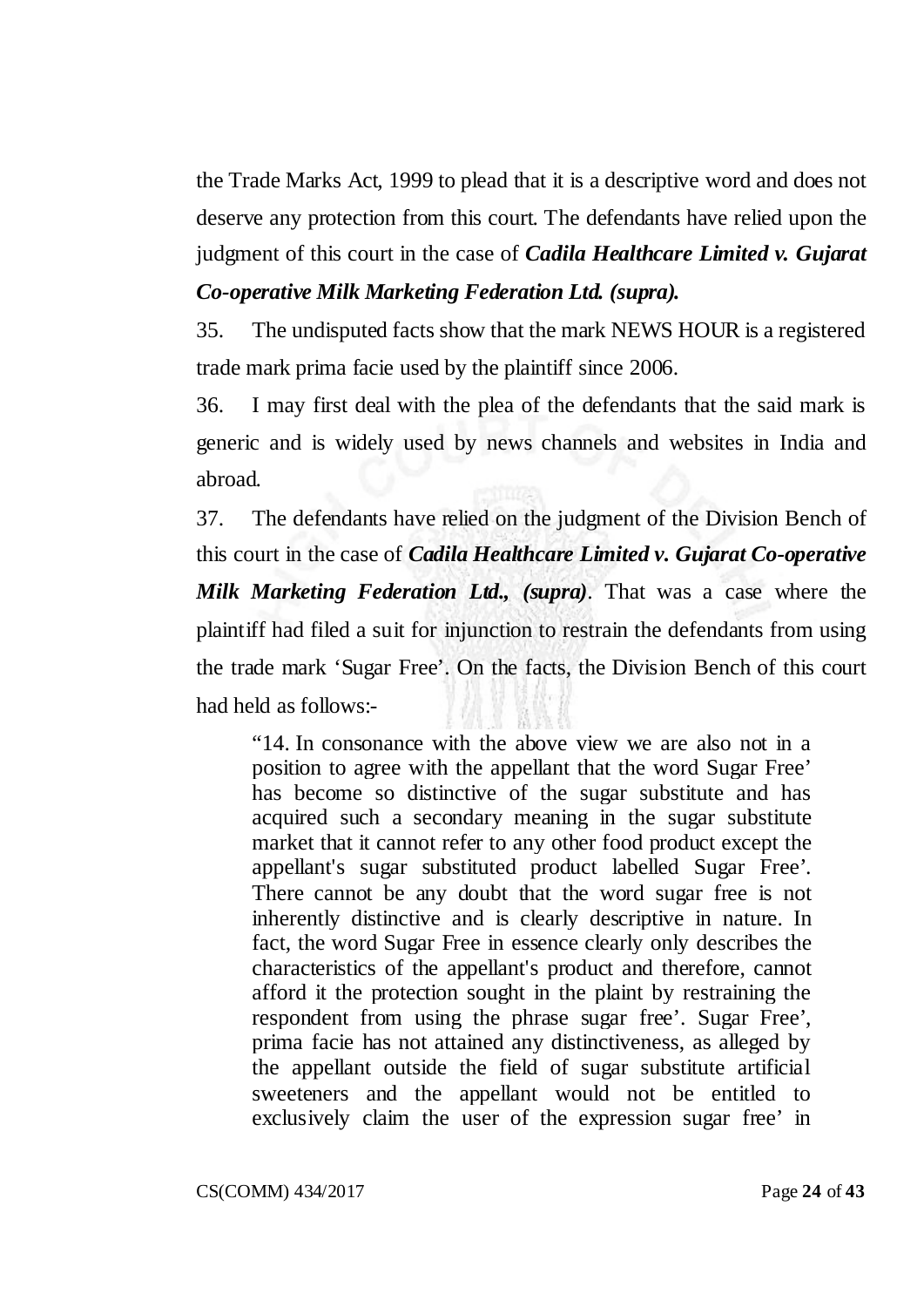the Trade Marks Act, 1999 to plead that it is a descriptive word and does not deserve any protection from this court. The defendants have relied upon the judgment of this court in the case of *Cadila Healthcare Limited v. Gujarat* 

# *Co-operative Milk Marketing Federation Ltd. (supra).*

35. The undisputed facts show that the mark NEWS HOUR is a registered trade mark prima facie used by the plaintiff since 2006.

36. I may first deal with the plea of the defendants that the said mark is generic and is widely used by news channels and websites in India and abroad.

37. The defendants have relied on the judgment of the Division Bench of this court in the case of *Cadila Healthcare Limited v. Gujarat Co-operative Milk Marketing Federation Ltd., (supra)*. That was a case where the plaintiff had filed a suit for injunction to restrain the defendants from using the trade mark 'Sugar Free'. On the facts, the Division Bench of this court had held as follows:-

"14. In consonance with the above view we are also not in a position to agree with the appellant that the word Sugar Free' has become so distinctive of the sugar substitute and has acquired such a secondary meaning in the sugar substitute market that it cannot refer to any other food product except the appellant's sugar substituted product labelled Sugar Free'. There cannot be any doubt that the word sugar free is not inherently distinctive and is clearly descriptive in nature. In fact, the word Sugar Free in essence clearly only describes the characteristics of the appellant's product and therefore, cannot afford it the protection sought in the plaint by restraining the respondent from using the phrase sugar free'. Sugar Free', prima facie has not attained any distinctiveness, as alleged by the appellant outside the field of sugar substitute artificial sweeteners and the appellant would not be entitled to exclusively claim the user of the expression sugar free' in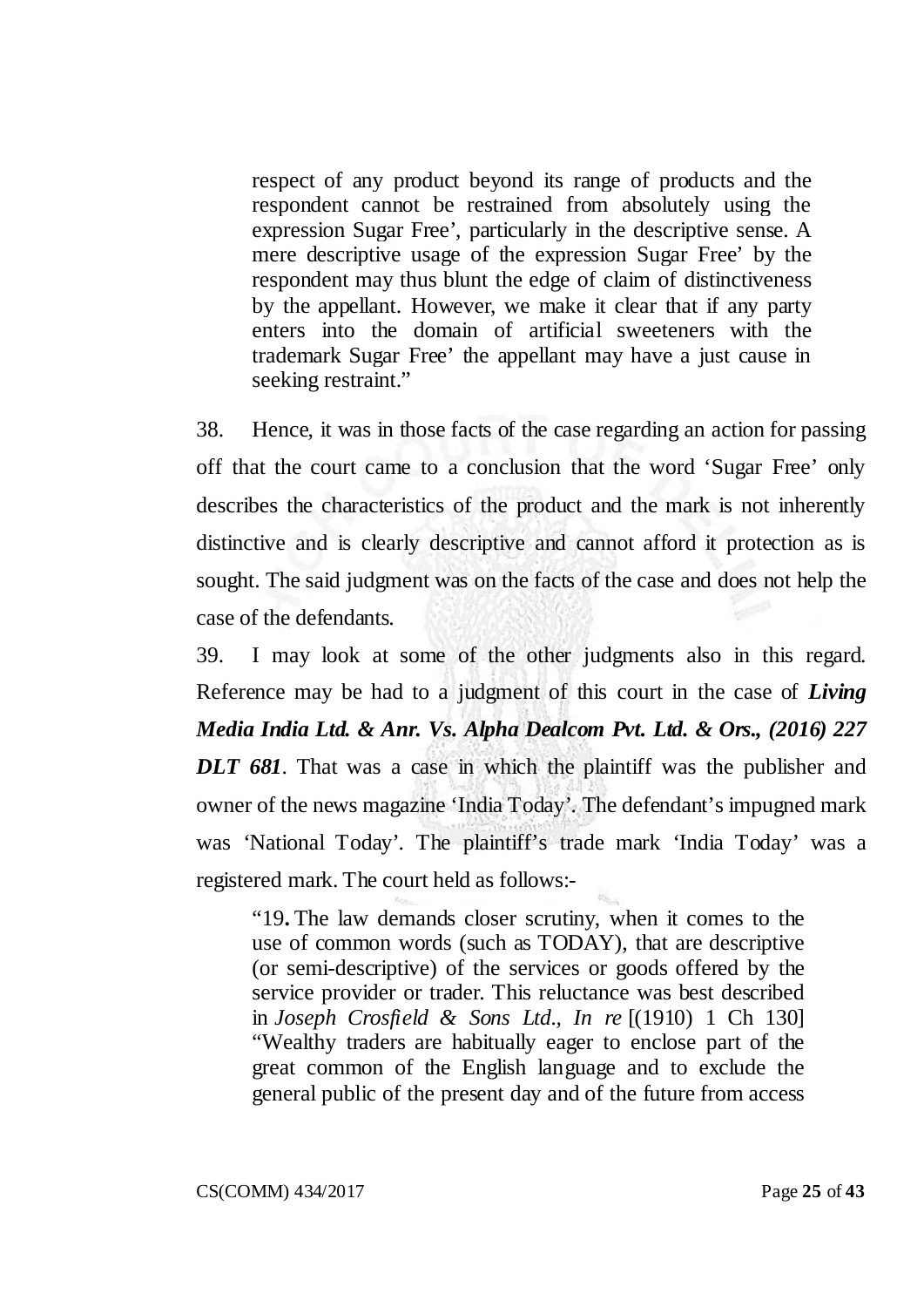respect of any product beyond its range of products and the respondent cannot be restrained from absolutely using the expression Sugar Free', particularly in the descriptive sense. A mere descriptive usage of the expression Sugar Free' by the respondent may thus blunt the edge of claim of distinctiveness by the appellant. However, we make it clear that if any party enters into the domain of artificial sweeteners with the trademark Sugar Free' the appellant may have a just cause in seeking restraint."

38. Hence, it was in those facts of the case regarding an action for passing off that the court came to a conclusion that the word 'Sugar Free' only describes the characteristics of the product and the mark is not inherently distinctive and is clearly descriptive and cannot afford it protection as is sought. The said judgment was on the facts of the case and does not help the case of the defendants.

39. I may look at some of the other judgments also in this regard. Reference may be had to a judgment of this court in the case of *Living Media India Ltd. & Anr. Vs. Alpha Dealcom Pvt. Ltd. & Ors., (2016) 227 DLT 681*. That was a case in which the plaintiff was the publisher and owner of the news magazine 'India Today'. The defendant's impugned mark was 'National Today'. The plaintiff's trade mark 'India Today' was a registered mark. The court held as follows:-

"19**.** The law demands closer scrutiny, when it comes to the use of common words (such as TODAY), that are descriptive (or semi-descriptive) of the services or goods offered by the service provider or trader. This reluctance was best described in *Joseph Crosfield & Sons Ltd., In re* [(1910) 1 Ch 130] "Wealthy traders are habitually eager to enclose part of the great common of the English language and to exclude the general public of the present day and of the future from access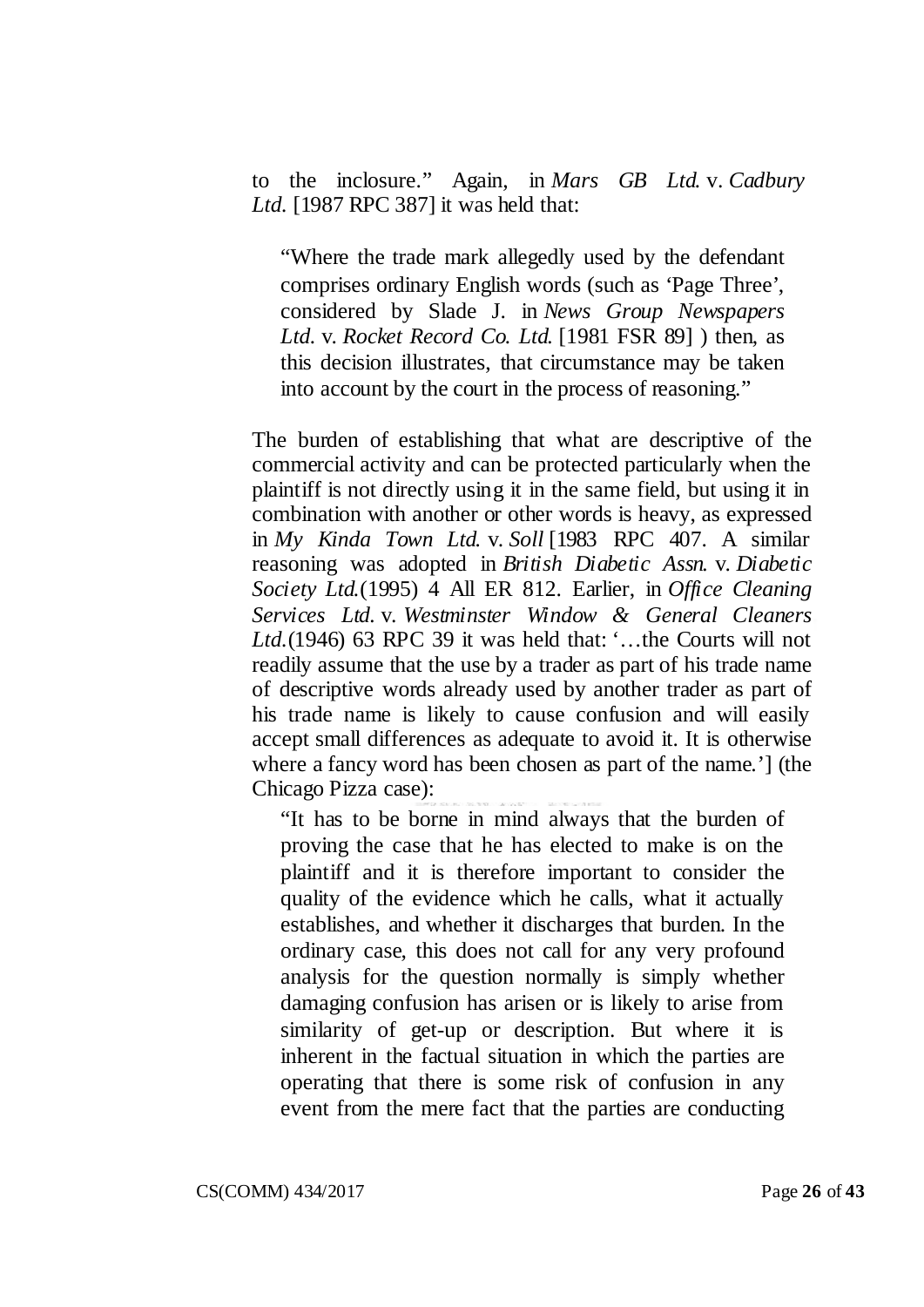to the inclosure." Again, in *Mars GB Ltd.* v. *Cadbury Ltd.* [1987 RPC 387] it was held that:

"Where the trade mark allegedly used by the defendant comprises ordinary English words (such as 'Page Three', considered by Slade J. in *News Group Newspapers Ltd.* v. *Rocket Record Co. Ltd.* [1981 FSR 89] ) then, as this decision illustrates, that circumstance may be taken into account by the court in the process of reasoning."

The burden of establishing that what are descriptive of the commercial activity and can be protected particularly when the plaintiff is not directly using it in the same field, but using it in combination with another or other words is heavy, as expressed in *My Kinda Town Ltd.* v. *Soll* [1983 RPC 407. A similar reasoning was adopted in *British Diabetic Assn.* v. *Diabetic Society Ltd.*(1995) 4 All ER 812. Earlier, in *Office Cleaning Services Ltd.* v. *Westminster Window & General Cleaners Ltd.*(1946) 63 RPC 39 it was held that: '…the Courts will not readily assume that the use by a trader as part of his trade name of descriptive words already used by another trader as part of his trade name is likely to cause confusion and will easily accept small differences as adequate to avoid it. It is otherwise where a fancy word has been chosen as part of the name.'] (the Chicago Pizza case):

"It has to be borne in mind always that the burden of proving the case that he has elected to make is on the plaintiff and it is therefore important to consider the quality of the evidence which he calls, what it actually establishes, and whether it discharges that burden. In the ordinary case, this does not call for any very profound analysis for the question normally is simply whether damaging confusion has arisen or is likely to arise from similarity of get-up or description. But where it is inherent in the factual situation in which the parties are operating that there is some risk of confusion in any event from the mere fact that the parties are conducting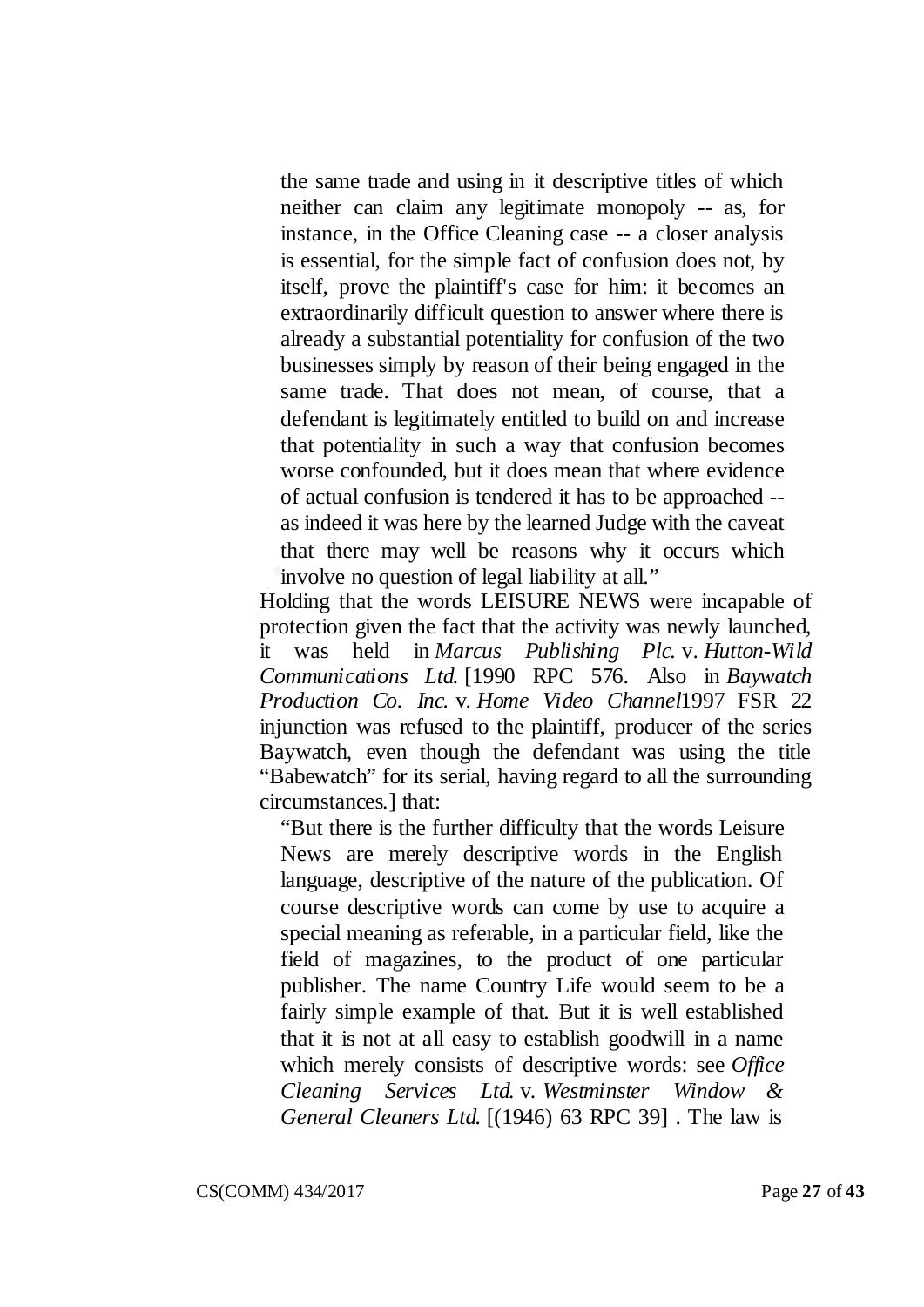the same trade and using in it descriptive titles of which neither can claim any legitimate monopoly -- as, for instance, in the Office Cleaning case -- a closer analysis is essential, for the simple fact of confusion does not, by itself, prove the plaintiff's case for him: it becomes an extraordinarily difficult question to answer where there is already a substantial potentiality for confusion of the two businesses simply by reason of their being engaged in the same trade. That does not mean, of course, that a defendant is legitimately entitled to build on and increase that potentiality in such a way that confusion becomes worse confounded, but it does mean that where evidence of actual confusion is tendered it has to be approached - as indeed it was here by the learned Judge with the caveat that there may well be reasons why it occurs which involve no question of legal liability at all."

Holding that the words LEISURE NEWS were incapable of protection given the fact that the activity was newly launched, it was held in *Marcus Publishing Plc.* v. *Hutton-Wild Communications Ltd.* [1990 RPC 576. Also in *Baywatch Production Co. Inc.* v. *Home Video Channel*1997 FSR 22 injunction was refused to the plaintiff, producer of the series Baywatch, even though the defendant was using the title "Babewatch" for its serial, having regard to all the surrounding circumstances.] that:

"But there is the further difficulty that the words Leisure News are merely descriptive words in the English language, descriptive of the nature of the publication. Of course descriptive words can come by use to acquire a special meaning as referable, in a particular field, like the field of magazines, to the product of one particular publisher. The name Country Life would seem to be a fairly simple example of that. But it is well established that it is not at all easy to establish goodwill in a name which merely consists of descriptive words: see *Office Cleaning Services Ltd.* v. *Westminster Window & General Cleaners Ltd.* [(1946) 63 RPC 39] . The law is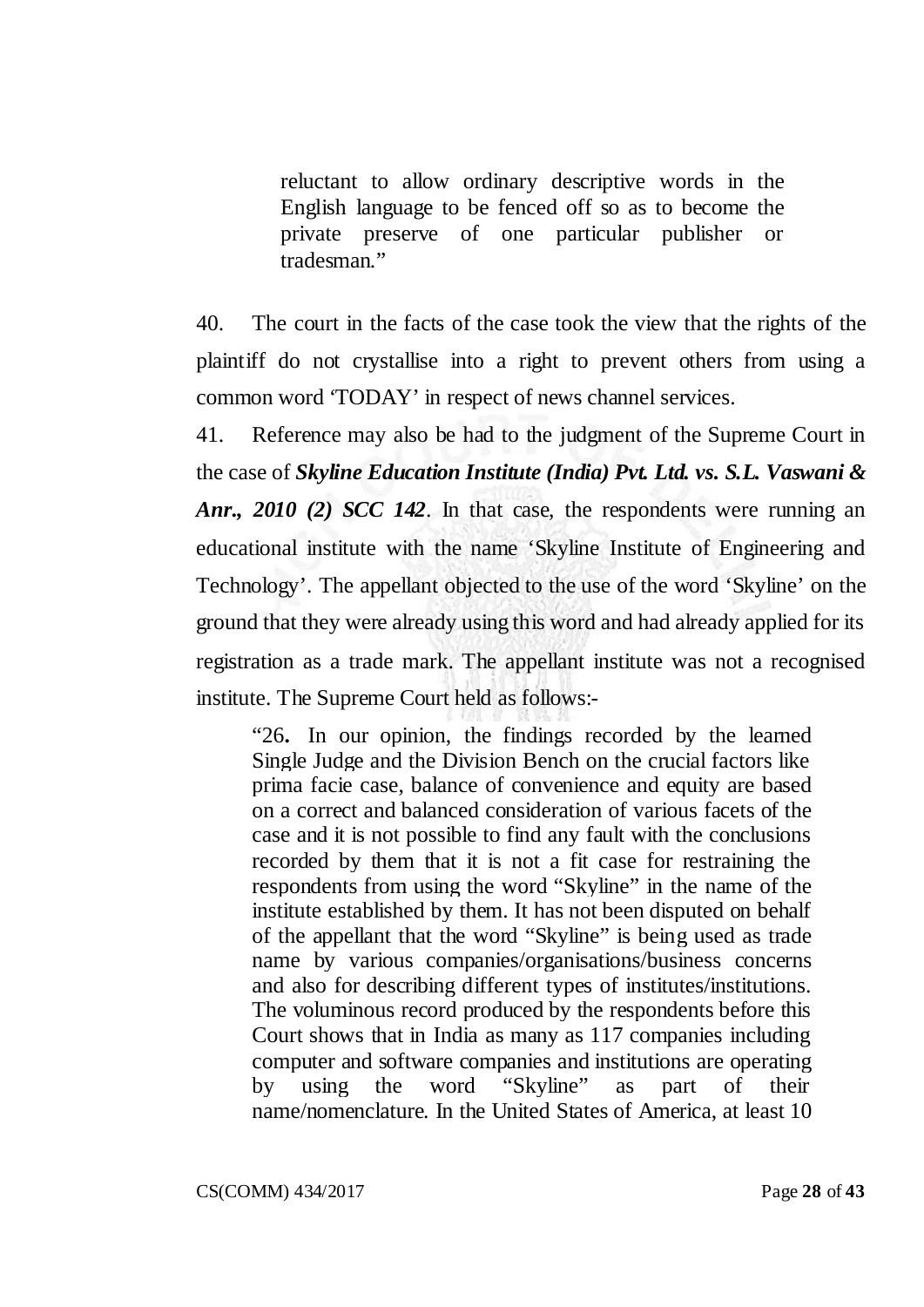reluctant to allow ordinary descriptive words in the English language to be fenced off so as to become the private preserve of one particular publisher or tradesman."

40. The court in the facts of the case took the view that the rights of the plaintiff do not crystallise into a right to prevent others from using a common word 'TODAY' in respect of news channel services.

41. Reference may also be had to the judgment of the Supreme Court in the case of *Skyline Education Institute (India) Pvt. Ltd. vs. S.L. Vaswani & Anr., 2010 (2) SCC 142*. In that case, the respondents were running an educational institute with the name 'Skyline Institute of Engineering and Technology'. The appellant objected to the use of the word 'Skyline' on the ground that they were already using this word and had already applied for its registration as a trade mark. The appellant institute was not a recognised institute. The Supreme Court held as follows:-

"26**.** In our opinion, the findings recorded by the learned Single Judge and the Division Bench on the crucial factors like prima facie case, balance of convenience and equity are based on a correct and balanced consideration of various facets of the case and it is not possible to find any fault with the conclusions recorded by them that it is not a fit case for restraining the respondents from using the word "Skyline" in the name of the institute established by them. It has not been disputed on behalf of the appellant that the word "Skyline" is being used as trade name by various companies/organisations/business concerns and also for describing different types of institutes/institutions. The voluminous record produced by the respondents before this Court shows that in India as many as 117 companies including computer and software companies and institutions are operating by using the word "Skyline" as part of their name/nomenclature. In the United States of America, at least 10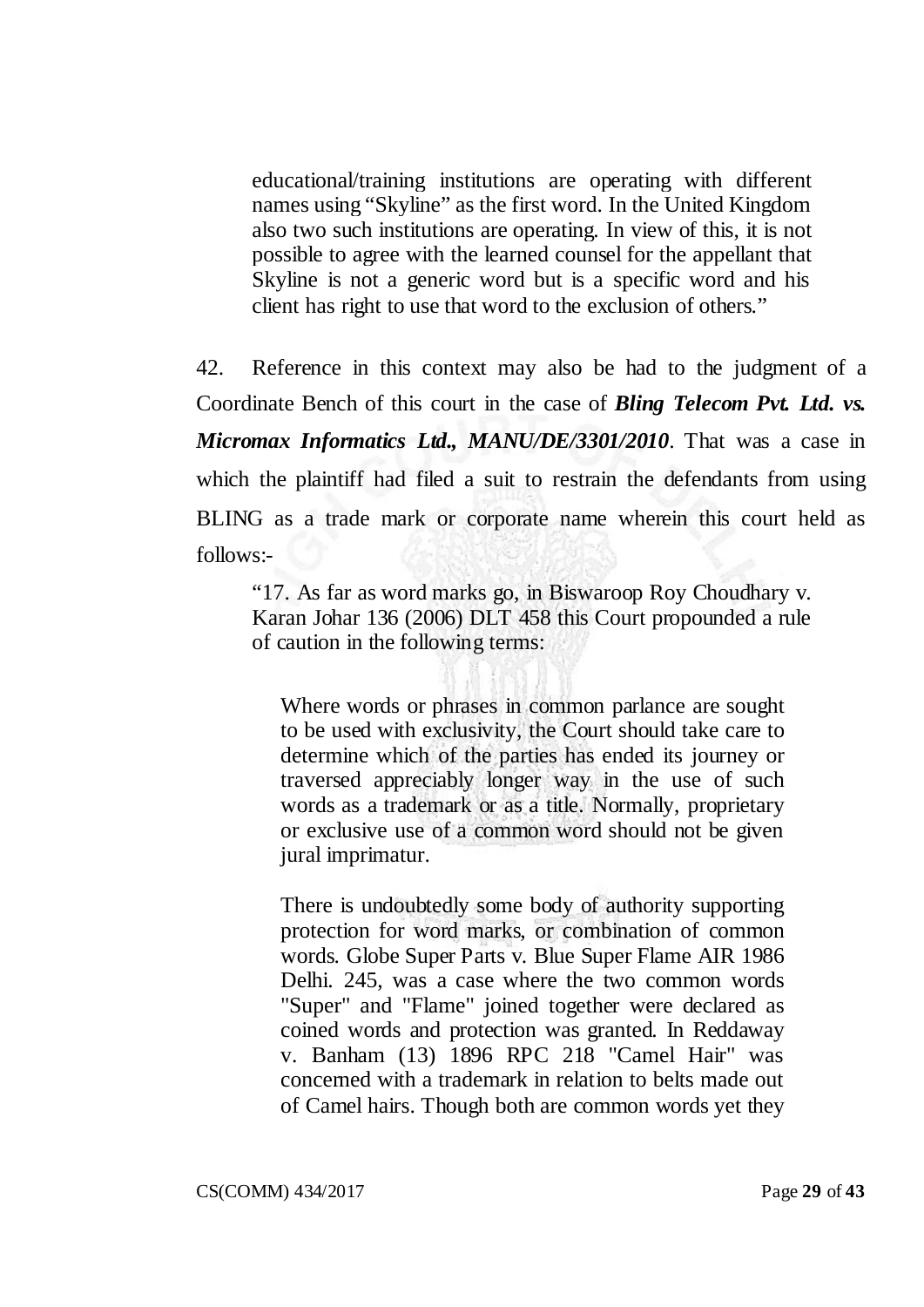educational/training institutions are operating with different names using "Skyline" as the first word. In the United Kingdom also two such institutions are operating. In view of this, it is not possible to agree with the learned counsel for the appellant that Skyline is not a generic word but is a specific word and his client has right to use that word to the exclusion of others."

42. Reference in this context may also be had to the judgment of a Coordinate Bench of this court in the case of *Bling Telecom Pvt. Ltd. vs. Micromax Informatics Ltd., MANU/DE/3301/2010*. That was a case in which the plaintiff had filed a suit to restrain the defendants from using BLING as a trade mark or corporate name wherein this court held as follows:-

"17. As far as word marks go, in Biswaroop Roy Choudhary v. Karan Johar 136 (2006) DLT 458 this Court propounded a rule of caution in the following terms:

Where words or phrases in common parlance are sought to be used with exclusivity, the Court should take care to determine which of the parties has ended its journey or traversed appreciably longer way in the use of such words as a trademark or as a title. Normally, proprietary or exclusive use of a common word should not be given jural imprimatur.

There is undoubtedly some body of authority supporting protection for word marks, or combination of common words. Globe Super Parts v. Blue Super Flame AIR 1986 Delhi. 245, was a case where the two common words "Super" and "Flame" joined together were declared as coined words and protection was granted. In Reddaway v. Banham (13) 1896 RPC 218 "Camel Hair" was concerned with a trademark in relation to belts made out of Camel hairs. Though both are common words yet they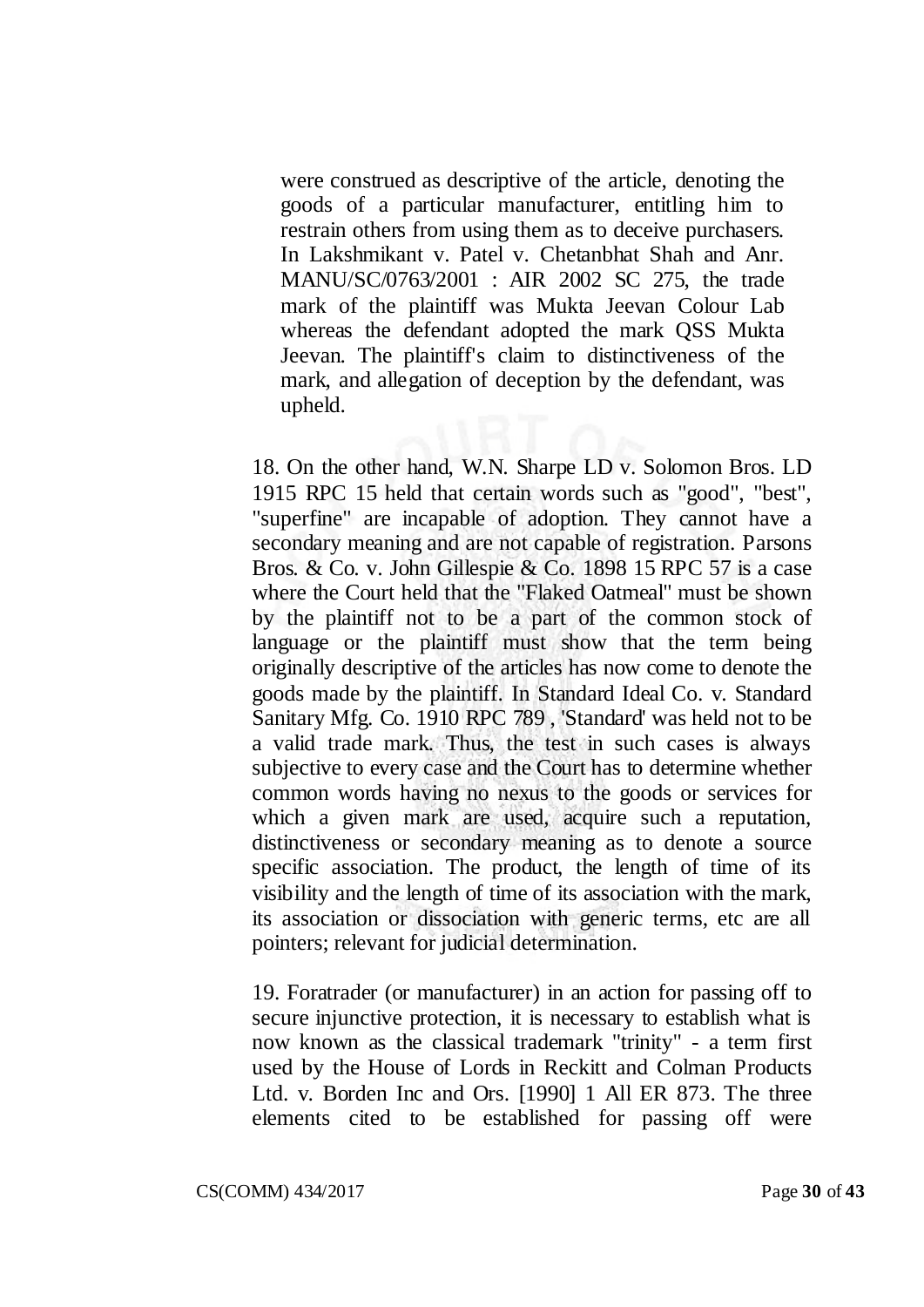were construed as descriptive of the article, denoting the goods of a particular manufacturer, entitling him to restrain others from using them as to deceive purchasers. In Lakshmikant v. Patel v. Chetanbhat Shah and Anr. MANU/SC/0763/2001 : AIR 2002 SC 275, the trade mark of the plaintiff was Mukta Jeevan Colour Lab whereas the defendant adopted the mark QSS Mukta Jeevan. The plaintiff's claim to distinctiveness of the mark, and allegation of deception by the defendant, was upheld.

18. On the other hand, W.N. Sharpe LD v. Solomon Bros. LD 1915 RPC 15 held that certain words such as "good", "best", "superfine" are incapable of adoption. They cannot have a secondary meaning and are not capable of registration. Parsons Bros. & Co. v. John Gillespie & Co. 1898 15 RPC 57 is a case where the Court held that the "Flaked Oatmeal" must be shown by the plaintiff not to be a part of the common stock of language or the plaintiff must show that the term being originally descriptive of the articles has now come to denote the goods made by the plaintiff. In Standard Ideal Co. v. Standard Sanitary Mfg. Co. 1910 RPC 789 , 'Standard' was held not to be a valid trade mark. Thus, the test in such cases is always subjective to every case and the Court has to determine whether common words having no nexus to the goods or services for which a given mark are used, acquire such a reputation, distinctiveness or secondary meaning as to denote a source specific association. The product, the length of time of its visibility and the length of time of its association with the mark, its association or dissociation with generic terms, etc are all pointers; relevant for judicial determination.

19. Foratrader (or manufacturer) in an action for passing off to secure injunctive protection, it is necessary to establish what is now known as the classical trademark "trinity" - a term first used by the House of Lords in Reckitt and Colman Products Ltd. v. Borden Inc and Ors. [1990] 1 All ER 873. The three elements cited to be established for passing off were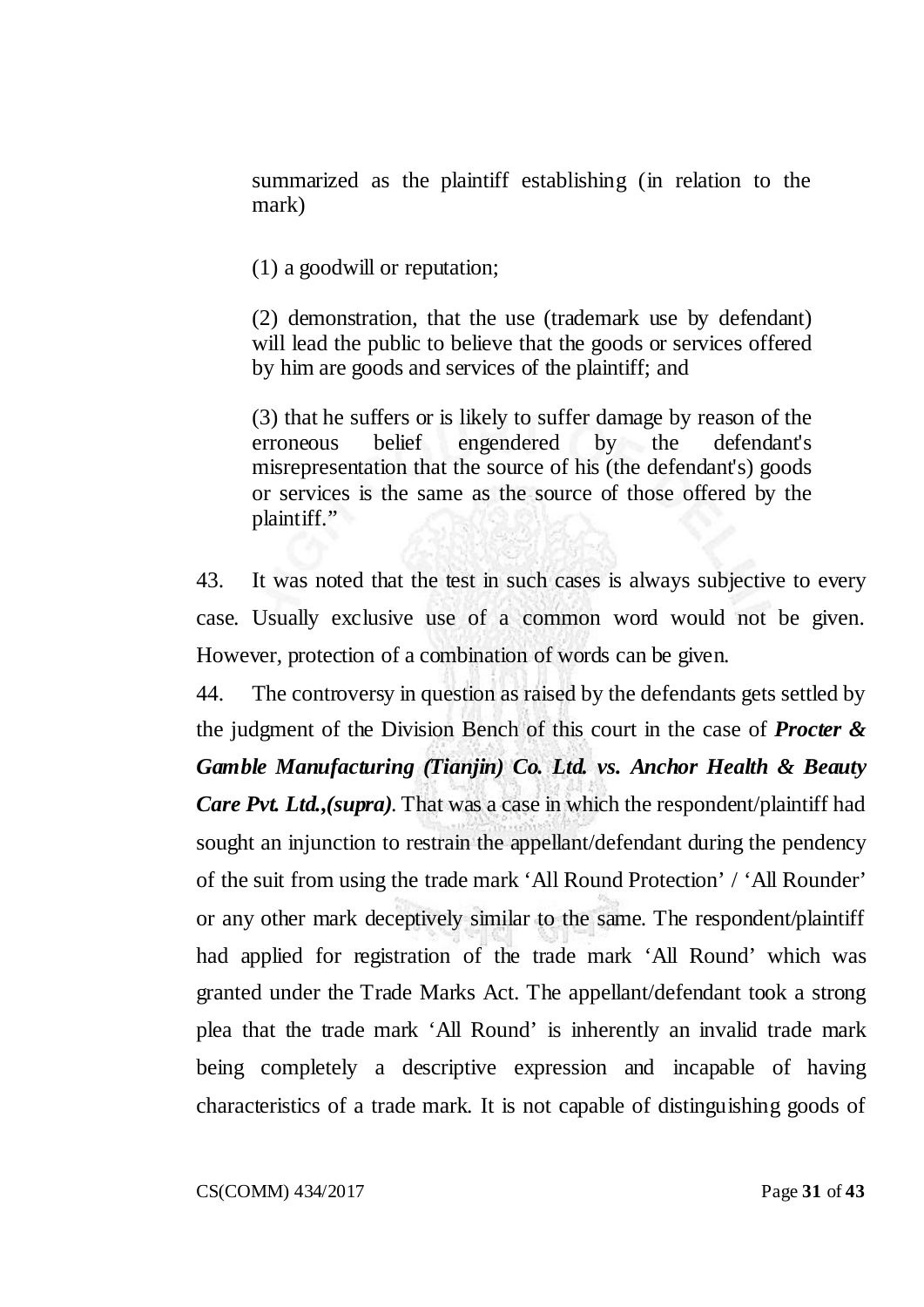summarized as the plaintiff establishing (in relation to the mark)

(1) a goodwill or reputation;

(2) demonstration, that the use (trademark use by defendant) will lead the public to believe that the goods or services offered by him are goods and services of the plaintiff; and

(3) that he suffers or is likely to suffer damage by reason of the erroneous belief engendered by the defendant's misrepresentation that the source of his (the defendant's) goods or services is the same as the source of those offered by the plaintiff."

43. It was noted that the test in such cases is always subjective to every case. Usually exclusive use of a common word would not be given. However, protection of a combination of words can be given.

44. The controversy in question as raised by the defendants gets settled by the judgment of the Division Bench of this court in the case of *Procter & Gamble Manufacturing (Tianjin) Co. Ltd. vs. Anchor Health & Beauty Care Pvt. Ltd.,(supra)*. That was a case in which the respondent/plaintiff had sought an injunction to restrain the appellant/defendant during the pendency of the suit from using the trade mark 'All Round Protection' / 'All Rounder' or any other mark deceptively similar to the same. The respondent/plaintiff had applied for registration of the trade mark 'All Round' which was granted under the Trade Marks Act. The appellant/defendant took a strong plea that the trade mark 'All Round' is inherently an invalid trade mark being completely a descriptive expression and incapable of having characteristics of a trade mark. It is not capable of distinguishing goods of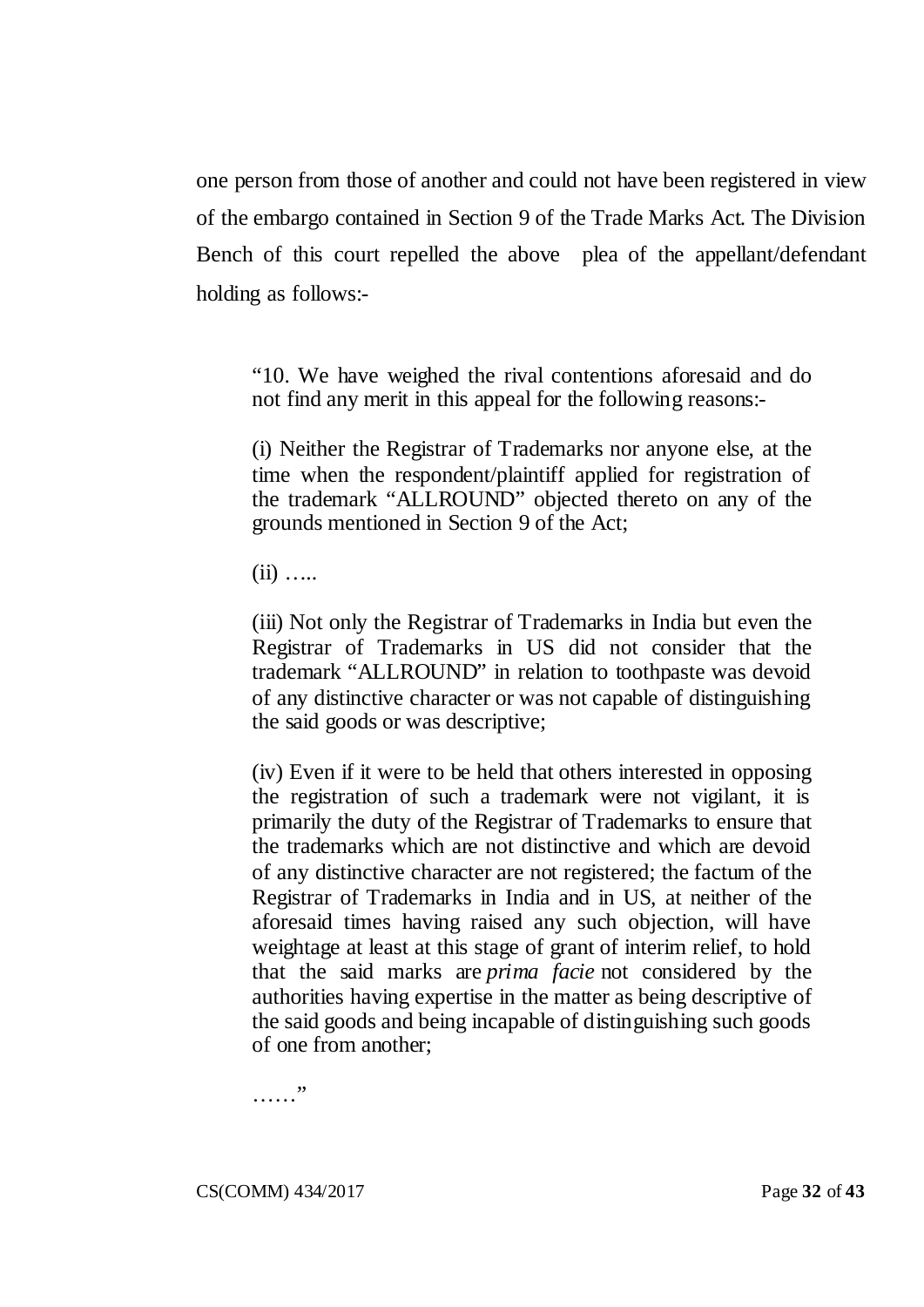one person from those of another and could not have been registered in view of the embargo contained in Section 9 of the Trade Marks Act. The Division Bench of this court repelled the above plea of the appellant/defendant holding as follows:-

"10. We have weighed the rival contentions aforesaid and do not find any merit in this appeal for the following reasons:-

(i) Neither the Registrar of Trademarks nor anyone else, at the time when the respondent/plaintiff applied for registration of the trademark "ALLROUND" objected thereto on any of the grounds mentioned in Section 9 of the Act;

 $(ii)$  …

(iii) Not only the Registrar of Trademarks in India but even the Registrar of Trademarks in US did not consider that the trademark "ALLROUND" in relation to toothpaste was devoid of any distinctive character or was not capable of distinguishing the said goods or was descriptive;

(iv) Even if it were to be held that others interested in opposing the registration of such a trademark were not vigilant, it is primarily the duty of the Registrar of Trademarks to ensure that the trademarks which are not distinctive and which are devoid of any distinctive character are not registered; the factum of the Registrar of Trademarks in India and in US, at neither of the aforesaid times having raised any such objection, will have weightage at least at this stage of grant of interim relief, to hold that the said marks are *prima facie* not considered by the authorities having expertise in the matter as being descriptive of the said goods and being incapable of distinguishing such goods of one from another;

……"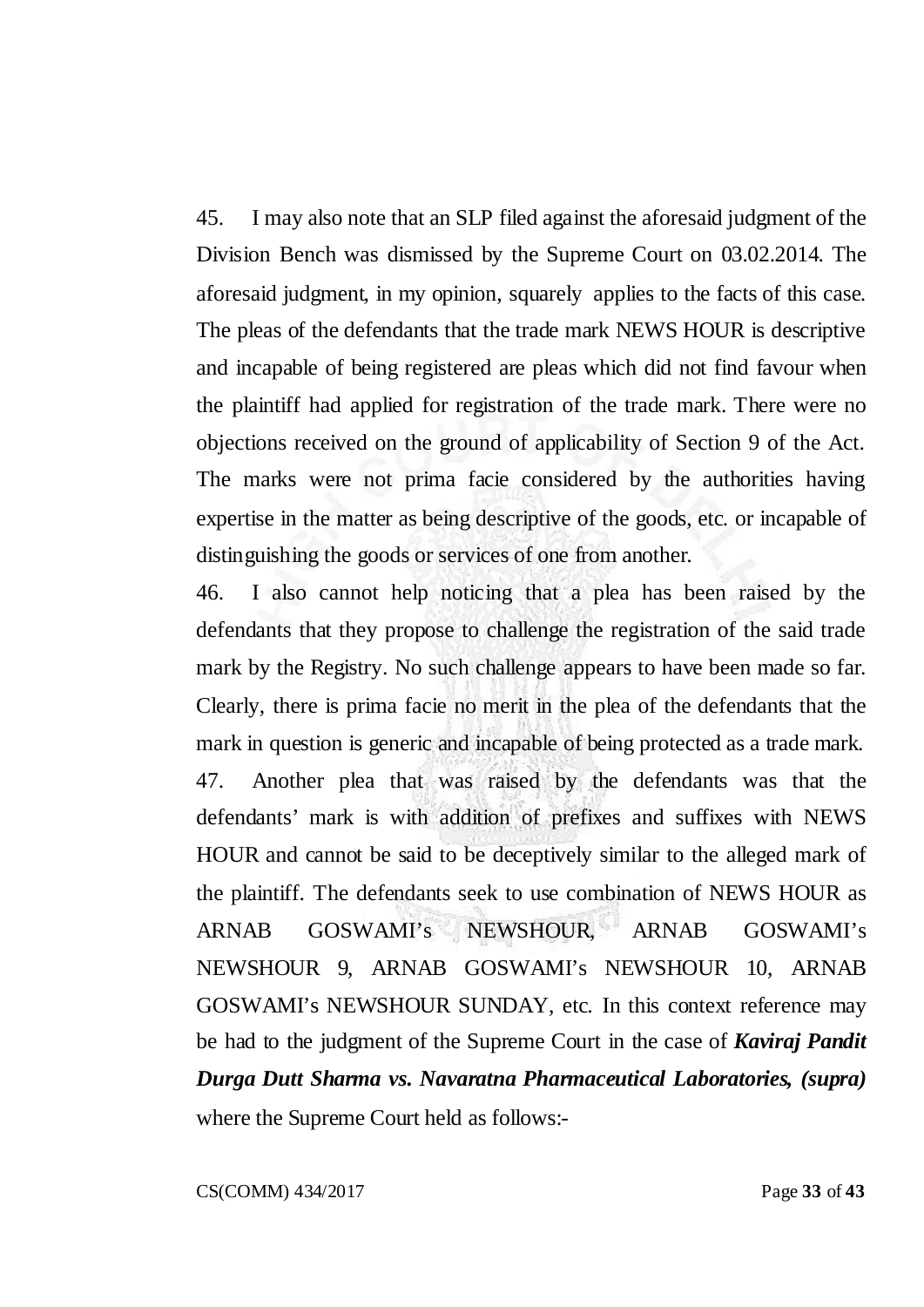45. I may also note that an SLP filed against the aforesaid judgment of the Division Bench was dismissed by the Supreme Court on 03.02.2014. The aforesaid judgment, in my opinion, squarely applies to the facts of this case. The pleas of the defendants that the trade mark NEWS HOUR is descriptive and incapable of being registered are pleas which did not find favour when the plaintiff had applied for registration of the trade mark. There were no objections received on the ground of applicability of Section 9 of the Act. The marks were not prima facie considered by the authorities having expertise in the matter as being descriptive of the goods, etc. or incapable of distinguishing the goods or services of one from another.

46. I also cannot help noticing that a plea has been raised by the defendants that they propose to challenge the registration of the said trade mark by the Registry. No such challenge appears to have been made so far. Clearly, there is prima facie no merit in the plea of the defendants that the mark in question is generic and incapable of being protected as a trade mark. 47. Another plea that was raised by the defendants was that the defendants' mark is with addition of prefixes and suffixes with NEWS HOUR and cannot be said to be deceptively similar to the alleged mark of the plaintiff. The defendants seek to use combination of NEWS HOUR as ARNAB GOSWAMI's NEWSHOUR, ARNAB GOSWAMI's NEWSHOUR 9, ARNAB GOSWAMI's NEWSHOUR 10, ARNAB GOSWAMI's NEWSHOUR SUNDAY, etc. In this context reference may be had to the judgment of the Supreme Court in the case of *Kaviraj Pandit Durga Dutt Sharma vs. Navaratna Pharmaceutical Laboratories, (supra)* where the Supreme Court held as follows:-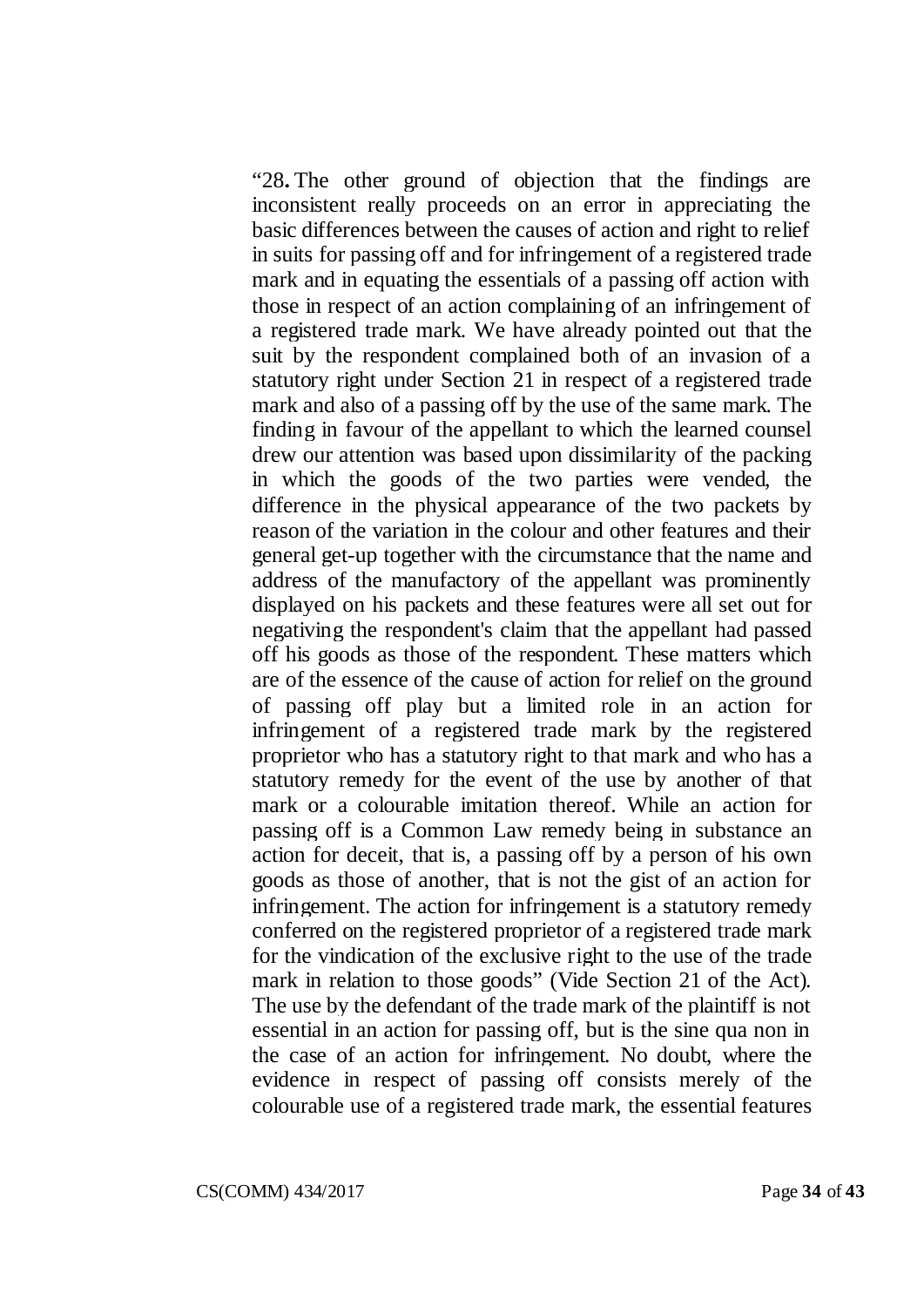"28**.** The other ground of objection that the findings are inconsistent really proceeds on an error in appreciating the basic differences between the causes of action and right to relief in suits for passing off and for infringement of a registered trade mark and in equating the essentials of a passing off action with those in respect of an action complaining of an infringement of a registered trade mark. We have already pointed out that the suit by the respondent complained both of an invasion of a statutory right under Section 21 in respect of a registered trade mark and also of a passing off by the use of the same mark. The finding in favour of the appellant to which the learned counsel drew our attention was based upon dissimilarity of the packing in which the goods of the two parties were vended, the difference in the physical appearance of the two packets by reason of the variation in the colour and other features and their general get-up together with the circumstance that the name and address of the manufactory of the appellant was prominently displayed on his packets and these features were all set out for negativing the respondent's claim that the appellant had passed off his goods as those of the respondent. These matters which are of the essence of the cause of action for relief on the ground of passing off play but a limited role in an action for infringement of a registered trade mark by the registered proprietor who has a statutory right to that mark and who has a statutory remedy for the event of the use by another of that mark or a colourable imitation thereof. While an action for passing off is a Common Law remedy being in substance an action for deceit, that is, a passing off by a person of his own goods as those of another, that is not the gist of an action for infringement. The action for infringement is a statutory remedy conferred on the registered proprietor of a registered trade mark for the vindication of the exclusive right to the use of the trade mark in relation to those goods" (Vide Section 21 of the Act). The use by the defendant of the trade mark of the plaintiff is not essential in an action for passing off, but is the sine qua non in the case of an action for infringement. No doubt, where the evidence in respect of passing off consists merely of the colourable use of a registered trade mark, the essential features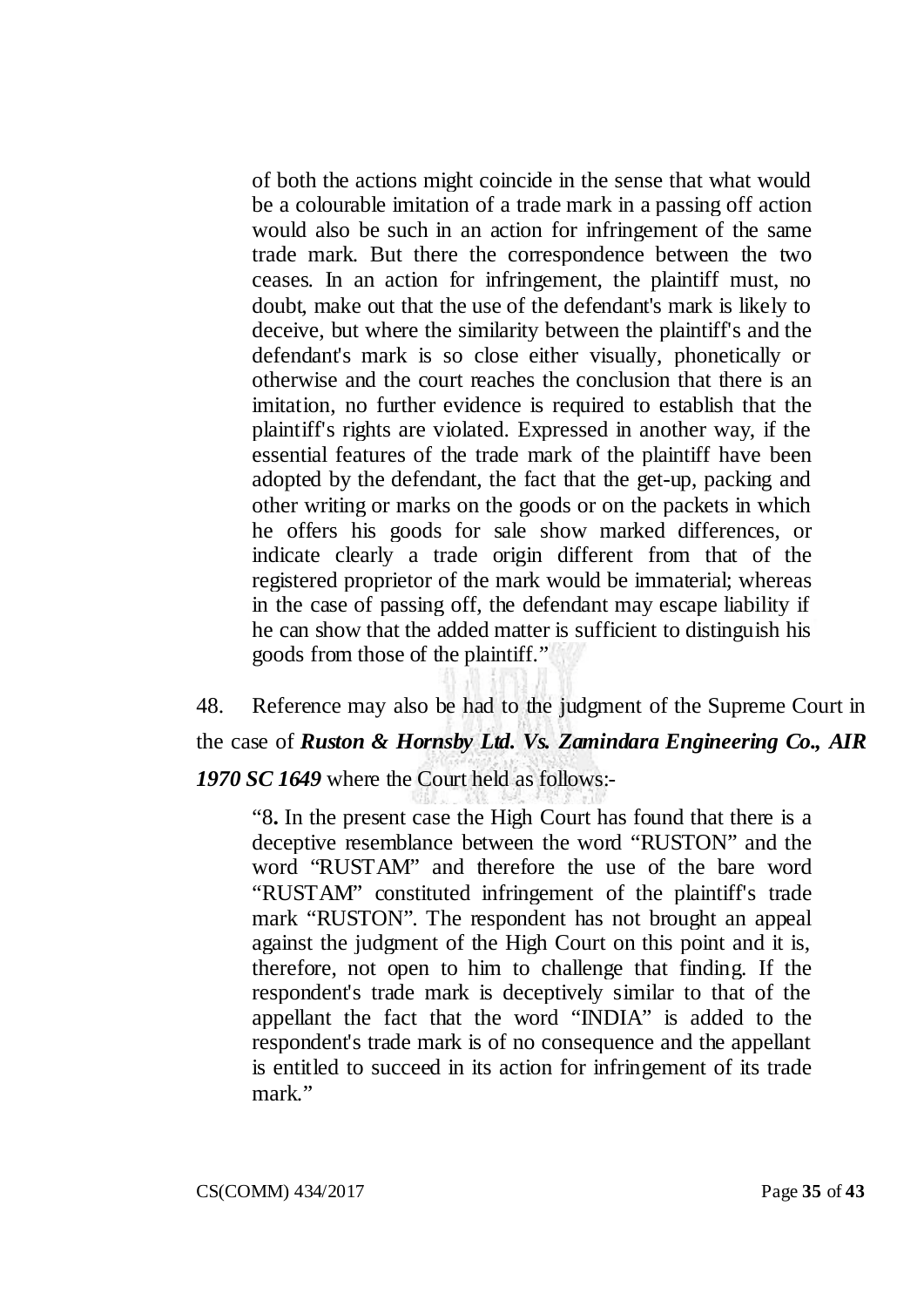of both the actions might coincide in the sense that what would be a colourable imitation of a trade mark in a passing off action would also be such in an action for infringement of the same trade mark. But there the correspondence between the two ceases. In an action for infringement, the plaintiff must, no doubt, make out that the use of the defendant's mark is likely to deceive, but where the similarity between the plaintiff's and the defendant's mark is so close either visually, phonetically or otherwise and the court reaches the conclusion that there is an imitation, no further evidence is required to establish that the plaintiff's rights are violated. Expressed in another way, if the essential features of the trade mark of the plaintiff have been adopted by the defendant, the fact that the get-up, packing and other writing or marks on the goods or on the packets in which he offers his goods for sale show marked differences, or indicate clearly a trade origin different from that of the registered proprietor of the mark would be immaterial; whereas in the case of passing off, the defendant may escape liability if he can show that the added matter is sufficient to distinguish his goods from those of the plaintiff."

48. Reference may also be had to the judgment of the Supreme Court in the case of *Ruston & Hornsby Ltd. Vs. Zamindara Engineering Co., AIR 1970 SC 1649* where the Court held as follows:-

"8**.** In the present case the High Court has found that there is a deceptive resemblance between the word "RUSTON" and the word "RUSTAM" and therefore the use of the bare word "RUSTAM" constituted infringement of the plaintiff's trade mark "RUSTON". The respondent has not brought an appeal against the judgment of the High Court on this point and it is, therefore, not open to him to challenge that finding. If the respondent's trade mark is deceptively similar to that of the appellant the fact that the word "INDIA" is added to the respondent's trade mark is of no consequence and the appellant is entitled to succeed in its action for infringement of its trade mark."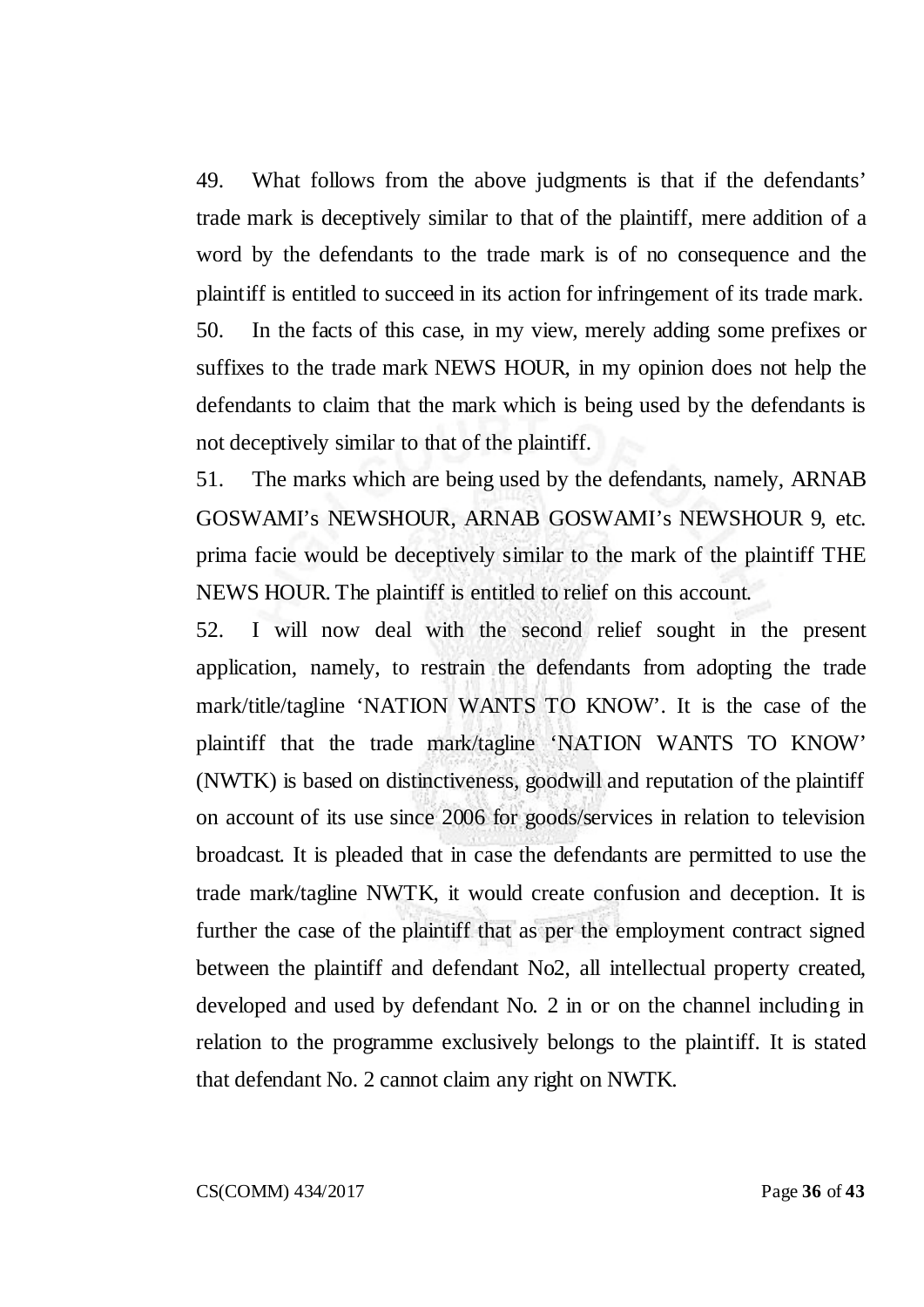49. What follows from the above judgments is that if the defendants' trade mark is deceptively similar to that of the plaintiff, mere addition of a word by the defendants to the trade mark is of no consequence and the plaintiff is entitled to succeed in its action for infringement of its trade mark. 50. In the facts of this case, in my view, merely adding some prefixes or suffixes to the trade mark NEWS HOUR, in my opinion does not help the defendants to claim that the mark which is being used by the defendants is not deceptively similar to that of the plaintiff.

51. The marks which are being used by the defendants, namely, ARNAB GOSWAMI's NEWSHOUR, ARNAB GOSWAMI's NEWSHOUR 9, etc. prima facie would be deceptively similar to the mark of the plaintiff THE NEWS HOUR. The plaintiff is entitled to relief on this account.

52. I will now deal with the second relief sought in the present application, namely, to restrain the defendants from adopting the trade mark/title/tagline 'NATION WANTS TO KNOW'. It is the case of the plaintiff that the trade mark/tagline 'NATION WANTS TO KNOW' (NWTK) is based on distinctiveness, goodwill and reputation of the plaintiff on account of its use since 2006 for goods/services in relation to television broadcast. It is pleaded that in case the defendants are permitted to use the trade mark/tagline NWTK, it would create confusion and deception. It is further the case of the plaintiff that as per the employment contract signed between the plaintiff and defendant No2, all intellectual property created, developed and used by defendant No. 2 in or on the channel including in relation to the programme exclusively belongs to the plaintiff. It is stated that defendant No. 2 cannot claim any right on NWTK.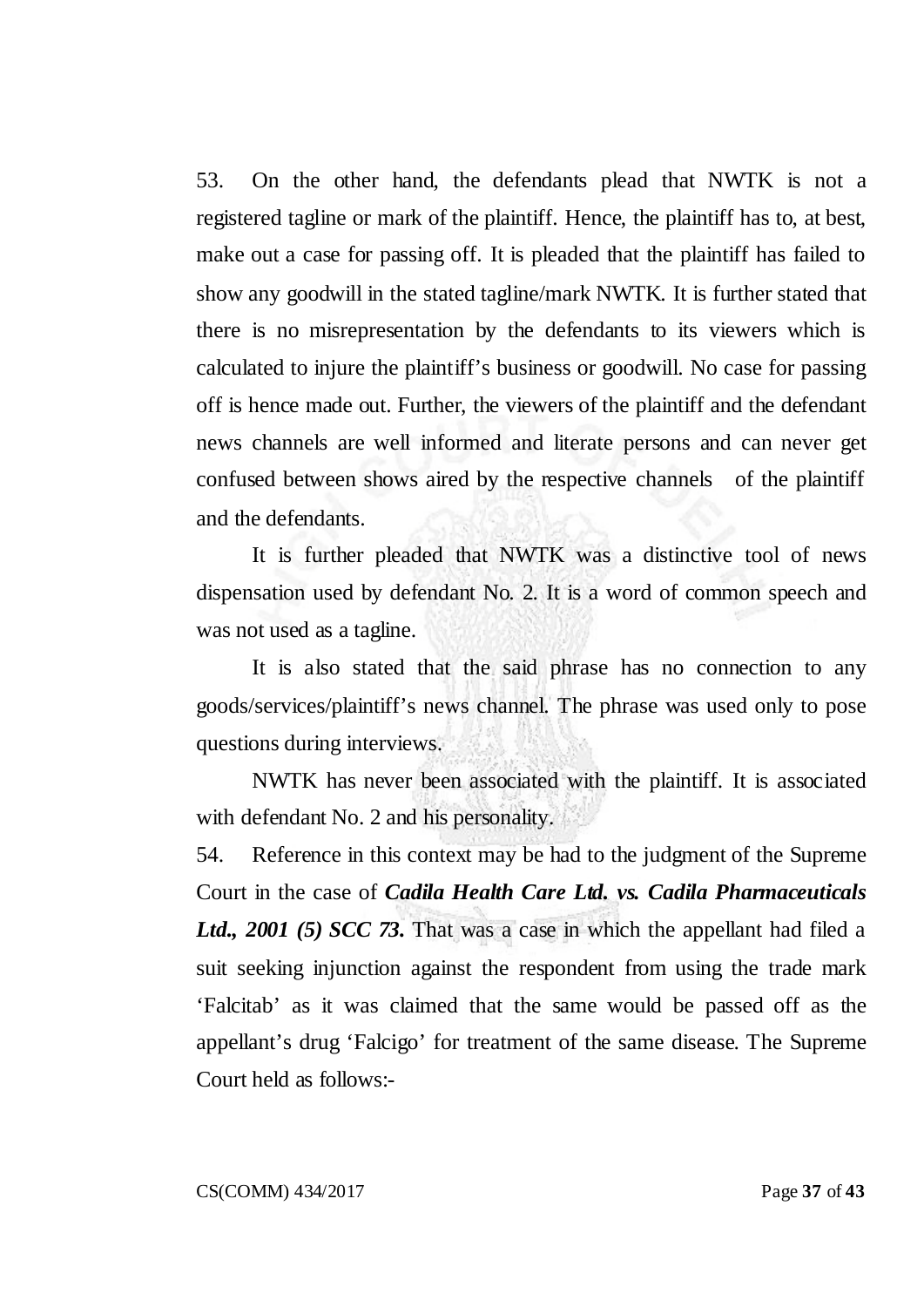53. On the other hand, the defendants plead that NWTK is not a registered tagline or mark of the plaintiff. Hence, the plaintiff has to, at best, make out a case for passing off. It is pleaded that the plaintiff has failed to show any goodwill in the stated tagline/mark NWTK. It is further stated that there is no misrepresentation by the defendants to its viewers which is calculated to injure the plaintiff's business or goodwill. No case for passing off is hence made out. Further, the viewers of the plaintiff and the defendant news channels are well informed and literate persons and can never get confused between shows aired by the respective channels of the plaintiff and the defendants.

It is further pleaded that NWTK was a distinctive tool of news dispensation used by defendant No. 2. It is a word of common speech and was not used as a tagline.

It is also stated that the said phrase has no connection to any goods/services/plaintiff's news channel. The phrase was used only to pose questions during interviews.

NWTK has never been associated with the plaintiff. It is associated with defendant No. 2 and his personality.

54. Reference in this context may be had to the judgment of the Supreme Court in the case of *Cadila Health Care Ltd. vs. Cadila Pharmaceuticals Ltd., 2001 (5) SCC 73.* That was a case in which the appellant had filed a suit seeking injunction against the respondent from using the trade mark 'Falcitab' as it was claimed that the same would be passed off as the appellant's drug 'Falcigo' for treatment of the same disease. The Supreme Court held as follows:-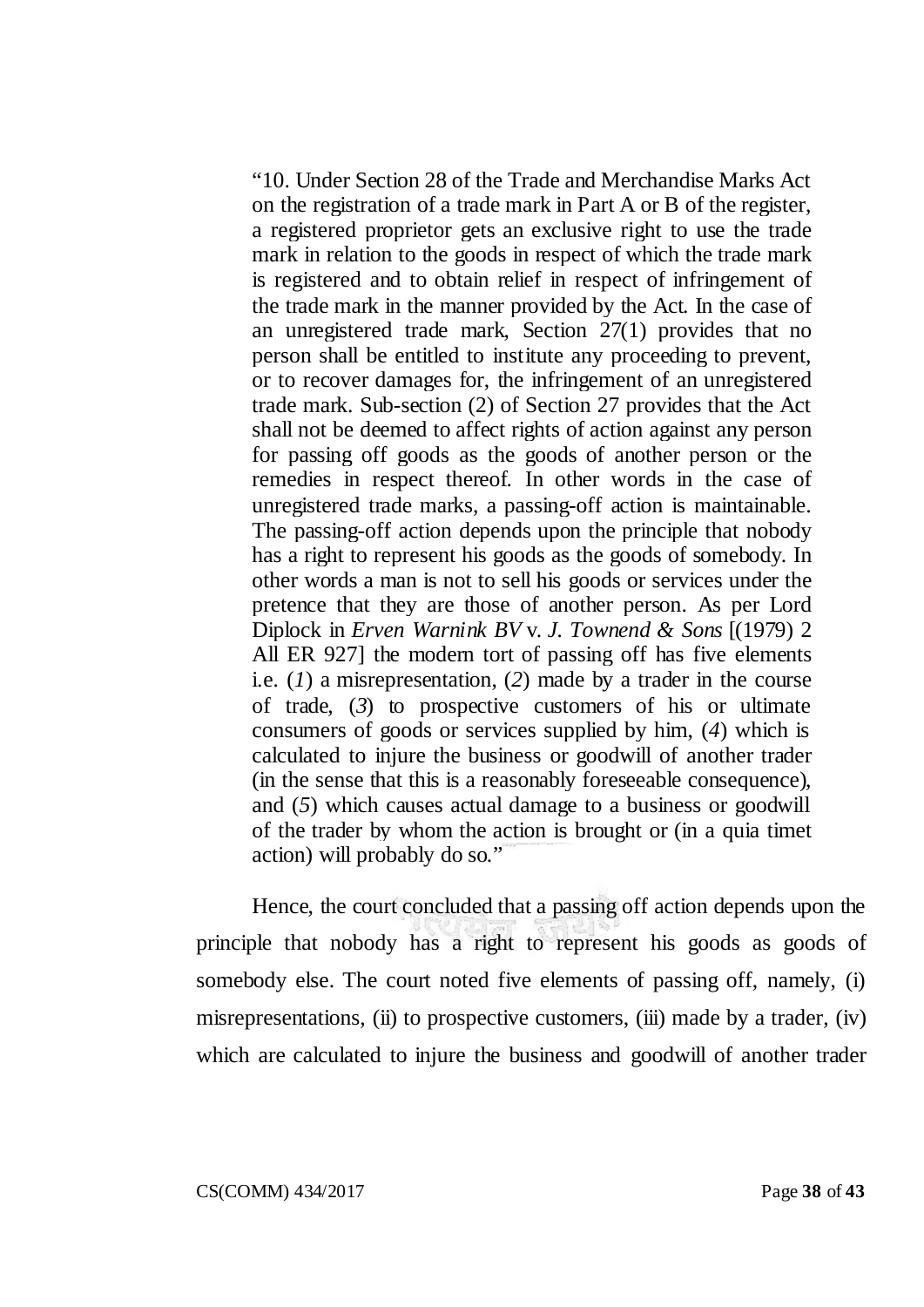"10. Under Section 28 of the Trade and Merchandise Marks Act on the registration of a trade mark in Part A or B of the register, a registered proprietor gets an exclusive right to use the trade mark in relation to the goods in respect of which the trade mark is registered and to obtain relief in respect of infringement of the trade mark in the manner provided by the Act. In the case of an unregistered trade mark, Section 27(1) provides that no person shall be entitled to institute any proceeding to prevent, or to recover damages for, the infringement of an unregistered trade mark. Sub-section (2) of Section 27 provides that the Act shall not be deemed to affect rights of action against any person for passing off goods as the goods of another person or the remedies in respect thereof. In other words in the case of unregistered trade marks, a passing-off action is maintainable. The passing-off action depends upon the principle that nobody has a right to represent his goods as the goods of somebody. In other words a man is not to sell his goods or services under the pretence that they are those of another person. As per Lord Diplock in *Erven Warnink BV* v. *J. Townend & Sons* [(1979) 2 All ER 927] the modern tort of passing off has five elements i.e. (*1*) a misrepresentation, (*2*) made by a trader in the course of trade, (*3*) to prospective customers of his or ultimate consumers of goods or services supplied by him, (*4*) which is calculated to injure the business or goodwill of another trader (in the sense that this is a reasonably foreseeable consequence), and (*5*) which causes actual damage to a business or goodwill of the trader by whom the action is brought or (in a quia timet action) will probably do so."

Hence, the court concluded that a passing off action depends upon the principle that nobody has a right to represent his goods as goods of somebody else. The court noted five elements of passing off, namely, (i) misrepresentations, (ii) to prospective customers, (iii) made by a trader, (iv) which are calculated to injure the business and goodwill of another trader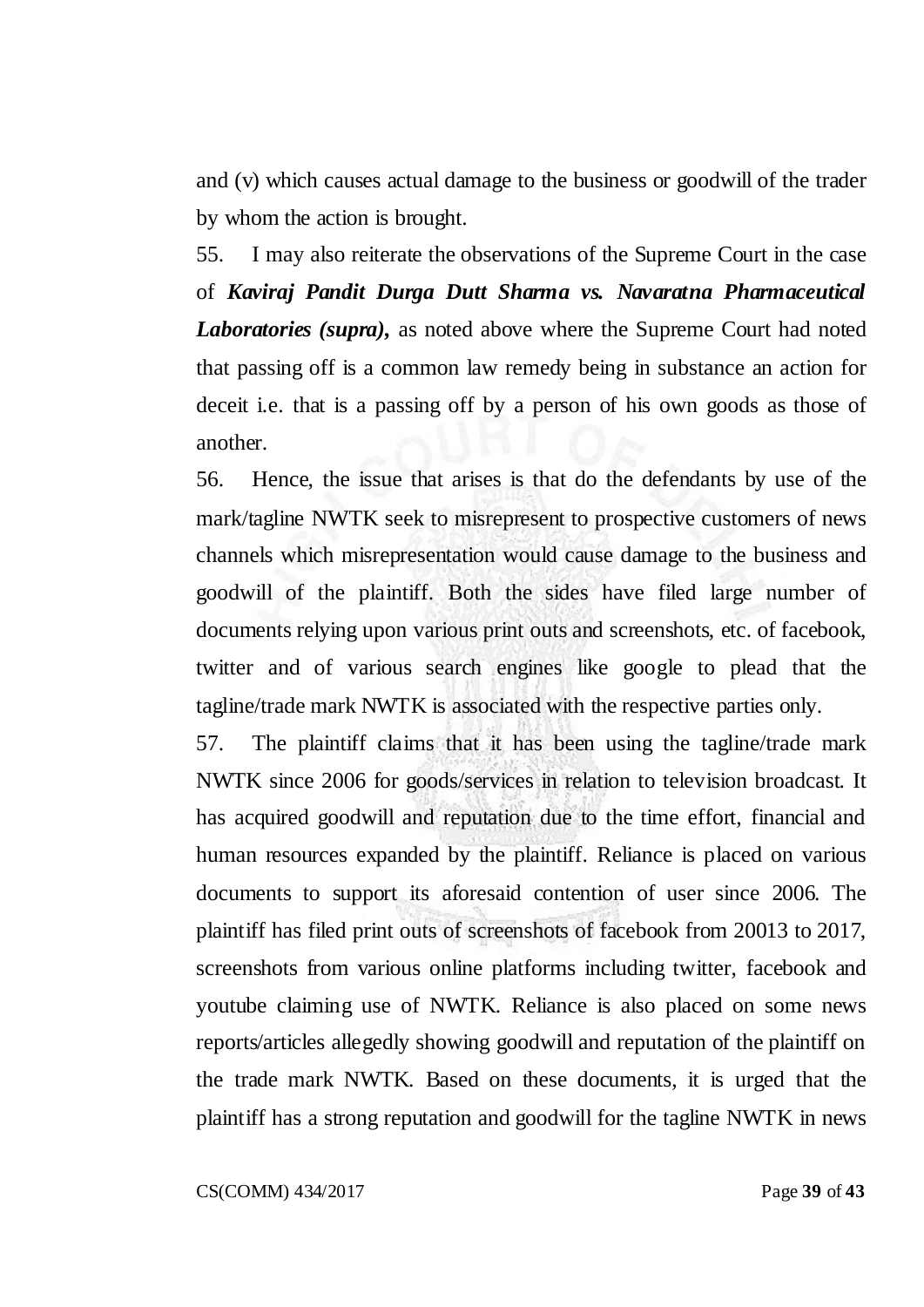and (v) which causes actual damage to the business or goodwill of the trader by whom the action is brought.

55. I may also reiterate the observations of the Supreme Court in the case of *Kaviraj Pandit Durga Dutt Sharma vs. Navaratna Pharmaceutical Laboratories (supra),* as noted above where the Supreme Court had noted that passing off is a common law remedy being in substance an action for deceit i.e. that is a passing off by a person of his own goods as those of another.

56. Hence, the issue that arises is that do the defendants by use of the mark/tagline NWTK seek to misrepresent to prospective customers of news channels which misrepresentation would cause damage to the business and goodwill of the plaintiff. Both the sides have filed large number of documents relying upon various print outs and screenshots, etc. of facebook, twitter and of various search engines like google to plead that the tagline/trade mark NWTK is associated with the respective parties only.

57. The plaintiff claims that it has been using the tagline/trade mark NWTK since 2006 for goods/services in relation to television broadcast. It has acquired goodwill and reputation due to the time effort, financial and human resources expanded by the plaintiff. Reliance is placed on various documents to support its aforesaid contention of user since 2006. The plaintiff has filed print outs of screenshots of facebook from 20013 to 2017, screenshots from various online platforms including twitter, facebook and youtube claiming use of NWTK. Reliance is also placed on some news reports/articles allegedly showing goodwill and reputation of the plaintiff on the trade mark NWTK. Based on these documents, it is urged that the plaintiff has a strong reputation and goodwill for the tagline NWTK in news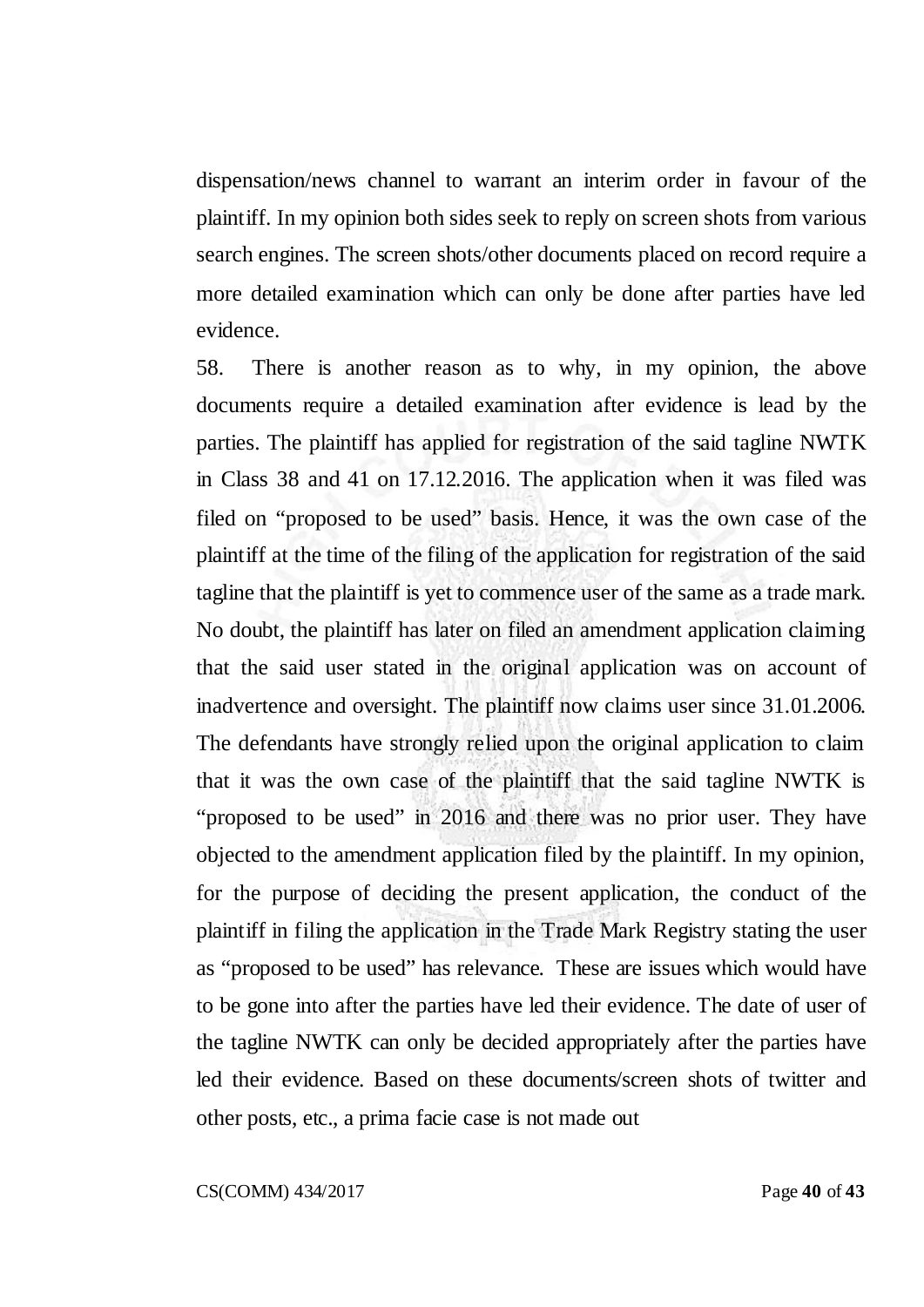dispensation/news channel to warrant an interim order in favour of the plaintiff. In my opinion both sides seek to reply on screen shots from various search engines. The screen shots/other documents placed on record require a more detailed examination which can only be done after parties have led evidence.

58. There is another reason as to why, in my opinion, the above documents require a detailed examination after evidence is lead by the parties. The plaintiff has applied for registration of the said tagline NWTK in Class 38 and 41 on 17.12.2016. The application when it was filed was filed on "proposed to be used" basis. Hence, it was the own case of the plaintiff at the time of the filing of the application for registration of the said tagline that the plaintiff is yet to commence user of the same as a trade mark. No doubt, the plaintiff has later on filed an amendment application claiming that the said user stated in the original application was on account of inadvertence and oversight. The plaintiff now claims user since 31.01.2006. The defendants have strongly relied upon the original application to claim that it was the own case of the plaintiff that the said tagline NWTK is "proposed to be used" in 2016 and there was no prior user. They have objected to the amendment application filed by the plaintiff. In my opinion, for the purpose of deciding the present application, the conduct of the plaintiff in filing the application in the Trade Mark Registry stating the user as "proposed to be used" has relevance. These are issues which would have to be gone into after the parties have led their evidence. The date of user of the tagline NWTK can only be decided appropriately after the parties have led their evidence. Based on these documents/screen shots of twitter and other posts, etc., a prima facie case is not made out

CS(COMM) 434/2017 Page **40** of **43**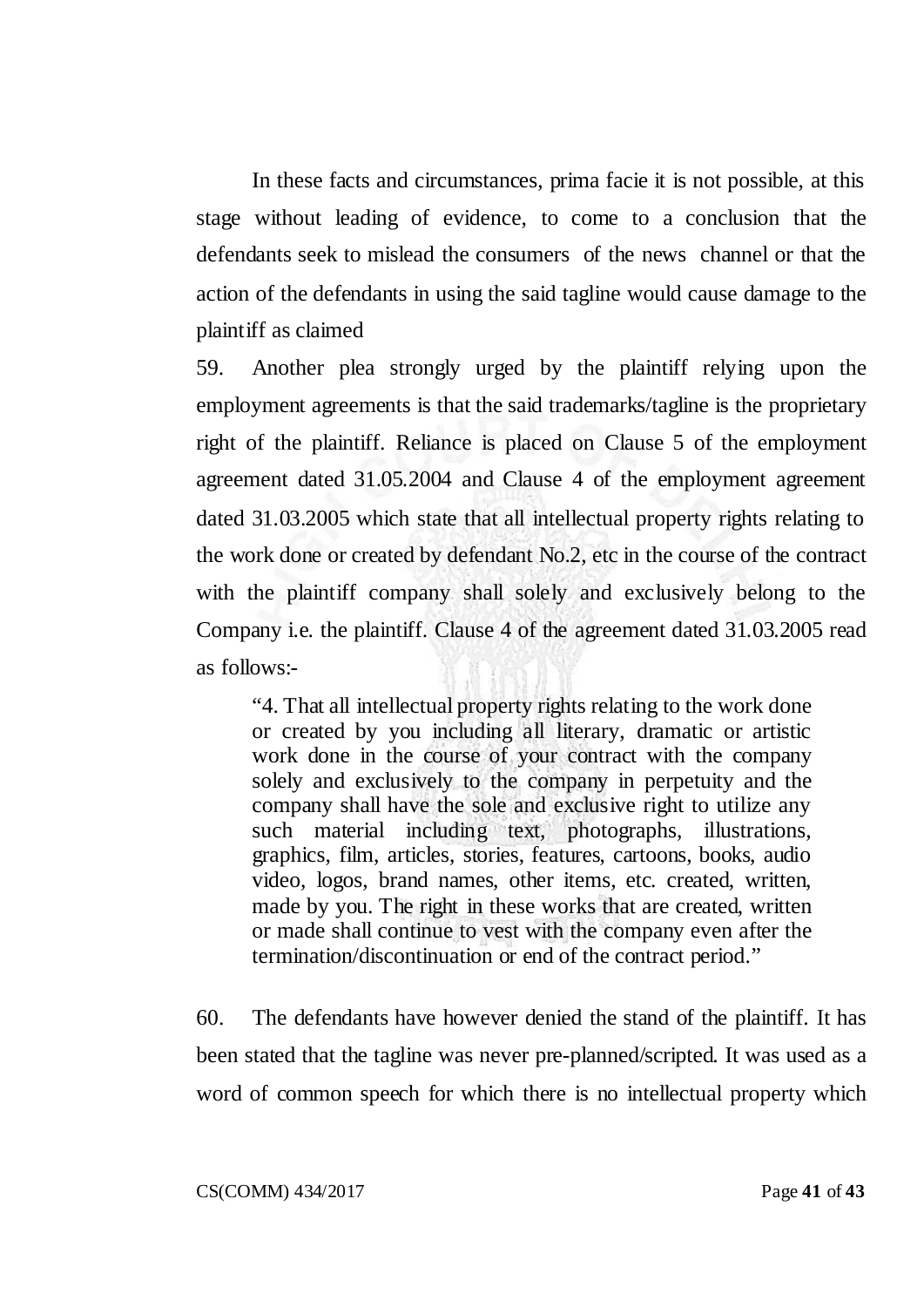In these facts and circumstances, prima facie it is not possible, at this stage without leading of evidence, to come to a conclusion that the defendants seek to mislead the consumers of the news channel or that the action of the defendants in using the said tagline would cause damage to the plaintiff as claimed

59. Another plea strongly urged by the plaintiff relying upon the employment agreements is that the said trademarks/tagline is the proprietary right of the plaintiff. Reliance is placed on Clause 5 of the employment agreement dated 31.05.2004 and Clause 4 of the employment agreement dated 31.03.2005 which state that all intellectual property rights relating to the work done or created by defendant No.2, etc in the course of the contract with the plaintiff company shall solely and exclusively belong to the Company i.e. the plaintiff. Clause 4 of the agreement dated 31.03.2005 read as follows:-

"4. That all intellectual property rights relating to the work done or created by you including all literary, dramatic or artistic work done in the course of your contract with the company solely and exclusively to the company in perpetuity and the company shall have the sole and exclusive right to utilize any such material including text, photographs, illustrations, graphics, film, articles, stories, features, cartoons, books, audio video, logos, brand names, other items, etc. created, written, made by you. The right in these works that are created, written or made shall continue to vest with the company even after the termination/discontinuation or end of the contract period."

60. The defendants have however denied the stand of the plaintiff. It has been stated that the tagline was never pre-planned/scripted. It was used as a word of common speech for which there is no intellectual property which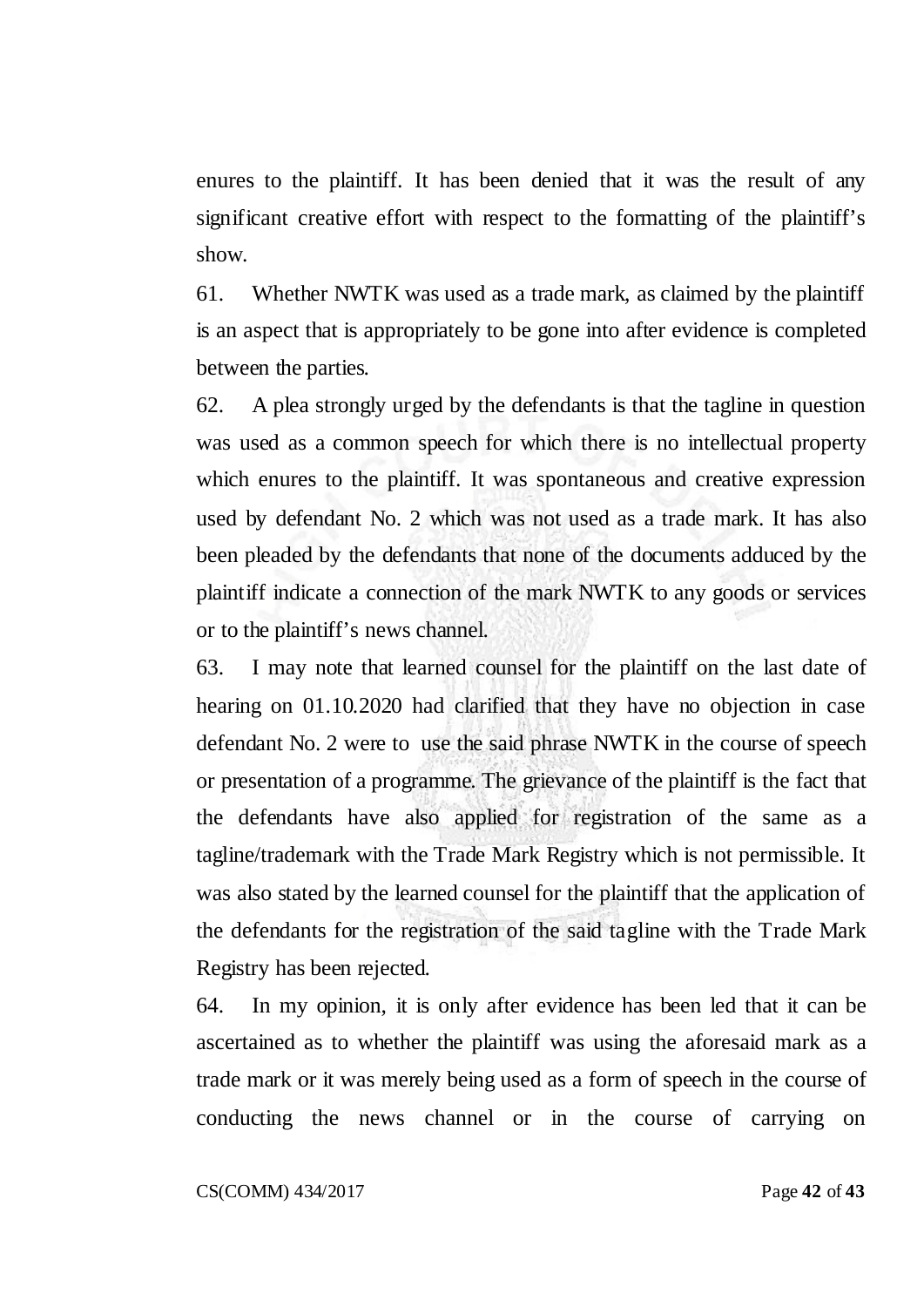enures to the plaintiff. It has been denied that it was the result of any significant creative effort with respect to the formatting of the plaintiff's show.

61. Whether NWTK was used as a trade mark, as claimed by the plaintiff is an aspect that is appropriately to be gone into after evidence is completed between the parties.

62. A plea strongly urged by the defendants is that the tagline in question was used as a common speech for which there is no intellectual property which enures to the plaintiff. It was spontaneous and creative expression used by defendant No. 2 which was not used as a trade mark. It has also been pleaded by the defendants that none of the documents adduced by the plaintiff indicate a connection of the mark NWTK to any goods or services or to the plaintiff's news channel.

63. I may note that learned counsel for the plaintiff on the last date of hearing on 01.10.2020 had clarified that they have no objection in case defendant No. 2 were to use the said phrase NWTK in the course of speech or presentation of a programme. The grievance of the plaintiff is the fact that the defendants have also applied for registration of the same as a tagline/trademark with the Trade Mark Registry which is not permissible. It was also stated by the learned counsel for the plaintiff that the application of the defendants for the registration of the said tagline with the Trade Mark Registry has been rejected.

64. In my opinion, it is only after evidence has been led that it can be ascertained as to whether the plaintiff was using the aforesaid mark as a trade mark or it was merely being used as a form of speech in the course of conducting the news channel or in the course of carrying on